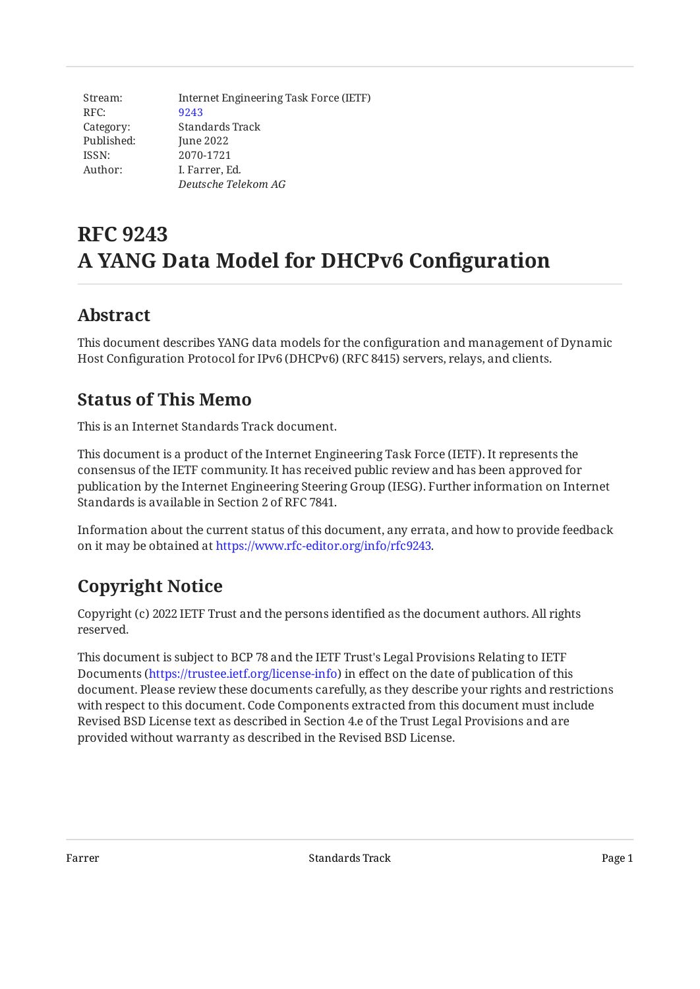| Stream:    | Internet Engineering Task Force (IETF) |
|------------|----------------------------------------|
| RFC:       | 9243                                   |
| Category:  | Standards Track                        |
| Published: | June 2022                              |
| ISSN:      | 2070-1721                              |
| Author:    | I. Farrer, Ed.                         |
|            | Deutsche Telekom AG                    |

# **RFC 9243 A YANG Data Model for DHCPv6 Configuration**

### <span id="page-0-0"></span>**[Abstract](#page-0-0)**

<span id="page-0-1"></span>This document describes YANG data models for the configuration and management of Dynamic Host Configuration Protocol for IPv6 (DHCPv6) (RFC 8415) servers, relays, and clients.

### **[Status of This Memo](#page-0-1)**

This is an Internet Standards Track document.

This document is a product of the Internet Engineering Task Force (IETF). It represents the consensus of the IETF community. It has received public review and has been approved for publication by the Internet Engineering Steering Group (IESG). Further information on Internet Standards is available in Section 2 of RFC 7841.

Information about the current status of this document, any errata, and how to provide feedback on it may be obtained at [https://www.rfc-editor.org/info/rfc9243.](https://www.rfc-editor.org/info/rfc9243)

## <span id="page-0-2"></span>**[Copyright Notice](#page-0-2)**

Copyright (c) 2022 IETF Trust and the persons identified as the document authors. All rights reserved.

This document is subject to BCP 78 and the IETF Trust's Legal Provisions Relating to IETF Documents (<https://trustee.ietf.org/license-info>) in effect on the date of publication of this document. Please review these documents carefully, as they describe your rights and restrictions with respect to this document. Code Components extracted from this document must include Revised BSD License text as described in Section 4.e of the Trust Legal Provisions and are provided without warranty as described in the Revised BSD License.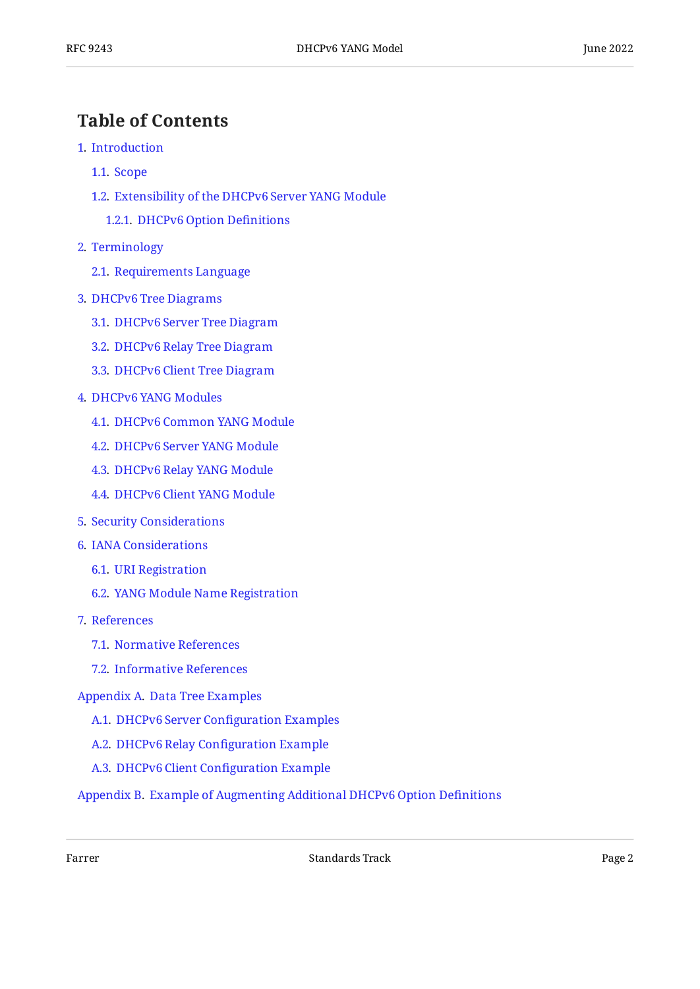### <span id="page-1-0"></span>**[Table of Contents](#page-1-0)**

- [1](#page-2-0). [Introduction](#page-2-0)
	- [1.1.](#page-2-1) [Scope](#page-2-1)
	- [1.2.](#page-3-0) [Extensibility of the DHCPv6 Server YANG Module](#page-3-0)
		- [1.2.1](#page-3-1). [DHCPv6 Option De](#page-3-1)finitions
- [2](#page-5-0). [Terminology](#page-5-0)
	- [2.1.](#page-5-1) [Requirements Language](#page-5-1)
- [3](#page-5-2). [DHCPv6 Tree Diagrams](#page-5-2)
	- [3.1.](#page-5-3) [DHCPv6 Server Tree Diagram](#page-5-3)
	- [3.2.](#page-11-0) [DHCPv6 Relay Tree Diagram](#page-11-0)
	- [3.3.](#page-14-0) [DHCPv6 Client Tree Diagram](#page-14-0)
- [4](#page-18-0). [DHCPv6 YANG Modules](#page-18-0)
	- [4.1.](#page-18-1) [DHCPv6 Common YANG Module](#page-18-1)
	- [4.2.](#page-25-0) [DHCPv6 Server YANG Module](#page-25-0)
	- [4.3.](#page-43-0) [DHCPv6 Relay YANG Module](#page-43-0)
	- [4.4.](#page-51-0) [DHCPv6 Client YANG Module](#page-51-0)
- [5](#page-64-0). [Security Considerations](#page-64-0)
- [6](#page-66-0). [IANA Considerations](#page-66-0)
	- [6.1.](#page-66-1) [URI Registration](#page-66-1)
	- [6.2.](#page-67-0) [YANG Module Name Registration](#page-67-0)
- [7](#page-67-1). [References](#page-67-1)
	- [7.1.](#page-67-2) [Normative References](#page-67-2)
	- [7.2.](#page-69-0) [Informative References](#page-69-0)

[Appendix A.](#page-70-0) [Data Tree Examples](#page-70-0)

- [A.1](#page-70-1). [DHCPv6 Server Con](#page-70-1)figuration Examples
- [A.2](#page-73-0). [DHCPv6 Relay Con](#page-73-0)figuration Example
- [A.3](#page-74-0). [DHCPv6 Client Con](#page-74-0)figuration Example
- [Appendix B.](#page-76-0) [Example of Augmenting Additional DHCPv6 Option De](#page-76-0)finitions

Farrer Farrer Page 2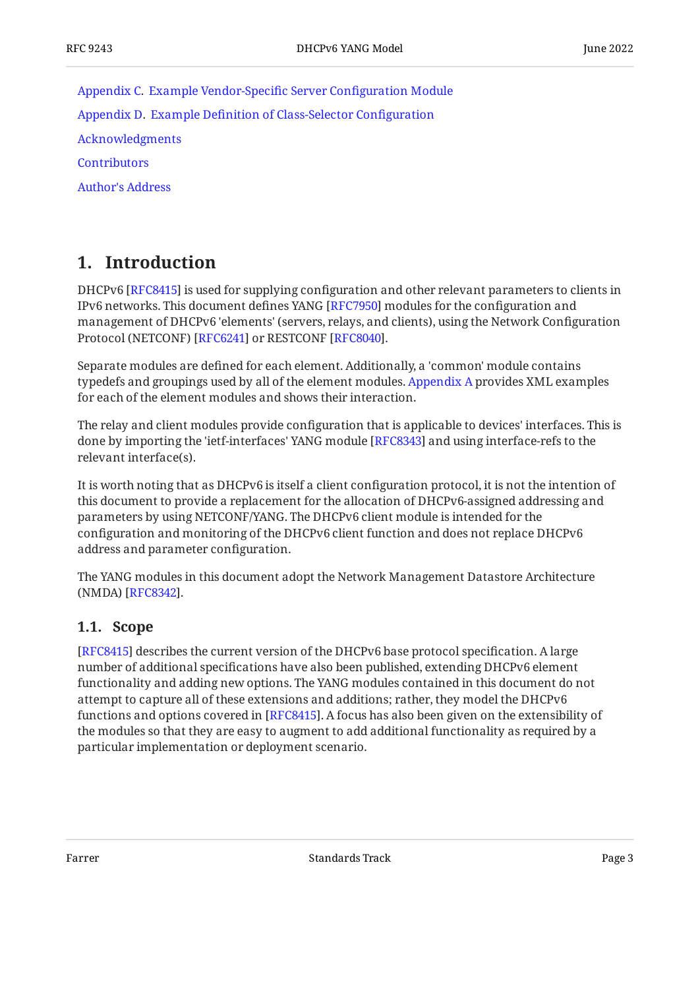[Appendix C.](#page-80-0) [Example Vendor-Speci](#page-80-0)fic Server Configuration Module [Appendix D.](#page-84-0) Example Defi[nition of Class-Selector Con](#page-84-0)figuration [Acknowledgments](#page-90-0) **[Contributors](#page-90-1)** [Author's Address](#page-91-0)

### <span id="page-2-0"></span>**[1. Introduction](#page-2-0)**

DHCPv6 [[RFC8415\]](#page-69-1) is used for supplying configuration and other relevant parameters to clients in IPv6 networks. This document defines YANG [RFC7950] modules for the configuration and management of DHCPv6 'elements' (servers, relays, and clients), using the Network Configuration Protocol (NETCONF) [RFC6241] or RESTCONF [RFC8040].

Separate modules are defined for each element. Additionally, a 'common' module contains typedefs and groupings used by all of the element modules. [Appendix A](#page-70-0) provides XML examples for each of the element modules and shows their interaction.

The relay and client modules provide configuration that is applicable to devices' interfaces. This is done by importing the 'ietf-interfaces' YANG module [RFC8343] and using interface-refs to the relevant interface(s).

It is worth noting that as DHCPv6 is itself a client configuration protocol, it is not the intention of this document to provide a replacement for the allocation of DHCPv6-assigned addressing and parameters by using NETCONF/YANG. The DHCPv6 client module is intended for the configuration and monitoring of the DHCPv6 client function and does not replace DHCPv6 address and parameter configuration.

The YANG modules in this document adopt the Network Management Datastore Architecture (NMDA) [RFC8342].

#### <span id="page-2-1"></span>**[1.1. Scope](#page-2-1)**

[[RFC8415\]](#page-69-1) describes the current version of the DHCPv6 base protocol specification. A large number of additional specifications have also been published, extending DHCPv6 element functionality and adding new options. The YANG modules contained in this document do not attempt to capture all of these extensions and additions; rather, they model the DHCPv6 functions and options covered in [\[RFC8415](#page-69-1)]. A focus has also been given on the extensibility of the modules so that they are easy to augment to add additional functionality as required by a particular implementation or deployment scenario.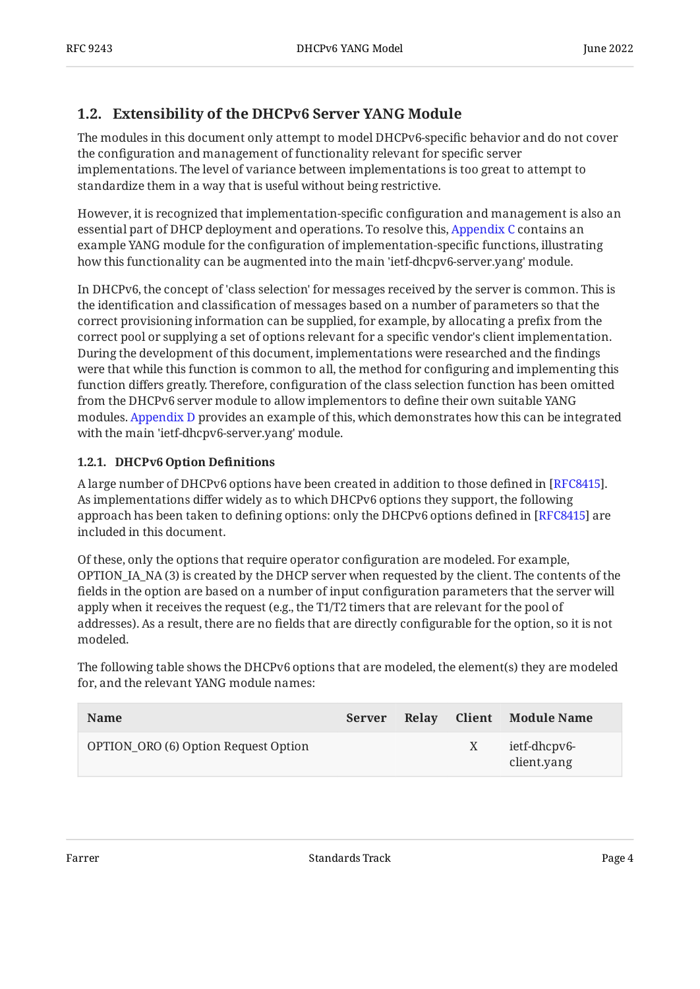### <span id="page-3-0"></span>**[1.2. Extensibility of the DHCPv6 Server YANG Module](#page-3-0)**

The modules in this document only attempt to model DHCPv6-specific behavior and do not cover the configuration and management of functionality relevant for specific server implementations. The level of variance between implementations is too great to attempt to standardize them in a way that is useful without being restrictive.

However, it is recognized that implementation-specific configuration and management is also an essential part of DHCP deployment and operations. To resolve this, [Appendix C](#page-80-0) contains an example YANG module for the configuration of implementation-specific functions, illustrating how this functionality can be augmented into the main 'ietf-dhcpv6-server.yang' module.

In DHCPv6, the concept of 'class selection' for messages received by the server is common. This is the identification and classification of messages based on a number of parameters so that the correct provisioning information can be supplied, for example, by allocating a prefix from the correct pool or supplying a set of options relevant for a specific vendor's client implementation. During the development of this document, implementations were researched and the findings were that while this function is common to all, the method for configuring and implementing this function differs greatly. Therefore, configuration of the class selection function has been omitted from the DHCPv6 server module to allow implementors to define their own suitable YANG modules. [Appendix D](#page-84-0) provides an example of this, which demonstrates how this can be integrated with the main 'ietf-dhcpv6-server.yang' module.

#### <span id="page-3-1"></span>**[1.2.1. DHCPv6 Option De](#page-3-1)finitions**

A large number of DHCPv6 options have been created in addition to those defined in [RFC8415]. As implementations differ widely as to which DHCPv6 options they support, the following approach has been taken to defining options: only the DHCPv6 options defined in [RFC8415] are included in this document.

Of these, only the options that require operator configuration are modeled. For example, OPTION\_IA\_NA (3) is created by the DHCP server when requested by the client. The contents of the fields in the option are based on a number of input configuration parameters that the server will apply when it receives the request (e.g., the T1/T2 timers that are relevant for the pool of addresses). As a result, there are no fields that are directly configurable for the option, so it is not modeled.

The following table shows the DHCPv6 options that are modeled, the element(s) they are modeled for, and the relevant YANG module names:

<span id="page-3-2"></span>

| <b>Name</b>                          | Server | Relav | Client Module Name          |
|--------------------------------------|--------|-------|-----------------------------|
| OPTION_ORO (6) Option Request Option |        |       | ietf-dhcpv6-<br>client.yang |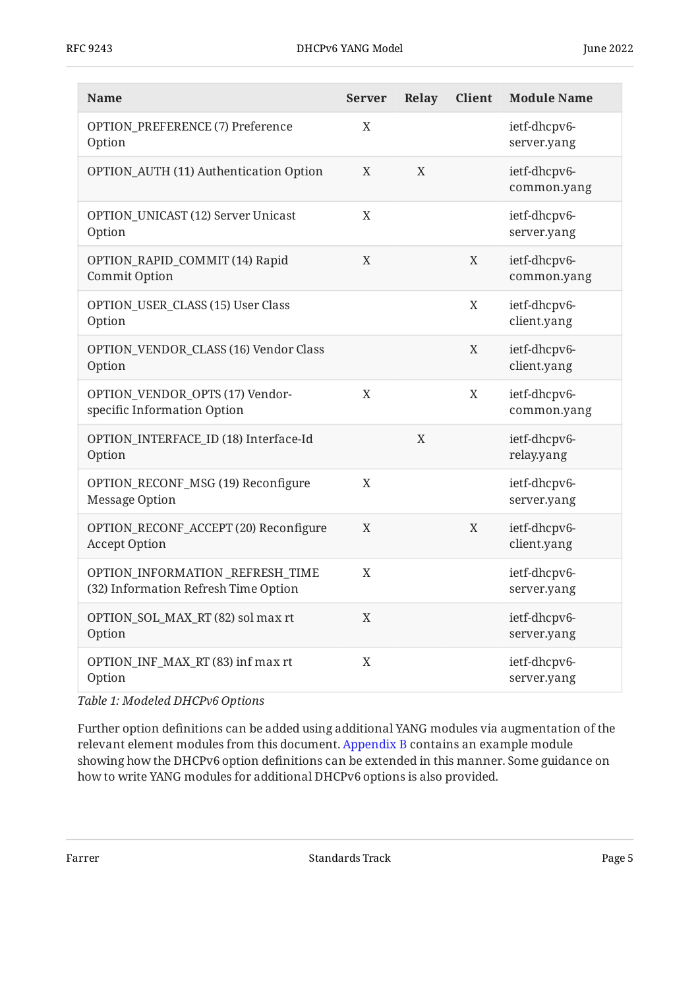| <b>Name</b>                                                             | <b>Server</b> | Relay | Client      | <b>Module Name</b>          |
|-------------------------------------------------------------------------|---------------|-------|-------------|-----------------------------|
| OPTION_PREFERENCE (7) Preference<br>Option                              | X             |       |             | ietf-dhcpv6-<br>server.yang |
| OPTION_AUTH (11) Authentication Option                                  | X             | X     |             | ietf-dhcpv6-<br>common.yang |
| OPTION_UNICAST (12) Server Unicast<br>Option                            | $\mathbf X$   |       |             | ietf-dhcpv6-<br>server.yang |
| OPTION_RAPID_COMMIT (14) Rapid<br>Commit Option                         | X             |       | X           | ietf-dhcpv6-<br>common.yang |
| OPTION_USER_CLASS (15) User Class<br>Option                             |               |       | X           | ietf-dhcpv6-<br>client.yang |
| OPTION_VENDOR_CLASS (16) Vendor Class<br>Option                         |               |       | $\mathbf X$ | ietf-dhcpv6-<br>client.yang |
| OPTION_VENDOR_OPTS (17) Vendor-<br>specific Information Option          | X             |       | $\mathbf X$ | ietf-dhcpv6-<br>common.yang |
| OPTION_INTERFACE_ID (18) Interface-Id<br>Option                         |               | X     |             | ietf-dhcpv6-<br>relay.yang  |
| OPTION_RECONF_MSG (19) Reconfigure<br>Message Option                    | X             |       |             | ietf-dhcpv6-<br>server.yang |
| OPTION_RECONF_ACCEPT (20) Reconfigure<br><b>Accept Option</b>           | X             |       | $\mathbf X$ | ietf-dhcpv6-<br>client.yang |
| OPTION_INFORMATION_REFRESH_TIME<br>(32) Information Refresh Time Option | X             |       |             | ietf-dhcpv6-<br>server.yang |
| OPTION_SOL_MAX_RT (82) sol max rt<br>Option                             | $\mathbf X$   |       |             | ietf-dhcpv6-<br>server.yang |
| OPTION_INF_MAX_RT (83) inf max rt<br>Option                             | X             |       |             | ietf-dhcpv6-<br>server.yang |

*[Table 1: Modeled DHCPv6 Options](#page-3-2)* 

Further option definitions can be added using additional YANG modules via augmentation of the relevant element modules from this document. [Appendix B](#page-76-0) contains an example module showing how the DHCPv6 option definitions can be extended in this manner. Some guidance on how to write YANG modules for additional DHCPv6 options is also provided.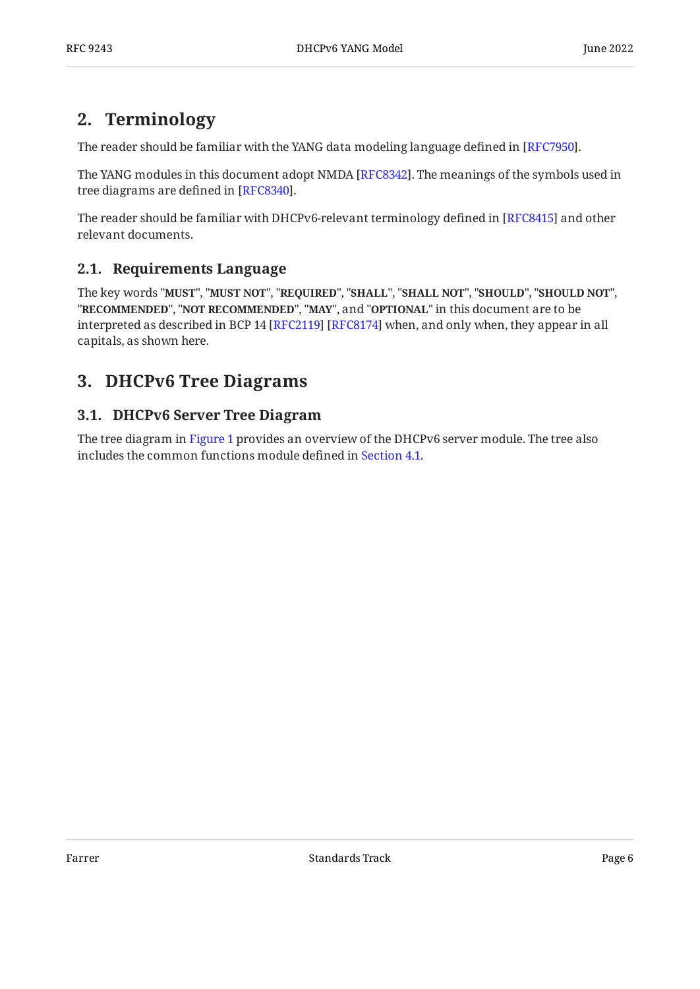### <span id="page-5-0"></span>**[2. Terminology](#page-5-0)**

The reader should be familiar with the YANG data modeling language defined in [RFC7950].

The YANG modules in this document adopt NMDA [RFC8342]. The meanings of the symbols used in tree diagrams are defined in [RFC8340].

The reader should be familiar with DHCPv6-relevant terminology defined in [RFC8415] and other relevant documents.

#### <span id="page-5-1"></span>**[2.1. Requirements Language](#page-5-1)**

The key words "MUST", "MUST NOT", "REQUIRED", "SHALL", "SHALL NOT", "SHOULD", "SHOULD NOT", "**RECOMMENDED", "NOT RECOMMENDED", "MAY",** and "OPTIONAL" in this document are to be interpreted as described in BCP 14 [RFC2119] [RFC8174] when, and only when, they appear in all capitals, as shown here.

### <span id="page-5-3"></span><span id="page-5-2"></span>**[3. DHCPv6 Tree Diagrams](#page-5-2)**

### **[3.1. DHCPv6 Server Tree Diagram](#page-5-3)**

<span id="page-5-4"></span>The tree diagram in [Figure 1](#page-6-0) provides an overview of the DHCPv6 server module. The tree also includes the common functions module defined in [Section 4.1](#page-18-1).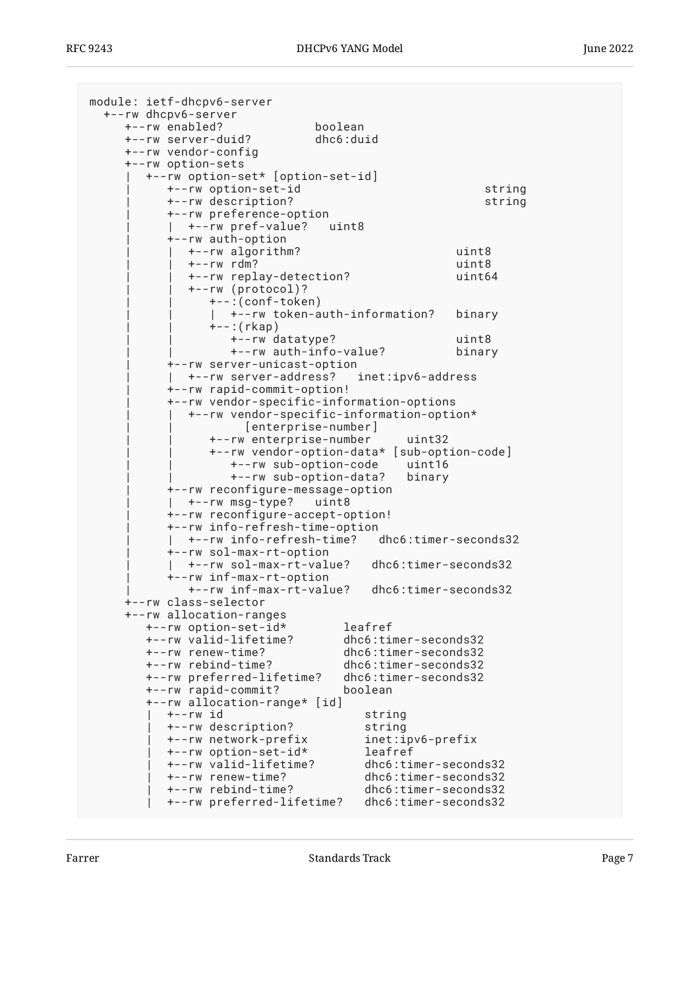<span id="page-6-0"></span>

| module: ietf-dhcpv6-server                         |                        |
|----------------------------------------------------|------------------------|
| +--rw dhcpv6-server                                |                        |
| +--rw enabled?<br>boolean                          |                        |
| dhc6:duid<br>+--rw server-duid?                    |                        |
| +--rw vendor-config                                |                        |
| +--rw option-sets                                  |                        |
| +--rw option-set* [option-set-id]                  |                        |
| +--rw option-set-id                                | string                 |
| +--rw description?                                 | string                 |
| +--rw preference-option<br>+--rw pref-value?       |                        |
| uint8<br>+--rw auth-option                         |                        |
| +--rw algorithm?                                   | uint8                  |
| $+--rw$ rdm?                                       | uint8                  |
| +--rw replay-detection?                            | uint64                 |
| +--rw (protocol)?                                  |                        |
| +--:(conf-token)                                   |                        |
| +--rw token-auth-information?                      | binary                 |
| $+--$ : ( $rkap$ )                                 |                        |
| +--rw datatype?                                    | uint8                  |
| +--rw auth-info-value?                             | binary                 |
| +--rw server-unicast-option                        |                        |
| +--rw server-address?                              | inet:ipv6-address      |
| +--rw rapid-commit-option!                         |                        |
| +--rw vendor-specific-information-options          |                        |
| +--rw vendor-specific-information-option*          |                        |
| [enterprise-number]<br>+--rw enterprise-number     | uint32                 |
| +--rw vendor-option-data* [sub-option-code]        |                        |
| +--rw sub-option-code                              | uint16                 |
| +--rw sub-option-data?                             | binary                 |
| +--rw reconfigure-message-option                   |                        |
| +--rw msg-type? uint8                              |                        |
| +--rw reconfigure-accept-option!                   |                        |
| +--rw info-refresh-time-option                     |                        |
| +--rw info-refresh-time? dhc6:timer-seconds32      |                        |
| +--rw sol-max-rt-option                            | dhc6:timer-seconds32   |
| +--rw sol-max-rt-value?<br>+--rw inf-max-rt-option |                        |
| +--rw inf-max-rt-value?                            | $dhcb:timer-seconds32$ |
| +--rw class-selector                               |                        |
| +--rw allocation-ranges                            |                        |
| +--rw option-set-id*                               | leafref                |
| +--rw valid-lifetime?                              | dhc6:timer-seconds32   |
| +--rw renew-time?                                  | dhc6:timer-seconds32   |
| +--rw rebind-time?                                 | dhc6:timer-seconds32   |
| +--rw preferred-lifetime?                          | dhc6:timer-seconds32   |
| +--rw rapid-commit?                                | boolean                |
| +--rw allocation-range* [id]<br>+--rw id           |                        |
| +--rw description?                                 | string<br>string       |
| +--rw network-prefix                               | inet:ipv6-prefix       |
| +--rw option-set-id*                               | leafref                |
| +--rw valid-lifetime?                              | dhc6:timer-seconds32   |
| +--rw renew-time?                                  | dhc6:timer-seconds32   |
| +--rw rebind-time?                                 | dhc6:timer-seconds32   |
| +--rw preferred-lifetime?                          | dhc6:timer-seconds32   |

Farrer **Example 2** Standards Track Page 7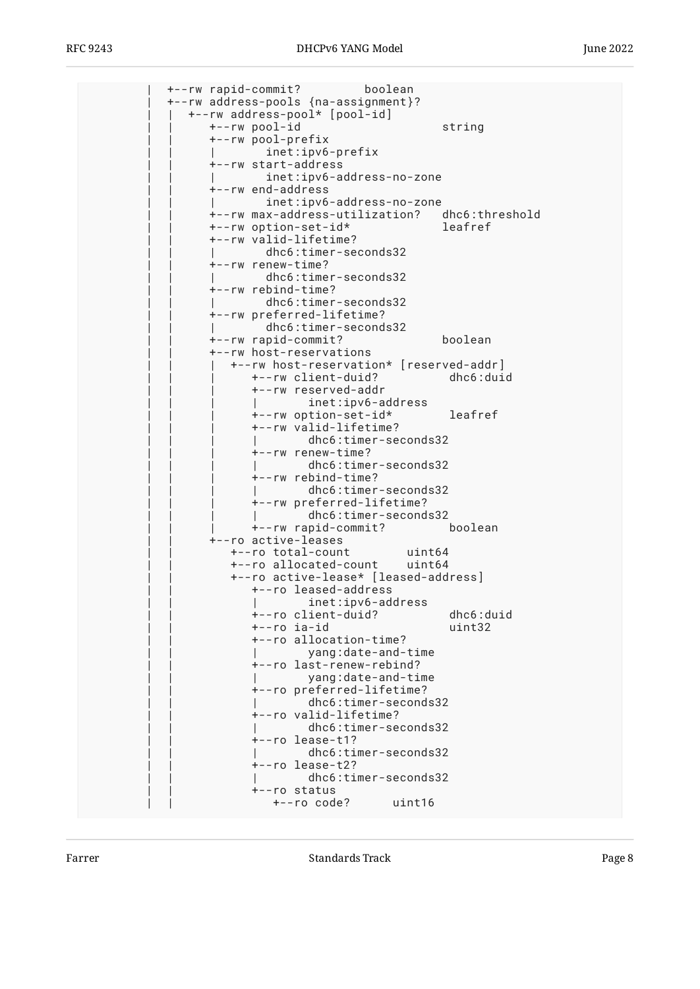| +--rw rapid-commit? boolean | +--rw address-pools {na-assignment}? | | +--rw address-pool\* [pool-id] | | +--rw pool-id string | | +--rw pool-prefix inet:ipv6-prefix | | +--rw start-address | | | inet:ipv6-address-no-zone | | +--rw end-address inet:ipv6-address-no-zone | | +--rw max-address-utilization? dhc6:threshold | | +--rw option-set-id\* leafref | | +--rw valid-lifetime? dhc6:timer-seconds32 | | +--rw renew-time? | | | dhc6:timer-seconds32 | | +--rw rebind-time? dhc6:timer-seconds32 | | +--rw preferred-lifetime? dhc6:timer-seconds32 | | +--rw rapid-commit? boolean | | +--rw host-reservations | | | +--rw host-reservation\* [reserved-addr] | | | +--rw client-duid? dhc6:duid | | | +--rw reserved-addr | | | | inet:ipv6-address | | | +--rw option-set-id\* leafref | | | +--rw valid-lifetime? dhc6:timer-seconds32  $+--rw$  renew-time? | | | | dhc6:timer-seconds32 | | | +--rw rebind-time? dhc6:timer-seconds32 | | | +--rw preferred-lifetime? dhc6:timer-seconds32 | | | +--rw rapid-commit? boolean | | +--ro active-leases | | +--ro total-count uint64 | | +--ro allocated-count uint64 | | +--ro active-lease\* [leased-address] | | +--ro leased-address inet:ipv6-address | | +--ro client-duid? dhc6:duid  $+--ro$  ia-id | | +--ro allocation-time? | | | yang:date-and-time | | +--ro last-renew-rebind? | | | yang:date-and-time | | +--ro preferred-lifetime? dhc6:timer-seconds32 | | +--ro valid-lifetime? dhc6:timer-seconds32 | | +--ro lease-t1? dhc6:timer-seconds32 | | +--ro lease-t2? dhc6:timer-seconds32 | | +--ro status | | +--ro code? uint16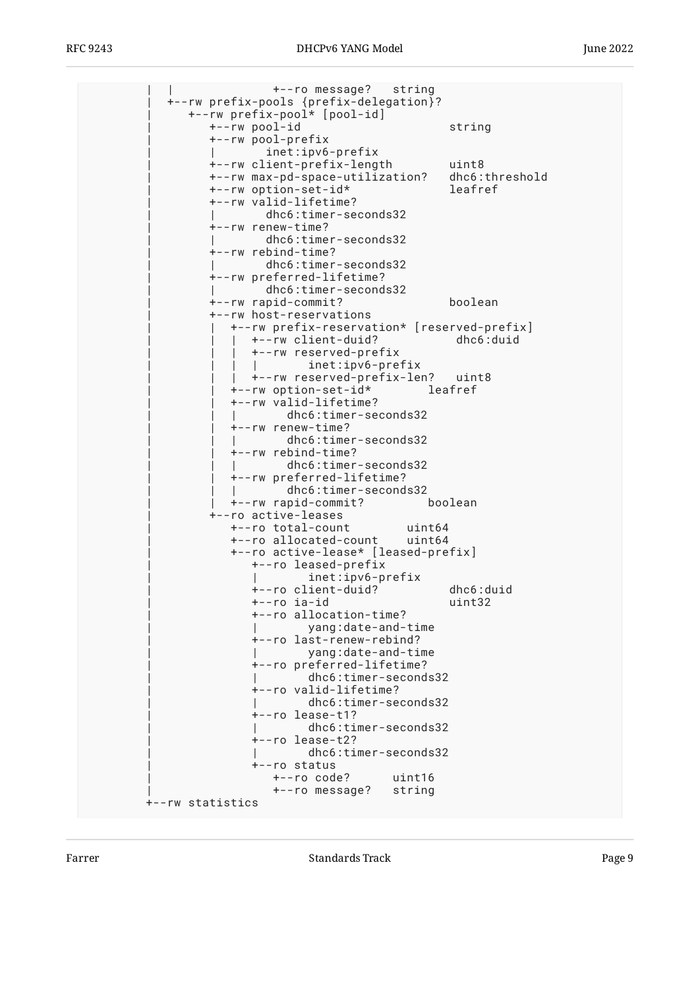| +--ro message? string<br>+--rw prefix-pools {prefix-delegation}? |                |
|------------------------------------------------------------------|----------------|
| +--rw prefix-pool* [pool-id]                                     |                |
| +--rw pool-id                                                    | string         |
| +--rw pool-prefix                                                |                |
| inet:ipv6-prefix                                                 |                |
| +--rw client-prefix-length                                       | uint8          |
| +--rw max-pd-space-utilization?                                  | dhc6:threshold |
| +--rw option-set-id*                                             | leafref        |
| +--rw valid-lifetime?                                            |                |
| dhc6:timer-seconds32                                             |                |
| +--rw renew-time?                                                |                |
| dhc6:timer-seconds32<br>+--rw rebind-time?                       |                |
| dhc6:timer-seconds32                                             |                |
| +--rw preferred-lifetime?                                        |                |
| dhc6:timer-seconds32                                             |                |
| +--rw rapid-commit?                                              | boolean        |
| +--rw host-reservations                                          |                |
| +--rw prefix-reservation* [reserved-prefix]                      |                |
| +--rw client-duid?                                               | dhc6:duid      |
| +--rw reserved-prefix                                            |                |
| $in$ et: $ip$ v $6$ -prefix                                      |                |
| +--rw reserved-prefix-len? uint8                                 |                |
| +--rw option-set-id*                                             | leafref        |
| +--rw valid-lifetime?                                            |                |
| dhc6:timer-seconds32                                             |                |
| +--rw renew-time?                                                |                |
| dhc6:timer-seconds32<br>+--rw rebind-time?                       |                |
| dhc6:timer-seconds32                                             |                |
| +--rw preferred-lifetime?                                        |                |
| dhc6:timer-seconds32                                             |                |
| +--rw rapid-commit?                                              | boolean        |
| +--ro active-leases                                              |                |
| +--ro total-count<br>uint64                                      |                |
| +--ro allocated-count uint64                                     |                |
| +--ro active-lease* [leased-prefix]                              |                |
| +--ro leased-prefix                                              |                |
| inet:ipv6-prefix                                                 |                |
| +--ro client-duid?                                               | dhc6:duid      |
| +--ro ia-id<br>+--ro allocation-time?                            | uint32         |
| yang:date-and-time                                               |                |
| +--ro last-renew-rebind?                                         |                |
| yang:date-and-time                                               |                |
| +--ro preferred-lifetime?                                        |                |
| dhc6:timer-seconds32                                             |                |
| +--ro valid-lifetime?                                            |                |
| dhc6:timer-seconds32                                             |                |
| +--ro lease-t1?                                                  |                |
| dhc6:timer-seconds32                                             |                |
| +--ro lease-t2?                                                  |                |
| dhc6:timer-seconds32                                             |                |
| +--ro status<br>+--ro code?<br>uint16                            |                |
| +--ro message?<br>string                                         |                |
| +--rw statistics                                                 |                |
|                                                                  |                |

Farrer **Example 2** Standards Track Page 9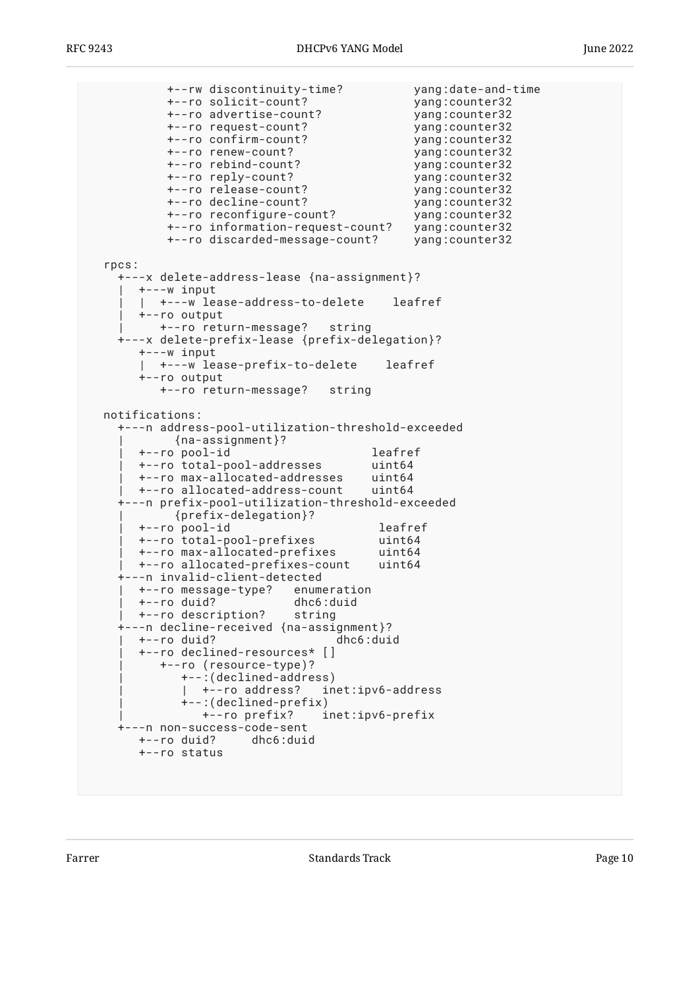+--rw discontinuity-time? yang:date-and-time +--ro solicit-count? yang:counter32 +--ro advertise-count? yang:counter32 +--ro request-count? yang:counter32 +--ro confirm-count? yang:counter32 +--ro renew-count? +--ro rebind-count? yang:counter32 +--ro reply-count? yang:counter32 +--ro release-count? yang:counter32 +--ro decline-count? yang:counter32 +--ro reconfigure-count? +--ro information-request-count? yang:counter32 +--ro discarded-message-count? yang:counter32 rpcs: +---x delete-address-lease {na-assignment}? | +---w input | | +---w lease-address-to-delete leafref | +--ro output | +--ro return-message? string +---x delete-prefix-lease {prefix-delegation}? +---w input | +---w lease-prefix-to-delete leafref +--ro output +--ro return-message? string notifications: +---n address-pool-utilization-threshold-exceeded | {na-assignment}? | +--ro pool-id leafref | +--ro total-pool-addresses uint64 | +--ro max-allocated-addresses uint64 | +--ro allocated-address-count uint64 +---n prefix-pool-utilization-threshold-exceeded | {prefix-delegation}? | +--ro pool-id leafref | +--ro total-pool-prefixes uint64 +--ro max-allocated-prefixes | +--ro allocated-prefixes-count uint64 +---n invalid-client-detected | +--ro message-type? enumeration | +--ro duid? dhc6:duid +--ro description? +---n decline-received {na-assignment}? +--ro duid? | +--ro declined-resources\* [] | +--ro (resource-type)? | +--:(declined-address) | +--ro address? inet:ipv6-address | +--:(declined-prefix) | +--ro prefix? inet:ipv6-prefix +---n non-success-code-sent +--ro duid? dhc6:duid +--ro status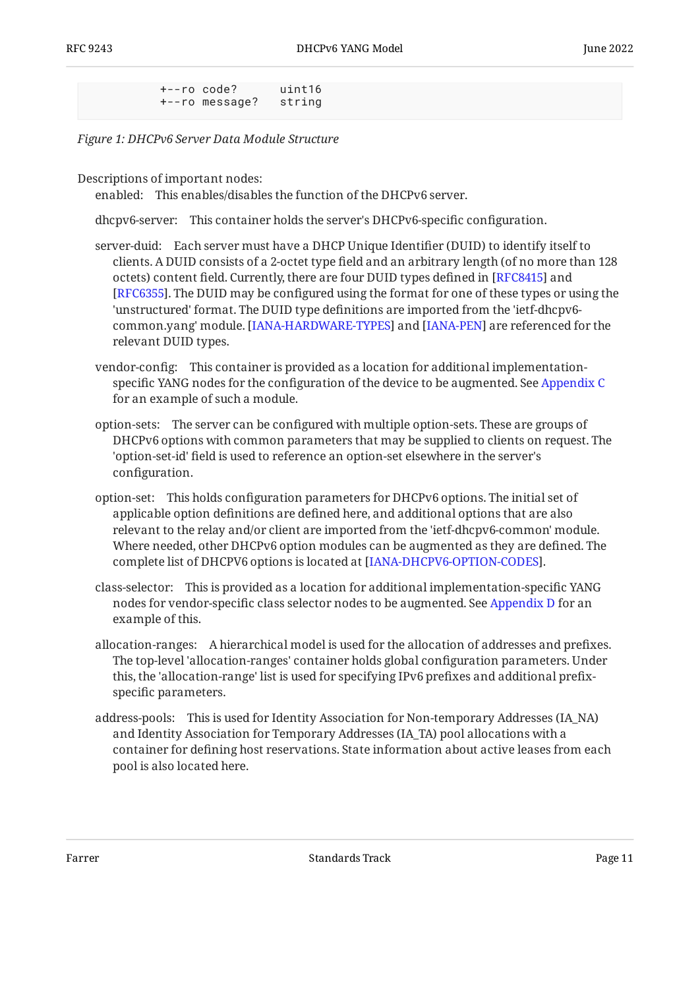```
 +--ro code? uint16
 +--ro message? string
```
*[Figure 1:](#page-6-0) [DHCPv6 Server Data Module Structure](#page-5-4)* 

Descriptions of important nodes:

enabled: This enables/disables the function of the DHCPv6 server.

dhcpv6-server: This container holds the server's DHCPv6-specific configuration.

- server-duid: Each server must have a DHCP Unique Identifier (DUID) to identify itself to clients. A DUID consists of a 2-octet type field and an arbitrary length (of no more than 128 octets) content field. Currently, there are four DUID types defined in [RFC8415] and [[RFC6355\]](#page-68-3). The DUID may be configured using the format for one of these types or using the 'unstructured' format. The DUID type definitions are imported from the 'ietf-dhcpv6 common.yang' module. [IANA-HARDWARE-TYPES] and [IANA-PEN] are referenced for the relevant DUID types.
- vendor-config: This container is provided as a location for additional implementationspecific YANG nodes for the configuration of the device to be augmented. See [Appendix C](#page-80-0) for an example of such a module.
- option-sets: The server can be configured with multiple option-sets. These are groups of DHCPv6 options with common parameters that may be supplied to clients on request. The 'option-set-id' field is used to reference an option-set elsewhere in the server's configuration.
- option-set: This holds configuration parameters for DHCPv6 options. The initial set of applicable option definitions are defined here, and additional options that are also relevant to the relay and/or client are imported from the 'ietf-dhcpv6-common' module. Where needed, other DHCPv6 option modules can be augmented as they are defined. The complete list of DHCPV6 options is located at [\[IANA-DHCPV6-OPTION-CODES](#page-68-6)].
- class-selector: This is provided as a location for additional implementation-specific YANG nodes for vendor-specific class selector nodes to be augmented. See [Appendix D](#page-84-0) for an example of this.
- allocation-ranges: A hierarchical model is used for the allocation of addresses and prefixes. The top-level 'allocation-ranges' container holds global configuration parameters. Under this, the 'allocation-range' list is used for specifying IPv6 prefixes and additional prefixspecific parameters.
- address-pools: This is used for Identity Association for Non-temporary Addresses (IA\_NA) and Identity Association for Temporary Addresses (IA\_TA) pool allocations with a container for defining host reservations. State information about active leases from each pool is also located here.

Farrer The Communication of the Standards Track Communication of the Page 11 and 2011 and 2012 and 2012 and 201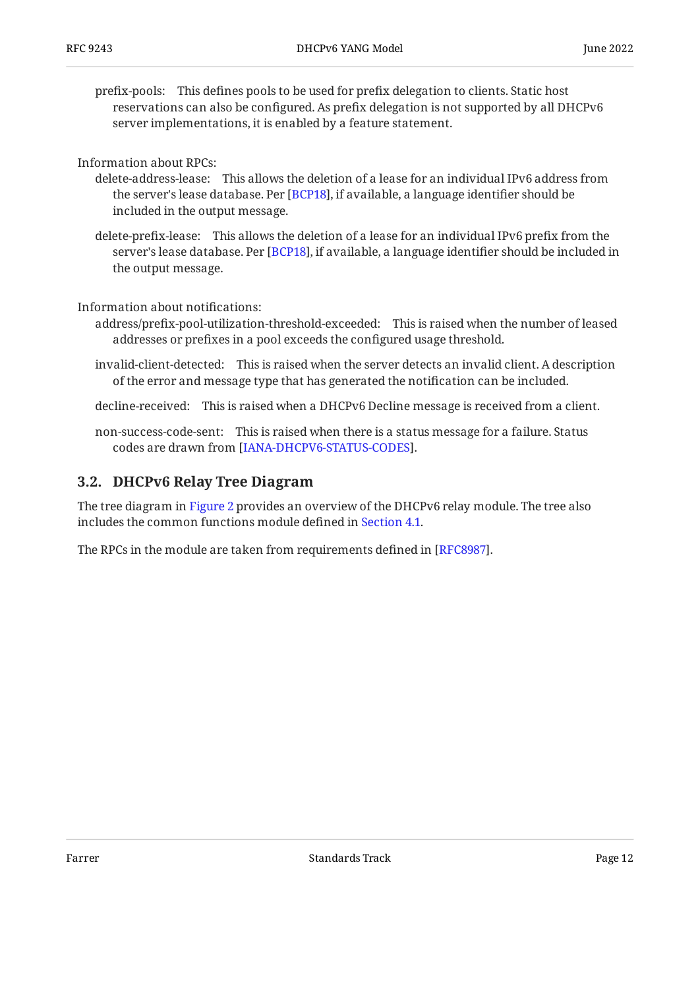prefix-pools: This defines pools to be used for prefix delegation to clients. Static host reservations can also be configured. As prefix delegation is not supported by all DHCPv6 server implementations, it is enabled by a feature statement.

Information about RPCs:

- delete-address-lease: This allows the deletion of a lease for an individual IPv6 address from the server's lease database. Per [BCP18], if available, a language identifier should be included in the output message.
- delete-prefix-lease: This allows the deletion of a lease for an individual IPv6 prefix from the server's lease database. Per [BCP18], if available, a language identifier should be included in the output message.

Information about notifications:

- address/prefix-pool-utilization-threshold-exceeded: This is raised when the number of leased addresses or prefixes in a pool exceeds the configured usage threshold.
- invalid-client-detected: This is raised when the server detects an invalid client. A description of the error and message type that has generated the notification can be included.

decline-received: This is raised when a DHCPv6 Decline message is received from a client.

non-success-code-sent: This is raised when there is a status message for a failure. Status codes are drawn from [[IANA-DHCPV6-STATUS-CODES\]](#page-68-7).

#### <span id="page-11-0"></span>**[3.2. DHCPv6 Relay Tree Diagram](#page-11-0)**

The tree diagram in [Figure 2](#page-12-0) provides an overview of the DHCPv6 relay module. The tree also includes the common functions module defined in [Section 4.1](#page-18-1).

<span id="page-11-1"></span>The RPCs in the module are taken from requirements defined in [\[RFC8987](#page-69-7)].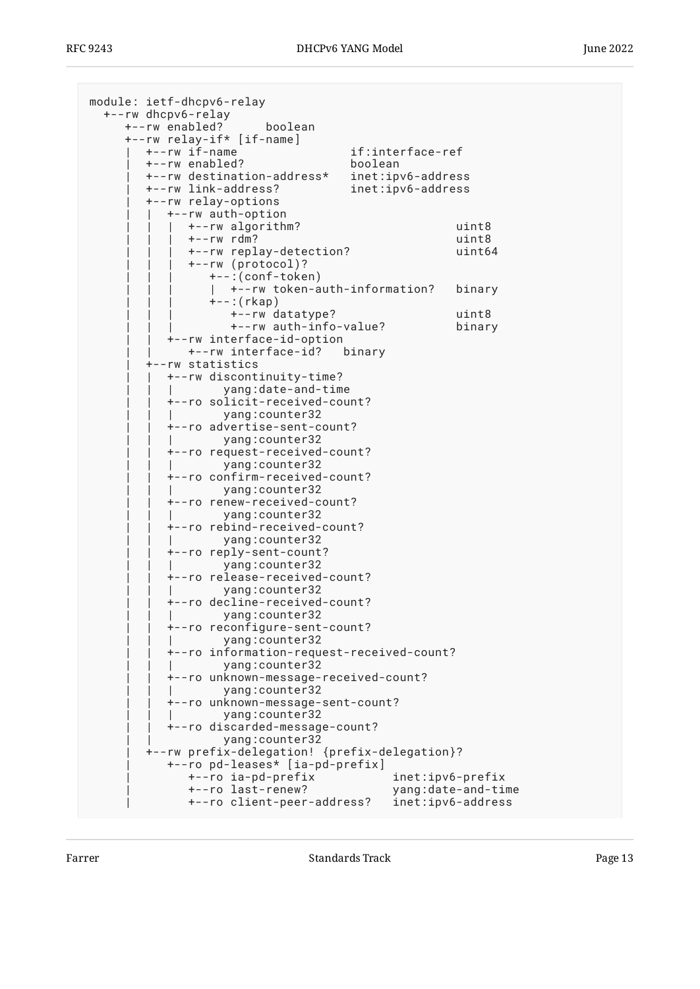<span id="page-12-0"></span>

| module: ietf-dhcpv6-relay                     |                                                      |                  |                    |
|-----------------------------------------------|------------------------------------------------------|------------------|--------------------|
| +--rw dhcpv6-relay                            |                                                      |                  |                    |
| +--rw enabled?                                | boolean                                              |                  |                    |
| +--rw relay-if* [if-name]<br>+--rw if-name    |                                                      | if:interface-ref |                    |
| +--rw enabled?                                |                                                      | boolean          |                    |
| +--rw destination-address*                    |                                                      |                  | inet:ipv6-address  |
| +--rw link-address?                           |                                                      |                  | inet:ipv6-address  |
| +--rw relay-options                           |                                                      |                  |                    |
| +--rw auth-option                             |                                                      |                  |                    |
| +--rw algorithm?                              |                                                      |                  | uint8              |
| $+--rw$ rdm?                                  |                                                      |                  | uint8              |
|                                               | +--rw replay-detection?                              |                  | uint64             |
| +--rw (protocol)?                             |                                                      |                  |                    |
|                                               | +--:(conf-token)                                     |                  |                    |
|                                               | +--rw token-auth-information?                        |                  | binary             |
| $+-$ : (rkap)                                 | +--rw datatype?                                      |                  | uint8              |
|                                               | +--rw auth-info-value?                               |                  | binary             |
| +--rw interface-id-option                     |                                                      |                  |                    |
|                                               | +--rw interface-id? binary                           |                  |                    |
| --rw statistics                               |                                                      |                  |                    |
| +--rw discontinuity-time?                     |                                                      |                  |                    |
|                                               | yang:date-and-time                                   |                  |                    |
|                                               | +--ro solicit-received-count?                        |                  |                    |
|                                               | yang: counter32                                      |                  |                    |
|                                               | +--ro advertise-sent-count?                          |                  |                    |
|                                               | yang:counter32<br>+--ro request-received-count?      |                  |                    |
|                                               | yang:counter32                                       |                  |                    |
|                                               | +--ro confirm-received-count?                        |                  |                    |
|                                               | yang:counter32                                       |                  |                    |
|                                               | +--ro renew-received-count?                          |                  |                    |
|                                               | yang: counter32                                      |                  |                    |
|                                               | +--ro rebind-received-count?                         |                  |                    |
|                                               | yang:counter32                                       |                  |                    |
| +--ro reply-sent-count?                       |                                                      |                  |                    |
|                                               | yang:counter32                                       |                  |                    |
|                                               | +--ro release-received-count?<br>yang: counter32     |                  |                    |
|                                               | +--ro decline-received-count?                        |                  |                    |
| yang:counter32                                |                                                      |                  |                    |
|                                               | +--ro reconfigure-sent-count?                        |                  |                    |
|                                               | yang:counter32                                       |                  |                    |
|                                               | +--ro information-request-received-count?            |                  |                    |
|                                               | yang: counter32                                      |                  |                    |
|                                               | +--ro unknown-message-received-count?                |                  |                    |
|                                               | yang: counter32                                      |                  |                    |
|                                               | +--ro unknown-message-sent-count?<br>yang: counter32 |                  |                    |
|                                               | +--ro discarded-message-count?                       |                  |                    |
|                                               | yang:counter32                                       |                  |                    |
| +--rw prefix-delegation! {prefix-delegation}? |                                                      |                  |                    |
|                                               | +--ro pd-leases* [ia-pd-prefix]                      |                  |                    |
| +--ro ia-pd-prefix                            |                                                      |                  | inet:ipv6-prefix   |
| +--ro last-renew?                             |                                                      |                  | yang:date-and-time |
|                                               | +--ro client-peer-address?                           |                  | inet:ipv6-address  |

Farrer **Example 2018** Standards Track **Page 13**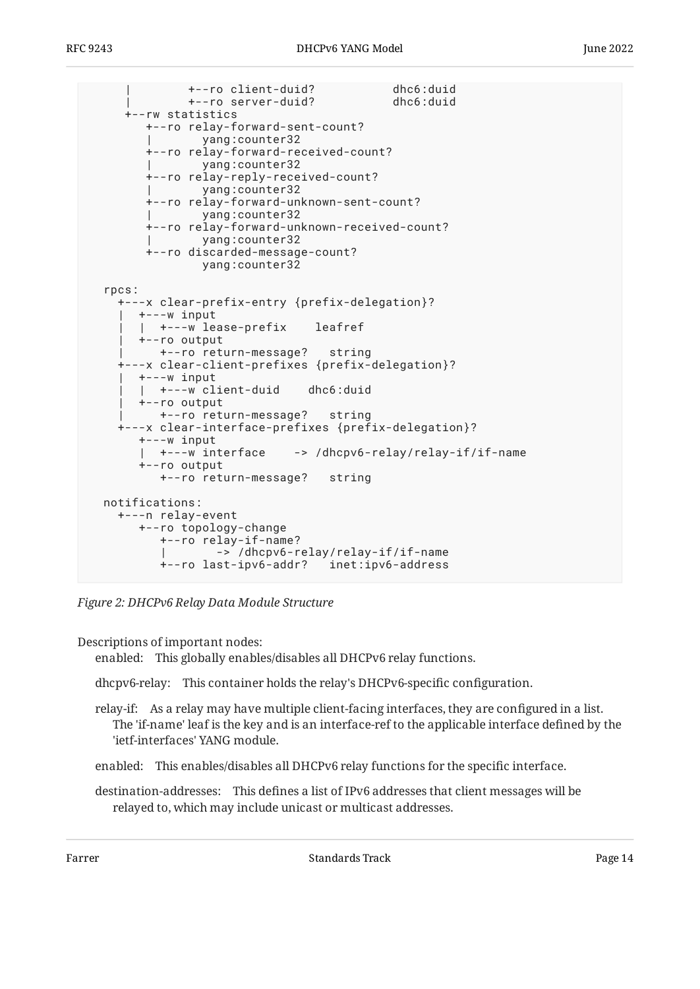```
 | +--ro client-duid? dhc6:duid
             | +--ro server-duid? dhc6:duid
    +--rw statistics
       +--ro relay-forward-sent-count?
               | yang:counter32
       +--ro relay-forward-received-count?
               | yang:counter32
       +--ro relay-reply-received-count?
               | yang:counter32
       +--ro relay-forward-unknown-sent-count?
               | yang:counter32
       +--ro relay-forward-unknown-received-count?
               | yang:counter32
       +--ro discarded-message-count?
               yang:counter32
 rpcs:
   +---x clear-prefix-entry {prefix-delegation}?
     | +---w input
      | | +---w lease-prefix leafref
     | +--ro output
        | +--ro return-message? string
   +---x clear-client-prefixes {prefix-delegation}?
     | +---w input
     | | +---w client-duid dhc6:duid
      | +--ro output
        | +--ro return-message? string
   +---x clear-interface-prefixes {prefix-delegation}?
      +---w input
      | +---w interface -> /dhcpv6-relay/relay-if/if-name
      +--ro output
         +--ro return-message? string
 notifications:
   +---n relay-event
      +--ro topology-change
         +--ro relay-if-name?
                 | -> /dhcpv6-relay/relay-if/if-name
         +--ro last-ipv6-addr? inet:ipv6-address
```
*[Figure 2:](#page-12-0) [DHCPv6 Relay Data Module Structure](#page-11-1)* 

Descriptions of important nodes:

enabled: This globally enables/disables all DHCPv6 relay functions.

dhcpv6-relay: This container holds the relay's DHCPv6-specific configuration.

relay-if: As a relay may have multiple client-facing interfaces, they are configured in a list. The 'if-name' leaf is the key and is an interface-ref to the applicable interface defined by the 'ietf-interfaces' YANG module.

enabled: This enables/disables all DHCPv6 relay functions for the specific interface.

destination-addresses: This defines a list of IPv6 addresses that client messages will be relayed to, which may include unicast or multicast addresses.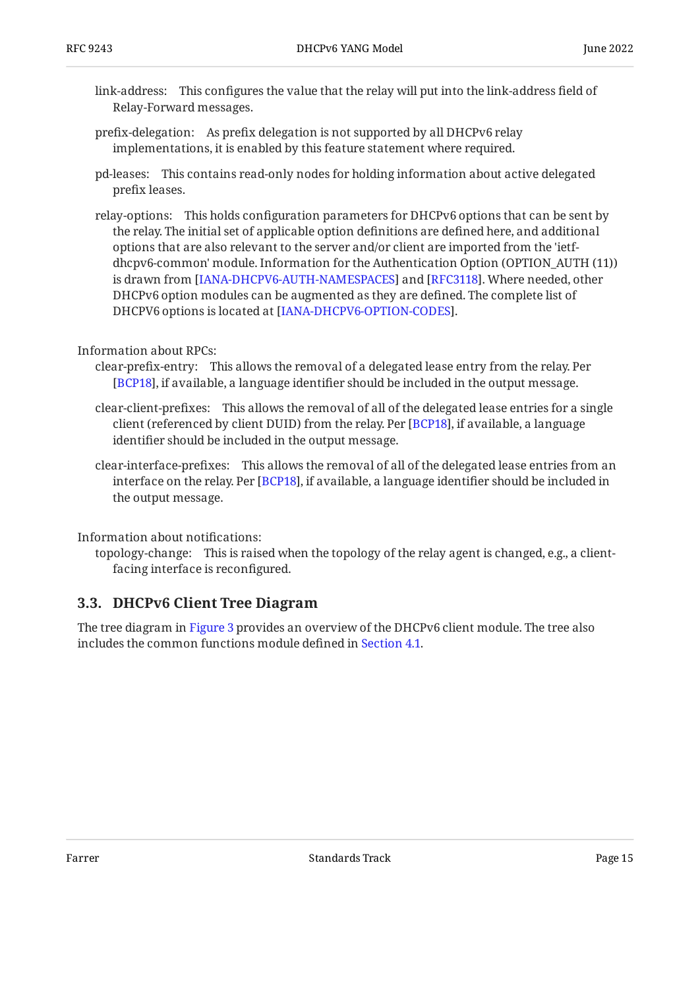- link-address: This configures the value that the relay will put into the link-address field of Relay-Forward messages.
- prefix-delegation: As prefix delegation is not supported by all DHCPv6 relay implementations, it is enabled by this feature statement where required.
- pd-leases: This contains read-only nodes for holding information about active delegated prefix leases.
- relay-options: This holds configuration parameters for DHCPv6 options that can be sent by the relay. The initial set of applicable option definitions are defined here, and additional options that are also relevant to the server and/or client are imported from the 'ietfdhcpv6-common' module. Information for the Authentication Option (OPTION\_AUTH (11)) is drawn from [\[IANA-DHCPV6-AUTH-NAMESPACES](#page-68-8)] and [[RFC3118\]](#page-68-9). Where needed, other DHCPv6 option modules can be augmented as they are defined. The complete list of DHCPV6 options is located at [IANA-DHCPV6-OPTION-CODES].
- Information about RPCs:
	- clear-prefix-entry: This allows the removal of a delegated lease entry from the relay. Per [[BCP18\]](#page-67-3), if available, a language identifier should be included in the output message.
	- clear-client-prefixes: This allows the removal of all of the delegated lease entries for a single client (referenced by client DUID) from the relay. Per [BCP18], if available, a language identifier should be included in the output message.
	- clear-interface-prefixes: This allows the removal of all of the delegated lease entries from an interface on the relay. Per [BCP18], if available, a language identifier should be included in the output message.

Information about notifications:

topology-change: This is raised when the topology of the relay agent is changed, e.g., a clientfacing interface is reconfigured.

#### <span id="page-14-0"></span>**[3.3. DHCPv6 Client Tree Diagram](#page-14-0)**

<span id="page-14-1"></span>The tree diagram in [Figure 3](#page-15-0) provides an overview of the DHCPv6 client module. The tree also includes the common functions module defined in [Section 4.1](#page-18-1).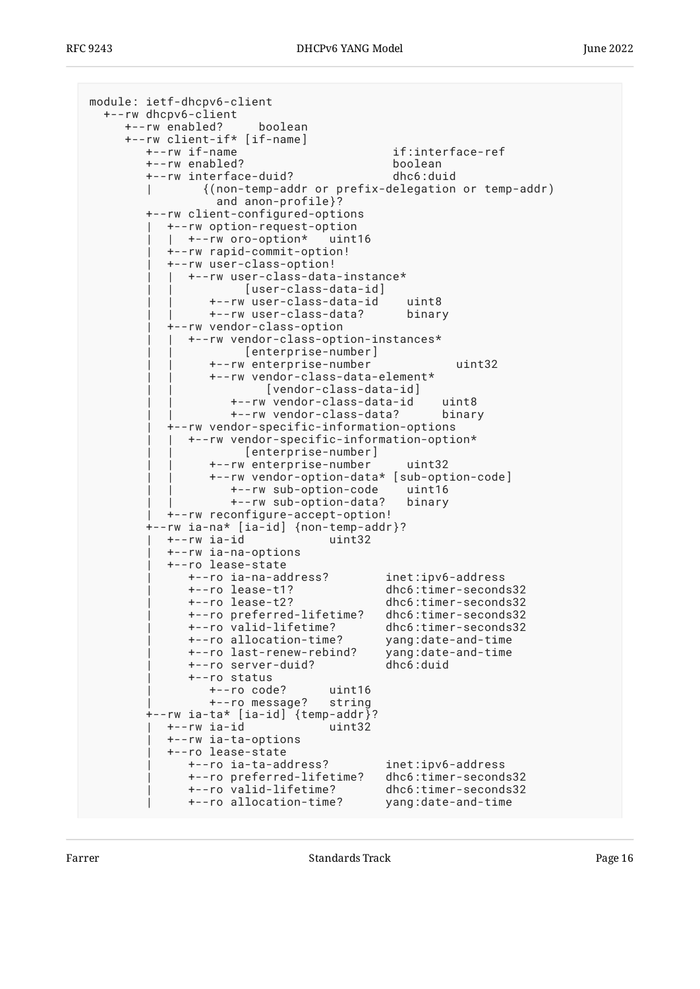<span id="page-15-0"></span>

| module: ietf-dhcpv6-client<br>+--rw dhcpv6-client<br>+--rw enabled?<br>boolean |                                              |
|--------------------------------------------------------------------------------|----------------------------------------------|
| +--rw client-if* [if-name]                                                     |                                              |
| +--rw if-name                                                                  | if:interface-ref                             |
| +--rw enabled?                                                                 | boolean                                      |
| +--rw interface-duid?                                                          | dhc6:duid                                    |
| {(non-temp-addr or prefix-delegation or temp-addr)                             |                                              |
| and anon-profile}?                                                             |                                              |
| +--rw client-configured-options                                                |                                              |
| +--rw option-request-option                                                    |                                              |
| +--rw oro-option*<br>uint16                                                    |                                              |
| +--rw rapid-commit-option!<br>+--rw user-class-option!                         |                                              |
| +--rw user-class-data-instance*                                                |                                              |
| [user-class-data-id]                                                           |                                              |
| +--rw user-class-data-id                                                       | uint8                                        |
| +--rw user-class-data?                                                         | binary                                       |
| +--rw vendor-class-option                                                      |                                              |
| +--rw vendor-class-option-instances*                                           |                                              |
| [enterprise-number]                                                            |                                              |
| +--rw enterprise-number                                                        | uint32                                       |
| +--rw vendor-class-data-element*<br>[vendor-class-data-id]                     |                                              |
| +--rw vendor-class-data-id uint8                                               |                                              |
| +--rw vendor-class-data?                                                       | binary                                       |
| +--rw vendor-specific-information-options                                      |                                              |
| +--rw vendor-specific-information-option*                                      |                                              |
| [enterprise-number]                                                            |                                              |
| +--rw enterprise-number                                                        | uint32                                       |
| +--rw vendor-option-data* [sub-option-code]                                    |                                              |
| +--rw sub-option-code<br>+--rw sub-option-data?                                | uint16<br>binary                             |
| +--rw reconfigure-accept-option!                                               |                                              |
| +--rw ia-na* [ia-id] {non-temp-addr}?                                          |                                              |
| +--rw ia-id<br>uint32                                                          |                                              |
| +--rw ia-na-options                                                            |                                              |
| +--ro lease-state                                                              |                                              |
| +--ro ia-na-address?                                                           | inet:ipv6-address                            |
| +--ro lease-t1?<br>+--ro lease-t2?                                             | dhc6:timer-seconds32<br>dhc6:timer-seconds32 |
| +--ro preferred-lifetime?                                                      | dhc6:timer-seconds32                         |
| +--ro valid-lifetime?                                                          | dhc6:timer-seconds32                         |
| +--ro allocation-time?                                                         | yang:date-and-time                           |
| +--ro last-renew-rebind?                                                       | yang:date-and-time                           |
| +--ro server-duid?                                                             | dhc6:duid                                    |
| +--ro status                                                                   |                                              |
| $+--ro code?$<br>uint16                                                        |                                              |
| +--ro message?<br>string                                                       |                                              |
| +--rw ia-ta* [ia-id] {temp-addr}?<br>+--rw ia-id<br>uint32                     |                                              |
| +--rw ia-ta-options                                                            |                                              |
| +--ro lease-state                                                              |                                              |
| +--ro ia-ta-address?                                                           | inet:ipv6-address                            |
| +--ro preferred-lifetime?                                                      | dhc6:timer-seconds32                         |
| +--ro valid-lifetime?                                                          | dhc6:timer-seconds32                         |
| +--ro allocation-time?                                                         | yang:date-and-time                           |
|                                                                                |                                              |

Farrer Farrer Estandards Track Estandards Track Page 16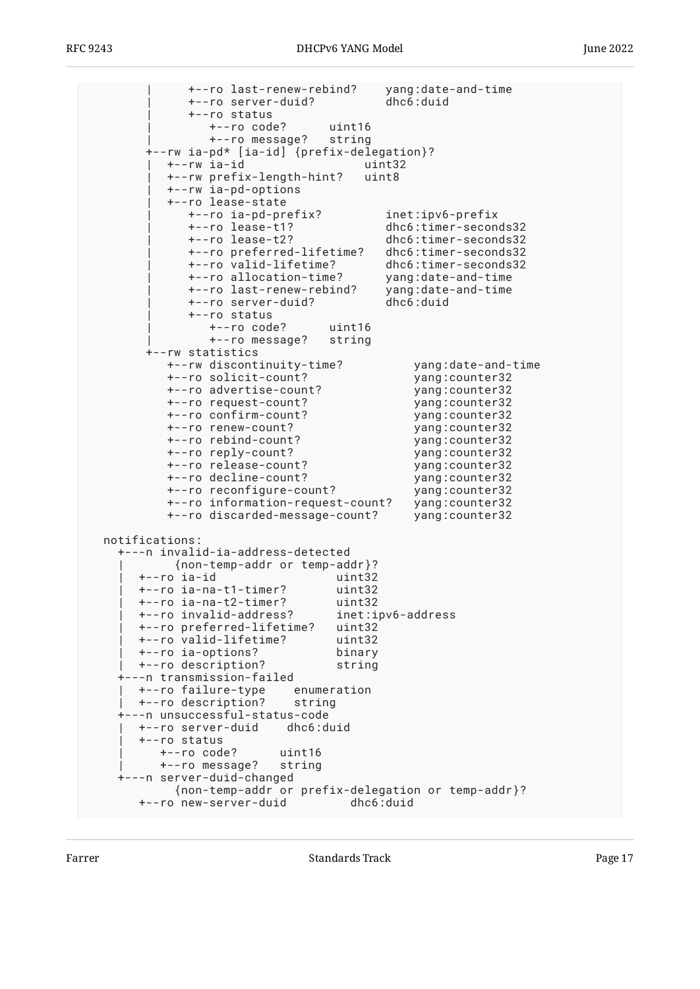| +--ro last-renew-rebind? yang:date-and-time | +--ro server-duid? dhc6:duid | +--ro status | +--ro code? uint16 | +--ro message? string +--rw ia-pd\* [ia-id] {prefix-delegation}? | +--rw ia-id uint32 | +--rw prefix-length-hint? uint8 | +--rw ia-pd-options | +--ro lease-state | +--ro ia-pd-prefix? inet:ipv6-prefix | +--ro lease-t1? dhc6:timer-seconds32 | +--ro lease-t2? dhc6:timer-seconds32 | +--ro preferred-lifetime? dhc6:timer-seconds32 +--ro valid-lifetime?<br>+--ro allocation-time? yang:date-and-time | +--ro last-renew-rebind? yang:date-and-time +--ro server-duid? | +--ro status | +--ro code? uint16 | +--ro message? string +--rw statistics +--rw discontinuity-time? yang:date-and-time +--ro solicit-count? yang:counter32 +--ro advertise-count? yang:counter32 +--ro request-count? +--ro confirm-count? +--ro confirm-count?<br>
+--ro renew-count?<br>
yang:counter32<br>
yang:counter32 +--ro rebind-count? yang:counter32<br>+--ro reply-count? yang:counter32 +--ro reply-count? yang:counter32  $+--ro$  release-count? +--ro decline-count? yang:counter32 +--ro reconfigure-count? yang:counter32 +--ro information-request-count? yang:counter32 +--ro discarded-message-count? yang:counter32 notifications: +---n invalid-ia-address-detected | {non-temp-addr or temp-addr}?  $+--ro$  ia-id | +--ro ia-na-t1-timer? uint32 | +--ro ia-na-t2-timer? uint32 | +--ro invalid-address? inet:ipv6-address | +--ro preferred-lifetime? uint32 +--ro valid-lifetime? | +--ro ia-options? binary | +--ro description? string +---n transmission-failed | +--ro failure-type enumeration | +--ro description? string +---n unsuccessful-status-code | +--ro server-duid dhc6:duid | +--ro status | +--ro code? uint16 | +--ro message? string +---n server-duid-changed {non-temp-addr or prefix-delegation or temp-addr}? +--ro new-server-duid dhc6:duid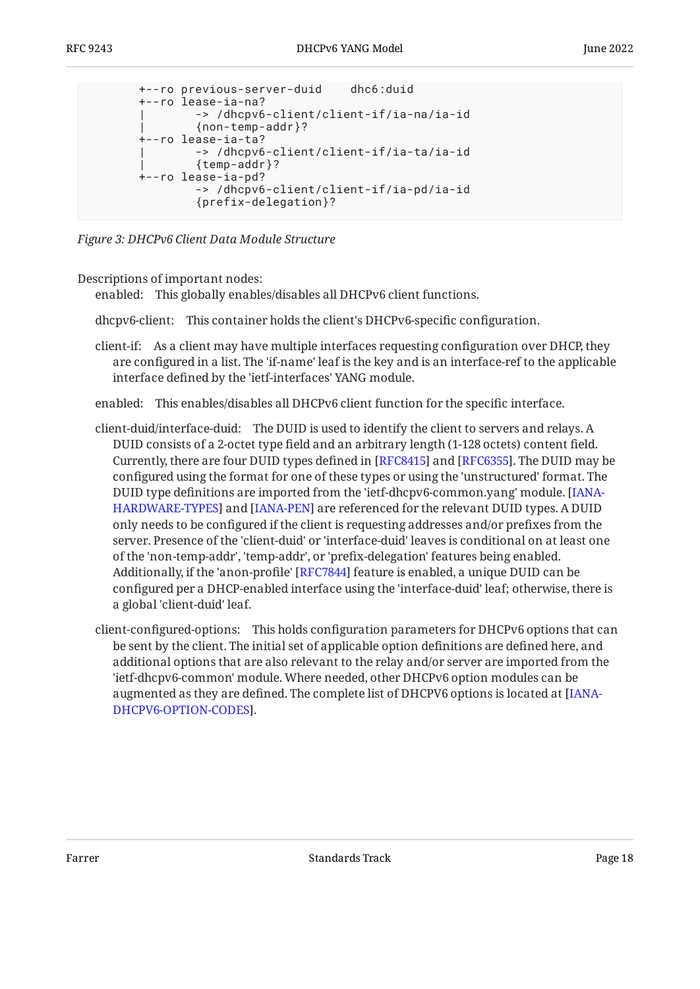```
 +--ro previous-server-duid dhc6:duid
 +--ro lease-ia-na?
         | -> /dhcpv6-client/client-if/ia-na/ia-id
         | {non-temp-addr}?
 +--ro lease-ia-ta?
         | -> /dhcpv6-client/client-if/ia-ta/ia-id
         | {temp-addr}?
 +--ro lease-ia-pd?
         -> /dhcpv6-client/client-if/ia-pd/ia-id
         {prefix-delegation}?
```
*[Figure 3:](#page-15-0) [DHCPv6 Client Data Module Structure](#page-14-1)* 

Descriptions of important nodes:

enabled: This globally enables/disables all DHCPv6 client functions.

dhcpv6-client: This container holds the client's DHCPv6-specific configuration.

client-if: As a client may have multiple interfaces requesting configuration over DHCP, they are configured in a list. The 'if-name' leaf is the key and is an interface-ref to the applicable interface defined by the 'ietf-interfaces' YANG module.

enabled: This enables/disables all DHCPv6 client function for the specific interface.

- client-duid/interface-duid: The DUID is used to identify the client to servers and relays. A DUID consists of a 2-octet type field and an arbitrary length (1-128 octets) content field. Currently, there are four DUID types defined in [RFC8415] and [RFC6355]. The DUID may be configured using the format for one of these types or using the 'unstructured' format. The DUID type definitions are imported from the 'ietf-dhcpv6-common.yang' module. [[IANA-](#page-68-4)[HARDWARE-TYPES\]](#page-68-4) and [[IANA-PEN\]](#page-68-5) are referenced for the relevant DUID types. A DUID only needs to be configured if the client is requesting addresses and/or prefixes from the server. Presence of the 'client-duid' or 'interface-duid' leaves is conditional on at least one of the 'non-temp-addr', 'temp-addr', or 'prefix-delegation' features being enabled. Additionally, if the 'anon-profile' [[RFC7844\]](#page-68-10) feature is enabled, a unique DUID can be configured per a DHCP-enabled interface using the 'interface-duid' leaf; otherwise, there is a global 'client-duid' leaf.
- client-configured-options: This holds configuration parameters for DHCPv6 options that can be sent by the client. The initial set of applicable option definitions are defined here, and additional options that are also relevant to the relay and/or server are imported from the 'ietf-dhcpv6-common' module. Where needed, other DHCPv6 option modules can be augmented as they are defined. The complete list of DHCPV6 options is located at [\[IANA-](#page-68-6). [DHCPV6-OPTION-CODES](#page-68-6)]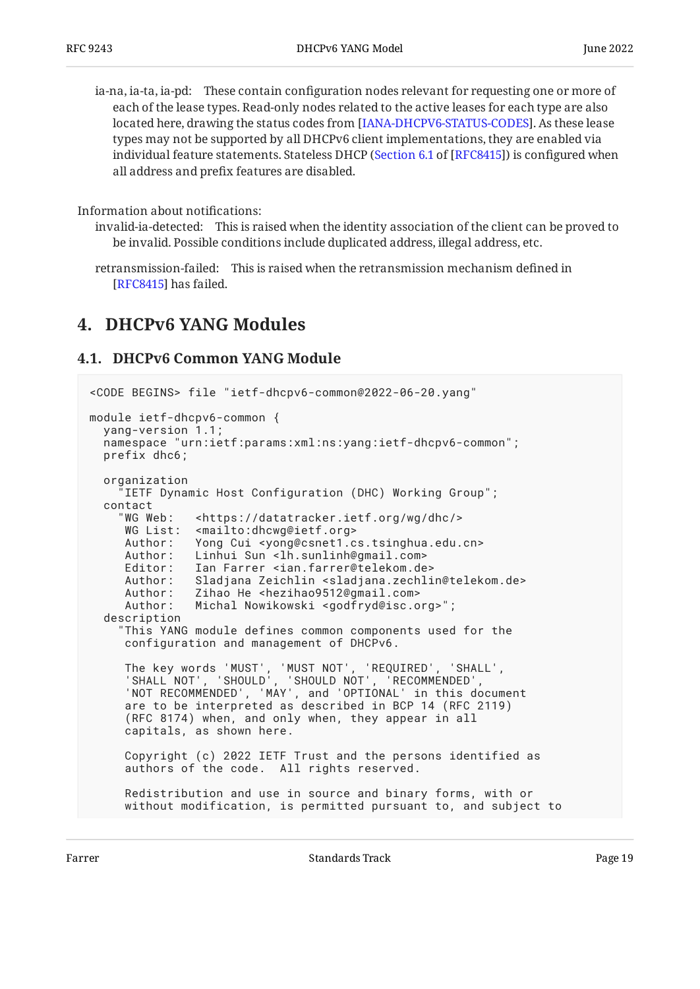ia-na, ia-ta, ia-pd: These contain configuration nodes relevant for requesting one or more of each of the lease types. Read-only nodes related to the active leases for each type are also located here, drawing the status codes from [IANA-DHCPV6-STATUS-CODES]. As these lease types may not be supported by all DHCPv6 client implementations, they are enabled via individual feature statements. Stateless DHCP ([Section 6.1](https://www.rfc-editor.org/rfc/rfc8415#section-6.1) of [[RFC8415\]](#page-69-1)) is configured when all address and prefix features are disabled.

Information about notifications:

invalid-ia-detected: This is raised when the identity association of the client can be proved to be invalid. Possible conditions include duplicated address, illegal address, etc.

retransmission-failed: This is raised when the retransmission mechanism defined in [[RFC8415\]](#page-69-1) has failed.

### <span id="page-18-1"></span><span id="page-18-0"></span>**[4. DHCPv6 YANG Modules](#page-18-0)**

#### **[4.1. DHCPv6 Common YANG Module](#page-18-1)**

```
<CODE BEGINS> file "ietf-dhcpv6-common@2022-06-20.yang"
module ietf-dhcpv6-common {
   yang-version 1.1;
   namespace "urn:ietf:params:xml:ns:yang:ietf-dhcpv6-common";
   prefix dhc6;
   organization
      "IETF Dynamic Host Configuration (DHC) Working Group";
   contact
     "WG Web: <https://datatracker.ietf.org/wg/dhc/>
     WG List: <mailto:dhcwq@ietf.org>
      Author: Yong Cui <yong@csnet1.cs.tsinghua.edu.cn>
     Author: Linhui Sun <lh.sunlinh@gmail.com>
     Editor: Ian Farrer <ian.farrer@telekom.de><br>Author: Sladjana Zeichlin <sladjana.zechli
               Sladjana Zeichlin <sladjana.zechlin@telekom.de>
      Author: Zihao He <hezihao9512@gmail.com>
      Author: Michal Nowikowski <godfryd@isc.org>";
   description
     "This YANG module defines common components used for the
      configuration and management of DHCPv6.
 The key words 'MUST', 'MUST NOT', 'REQUIRED', 'SHALL',
 'SHALL NOT', 'SHOULD', 'SHOULD NOT', 'RECOMMENDED',
 'NOT RECOMMENDED', 'MAY', and 'OPTIONAL' in this document
 are to be interpreted as described in BCP 14 (RFC 2119)
      (RFC 8174) when, and only when, they appear in all
      capitals, as shown here.
      Copyright (c) 2022 IETF Trust and the persons identified as
      authors of the code. All rights reserved.
      Redistribution and use in source and binary forms, with or
      without modification, is permitted pursuant to, and subject to
```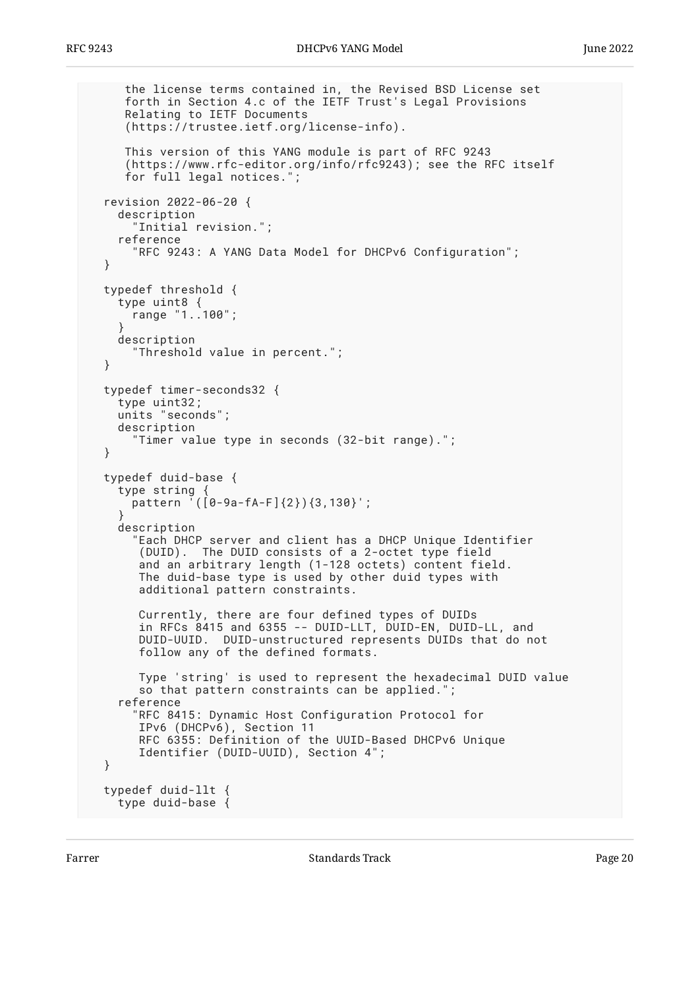```
 the license terms contained in, the Revised BSD License set
      forth in Section 4.c of the IETF Trust's Legal Provisions
     Relating to IETF Documents
      (https://trustee.ietf.org/license-info).
     This version of this YANG module is part of RFC 9243
 (https://www.rfc-editor.org/info/rfc9243); see the RFC itself
 for full legal notices.";
  revision 2022-06-20 {
    description
       "Initial revision.";
    reference
       "RFC 9243: A YANG Data Model for DHCPv6 Configuration";
  }
  typedef threshold {
    type uint8 {
      range "1..100";
 }
    description
       "Threshold value in percent.";
  }
  typedef timer-seconds32 {
    type uint32;
    units "seconds";
    description
       "Timer value type in seconds (32-bit range).";
  }
  typedef duid-base {
    type string {
      pattern '([0-9a-fA-F]{2}){3,130}';
 }
    description
       "Each DHCP server and client has a DHCP Unique Identifier
        (DUID). The DUID consists of a 2-octet type field
       and an arbitrary length (1-128 octets) content field.
       The duid-base type is used by other duid types with
       additional pattern constraints.
       Currently, there are four defined types of DUIDs
        in RFCs 8415 and 6355 -- DUID-LLT, DUID-EN, DUID-LL, and
       DUID-UUID. DUID-unstructured represents DUIDs that do not
       follow any of the defined formats.
       Type 'string' is used to represent the hexadecimal DUID value
      so that pattern constraints can be applied.";
     reference
       "RFC 8415: Dynamic Host Configuration Protocol for
       IPv6 (DHCPv6), Section 11
       RFC 6355: Definition of the UUID-Based DHCPv6 Unique
       Identifier (DUID-UUID), Section 4";
  }
  typedef duid-llt {
    type duid-base {
```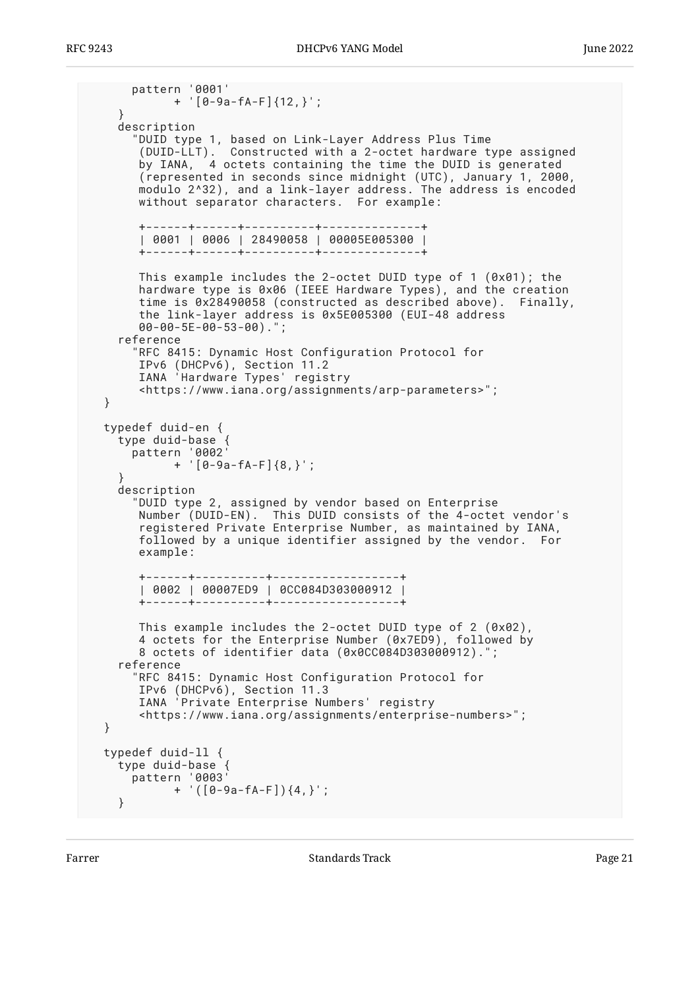```
 pattern '0001'
            + '[0-9a-fA-F]{12,}';
    }
    description
       "DUID type 1, based on Link-Layer Address Plus Time
 (DUID-LLT). Constructed with a 2-octet hardware type assigned
 by IANA, 4 octets containing the time the DUID is generated
 (represented in seconds since midnight (UTC), January 1, 2000,
       modulo 2^32), and a link-layer address. The address is encoded
       without separator characters. For example:
       +------+------+----------+--------------+
       | 0001 | 0006 | 28490058 | 00005E005300 |
       +------+------+----------+--------------+
 This example includes the 2-octet DUID type of 1 (0x01); the
 hardware type is 0x06 (IEEE Hardware Types), and the creation
       time is 0x28490058 (constructed as described above). Finally,
       the link-layer address is 0x5E005300 (EUI-48 address
       00-00-5E-00-53-00).";
    reference
       "RFC 8415: Dynamic Host Configuration Protocol for
       IPv6 (DHCPv6), Section 11.2
       IANA 'Hardware Types' registry
       <https://www.iana.org/assignments/arp-parameters>";
  }
  typedef duid-en {
 type duid-base {
 pattern '0002'
 + '[0-9a-fA-F]{8,}';
 }
    description
      "DUID type 2, assigned by vendor based on Enterprise
       Number (DUID-EN). This DUID consists of the 4-octet vendor's
       registered Private Enterprise Number, as maintained by IANA,
       followed by a unique identifier assigned by the vendor. For
       example:
       +------+----------+------------------+
       | 0002 | 00007ED9 | 0CC084D303000912 |
       +------+----------+------------------+
       This example includes the 2-octet DUID type of 2 (0x02),
       4 octets for the Enterprise Number (0x7ED9), followed by
       8 octets of identifier data (0x0CC084D303000912).";
    reference
       "RFC 8415: Dynamic Host Configuration Protocol for
       IPv6 (DHCPv6), Section 11.3
       IANA 'Private Enterprise Numbers' registry
       <https://www.iana.org/assignments/enterprise-numbers>";
  }
  typedef duid-ll {
 type duid-base {
 pattern '0003'
 + '([0-9a-fA-F]){4,}';
    }
```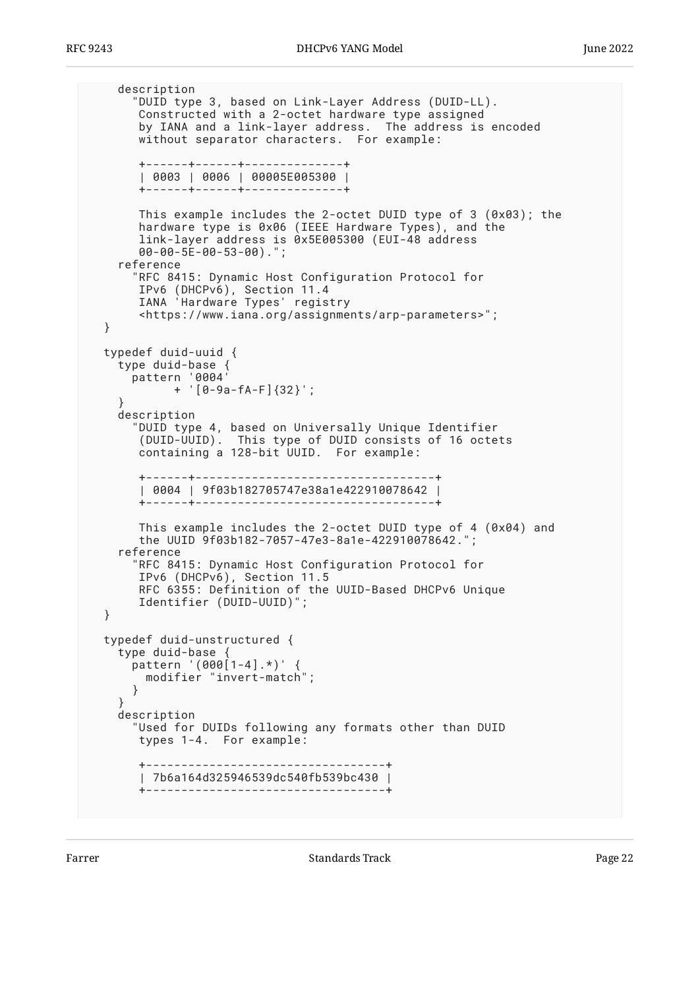```
 description
       "DUID type 3, based on Link-Layer Address (DUID-LL).
       Constructed with a 2-octet hardware type assigned
       by IANA and a link-layer address. The address is encoded
       without separator characters. For example:
       +------+------+--------------+
        | 0003 | 0006 | 00005E005300 |
       +------+------+--------------+
       This example includes the 2-octet DUID type of 3 (0x03); the
       hardware type is 0x06 (IEEE Hardware Types), and the
       link-layer address is 0x5E005300 (EUI-48 address
       00-00-5E-00-53-00).";
    reference
      RFC 8415: Dynamic Host Configuration Protocol for
 IPv6 (DHCPv6), Section 11.4
 IANA 'Hardware Types' registry
       <https://www.iana.org/assignments/arp-parameters>";
  }
  typedef duid-uuid {
    type duid-base {
      pattern '0004'
            + '[0-9a-fA-F]{32}';
 }
    description
       "DUID type 4, based on Universally Unique Identifier
 (DUID-UUID). This type of DUID consists of 16 octets
 containing a 128-bit UUID. For example:
       +------+----------------------------------+
       | 0004 | 9f03b182705747e38a1e422910078642 |
       +------+----------------------------------+
       This example includes the 2-octet DUID type of 4 (0x04) and
       the UUID 9f03b182-7057-47e3-8a1e-422910078642.";
    reference
       "RFC 8415: Dynamic Host Configuration Protocol for
       IPv6 (DHCPv6), Section 11.5
       RFC 6355: Definition of the UUID-Based DHCPv6 Unique
       Identifier (DUID-UUID)";
  }
  typedef duid-unstructured {
 type duid-base {
 pattern '(000[1-4].*)' {
        modifier "invert-match";
      }
 }
    description
       "Used for DUIDs following any formats other than DUID
       types 1-4. For example:
       +----------------------------------+
       | 7b6a164d325946539dc540fb539bc430 |
       +----------------------------------+
```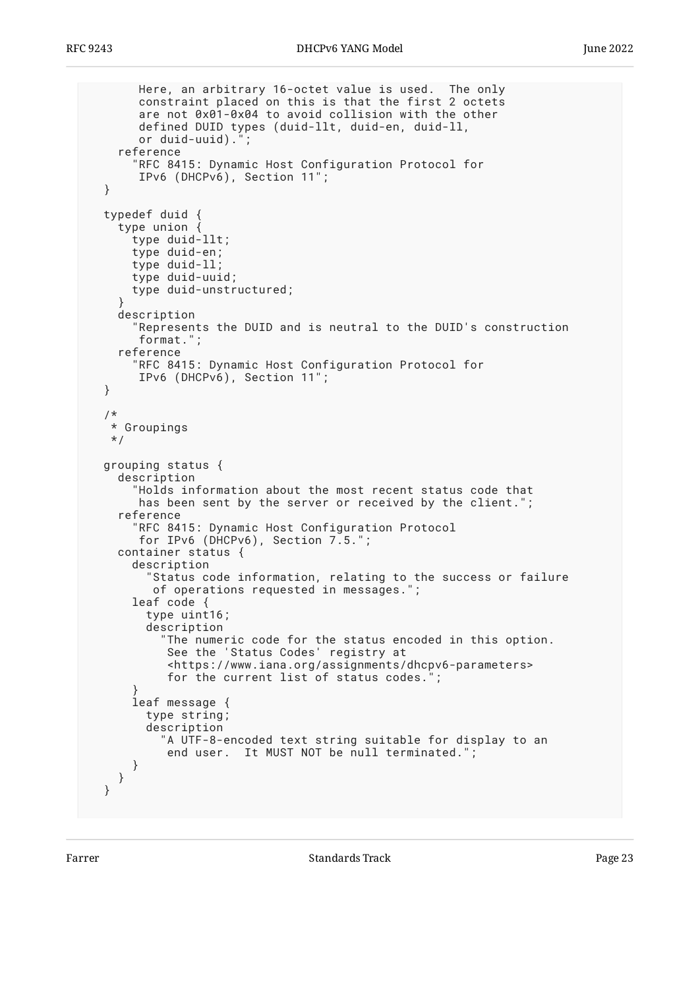```
 Here, an arbitrary 16-octet value is used. The only
        constraint placed on this is that the first 2 octets
        are not 0x01-0x04 to avoid collision with the other
        defined DUID types (duid-llt, duid-en, duid-ll,
       or duid-uuid).
     reference
       "RFC 8415: Dynamic Host Configuration Protocol for
        IPv6 (DHCPv6), Section 11";
  }
  typedef duid {
     type union {
       type duid-llt;
       type duid-en;
       type duid-ll;
       type duid-uuid;
       type duid-unstructured;
 }
    description
       "Represents the DUID and is neutral to the DUID's construction
       format.";
     reference
       "RFC 8415: Dynamic Host Configuration Protocol for
        IPv6 (DHCPv6), Section 11";
  }
   /*
   * Groupings
   */
  grouping status {
    description
       "Holds information about the most recent status code that
        has been sent by the server or received by the client.";
     reference
      RFC 8415: Dynamic Host Configuration Protocol
        for IPv6 (DHCPv6), Section 7.5.";
    container status {
       description
         "Status code information, relating to the success or failure
          of operations requested in messages.";
       leaf code {
         type uint16;
         description
            "The numeric code for the status encoded in this option.
            See the 'Status Codes' registry at
            <https://www.iana.org/assignments/dhcpv6-parameters>
           for the current list of status codes.
 }
       leaf message {
         type string;
         description
           "A UTF-8-encoded text string suitable for display to an
            end user. It MUST NOT be null terminated.";
       }
    }
  }
```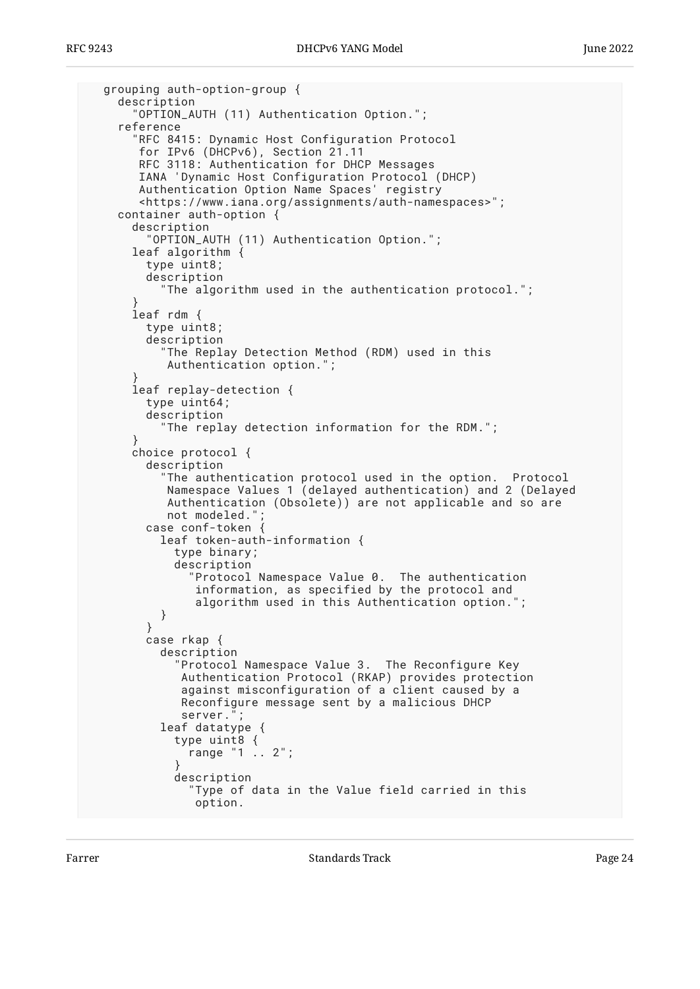```
 grouping auth-option-group {
    description
       "OPTION_AUTH (11) Authentication Option.";
    reference
       "RFC 8415: Dynamic Host Configuration Protocol
 for IPv6 (DHCPv6), Section 21.11
 RFC 3118: Authentication for DHCP Messages
       IANA 'Dynamic Host Configuration Protocol (DHCP)
       Authentication Option Name Spaces' registry
       <https://www.iana.org/assignments/auth-namespaces>";
    container auth-option {
      description
         "OPTION_AUTH (11) Authentication Option.";
      leaf algorithm {
        type uint8;
        description
           "The algorithm used in the authentication protocol.";
 }
      leaf rdm {
        type uint8;
        description
           "The Replay Detection Method (RDM) used in this
           Authentication option.";
 }
      leaf replay-detection {
        type uint64;
        description
           "The replay detection information for the RDM.";
 }
      choice protocol {
        description
           "The authentication protocol used in the option. Protocol
           Namespace Values 1 (delayed authentication) and 2 (Delayed
           Authentication (Obsolete)) are not applicable and so are
          not modeled."
        case conf-token {
           leaf token-auth-information {
             type binary;
             description
               "Protocol Namespace Value 0. The authentication
               information, as specified by the protocol and
                algorithm used in this Authentication option.";
 }
 }
        case rkap {
          description
             "Protocol Namespace Value 3. The Reconfigure Key
              Authentication Protocol (RKAP) provides protection
              against misconfiguration of a client caused by a
             Reconfigure message sent by a malicious DHCP
             server.";
           leaf datatype {
             type uint8 {
               range "1 .. 2";
 }
             description
               "Type of data in the Value field carried in this
                option.
```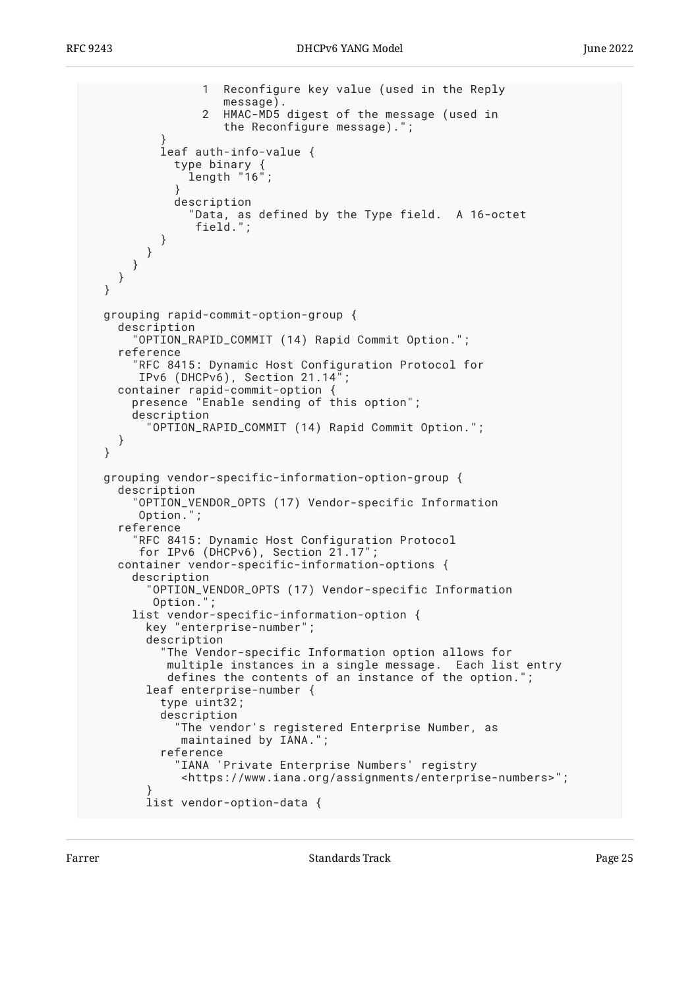```
 1 Reconfigure key value (used in the Reply
                message).<br>HMAC-MD5
                   HMAC-MD5 digest of the message (used in
                    the Reconfigure message).";
 }
           leaf auth-info-value {
 type binary {
 length "16";
 }
             description
               "Data, as defined by the Type field. A 16-octet
                field.";
          }
        }
      }
    }
  }
  grouping rapid-commit-option-group {
    description
       "OPTION_RAPID_COMMIT (14) Rapid Commit Option.";
    reference
       "RFC 8415: Dynamic Host Configuration Protocol for
       IPv6 (DHCPv6), Section 21.14";
    container rapid-commit-option {
      presence "Enable sending of this option";
      description
         "OPTION_RAPID_COMMIT (14) Rapid Commit Option.";
    }
  }
  grouping vendor-specific-information-option-group {
    description
       "OPTION_VENDOR_OPTS (17) Vendor-specific Information
       Option.";
    reference
       "RFC 8415: Dynamic Host Configuration Protocol
      for IPv6 (DHCPv6), Section 21.17";
    container vendor-specific-information-options {
      description
         "OPTION_VENDOR_OPTS (17) Vendor-specific Information
         Option.";
      list vendor-specific-information-option {
         key "enterprise-number";
         description
          The Vendor-specific Information option allows for
           multiple instances in a single message. Each list entry
          defines the contents of an instance of the option.
         leaf enterprise-number {
           type uint32;
           description
             "The vendor's registered Enterprise Number, as
              maintained by IANA.";
           reference
             "IANA 'Private Enterprise Numbers' registry
              <https://www.iana.org/assignments/enterprise-numbers>";
 }
         list vendor-option-data {
```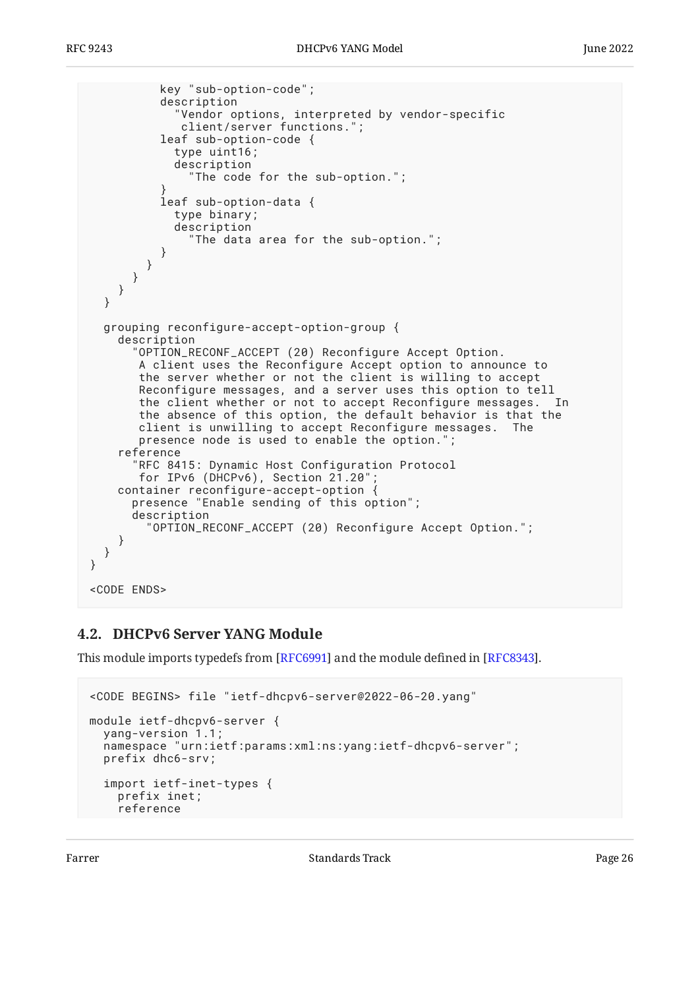```
 key "sub-option-code";
           description
              "Vendor options, interpreted by vendor-specific
              client/server functions.";
           leaf sub-option-code {
             type uint16;
             description
               "The code for the sub-option.";
 }
           leaf sub-option-data {
             type binary;
             description
               "The data area for the sub-option.";
 }
        }
      }
     }
   }
   grouping reconfigure-accept-option-group {
     description
       "OPTION_RECONF_ACCEPT (20) Reconfigure Accept Option.
        A client uses the Reconfigure Accept option to announce to
        the server whether or not the client is willing to accept
        Reconfigure messages, and a server uses this option to tell
        the client whether or not to accept Reconfigure messages. In
        the absence of this option, the default behavior is that the
        client is unwilling to accept Reconfigure messages. The
        presence node is used to enable the option.";
     reference
       "RFC 8415: Dynamic Host Configuration Protocol
        for IPv6 (DHCPv6), Section 21.20";
     container reconfigure-accept-option {
       presence "Enable sending of this option";
       description
         "OPTION_RECONF_ACCEPT (20) Reconfigure Accept Option.";
     }
   }
}
<CODE ENDS>
```
#### <span id="page-25-0"></span>**[4.2. DHCPv6 Server YANG Module](#page-25-0)**

This module imports typedefs from [RFC6991] and the module defined in  $[REC8343]$ .

```
<CODE BEGINS> file "ietf-dhcpv6-server@2022-06-20.yang"
module ietf-dhcpv6-server {
   yang-version 1.1;
   namespace "urn:ietf:params:xml:ns:yang:ietf-dhcpv6-server";
   prefix dhc6-srv;
   import ietf-inet-types {
     prefix inet;
     reference
```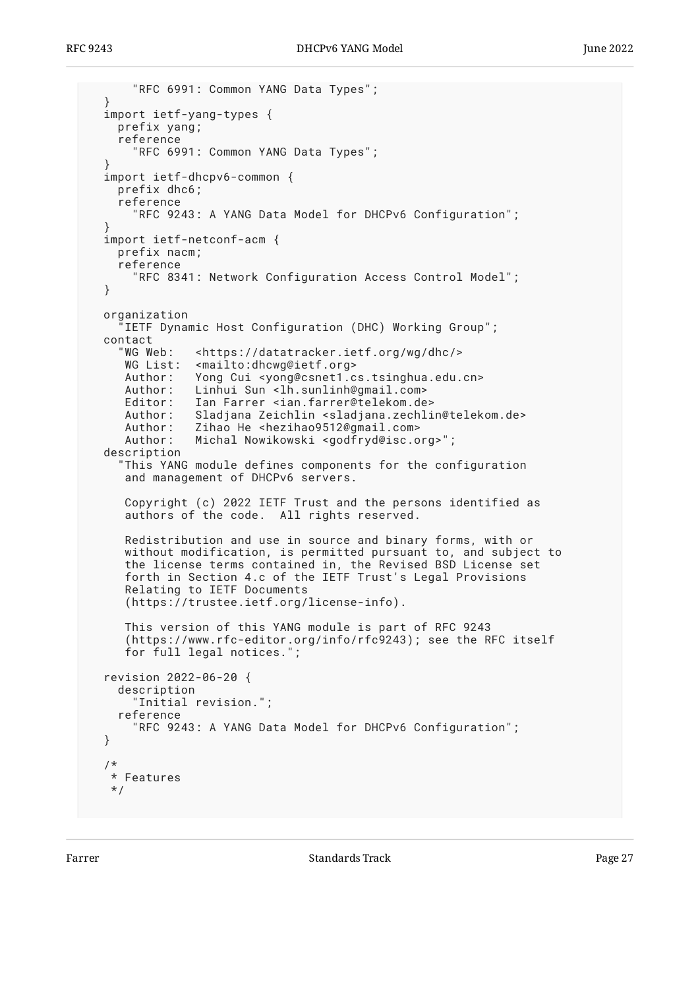```
 "RFC 6991: Common YANG Data Types";
  }
  import ietf-yang-types {
    prefix yang;
    reference
       "RFC 6991: Common YANG Data Types";
 }
  import ietf-dhcpv6-common {
    prefix dhc6;
    reference
       "RFC 9243: A YANG Data Model for DHCPv6 Configuration";
 }
  import ietf-netconf-acm {
    prefix nacm;
    reference
       "RFC 8341: Network Configuration Access Control Model";
  }
  organization
     "IETF Dynamic Host Configuration (DHC) Working Group";
  contact
     "WG Web: <https://datatracker.ietf.org/wg/dhc/>
    WG List: <mailto:dhcwg@ietf.org>
     Author: Yong Cui <yong@csnet1.cs.tsinghua.edu.cn>
    Author: Linhui Sun <lh.sunlinh@gmail.com>
     Editor: Ian Farrer <ian.farrer@telekom.de>
     Author: Sladjana Zeichlin <sladjana.zechlin@telekom.de>
     Author: Zihao He <hezihao9512@gmail.com>
     Author: Michal Nowikowski <godfryd@isc.org>";
  description
     "This YANG module defines components for the configuration
     and management of DHCPv6 servers.
     Copyright (c) 2022 IETF Trust and the persons identified as
     authors of the code. All rights reserved.
 Redistribution and use in source and binary forms, with or
 without modification, is permitted pursuant to, and subject to
     the license terms contained in, the Revised BSD License set
     forth in Section 4.c of the IETF Trust's Legal Provisions
     Relating to IETF Documents
     (https://trustee.ietf.org/license-info).
     This version of this YANG module is part of RFC 9243
      (https://www.rfc-editor.org/info/rfc9243); see the RFC itself
     for full legal notices.";
  revision 2022-06-20 {
    description
       "Initial revision.";
    reference
       "RFC 9243: A YANG Data Model for DHCPv6 Configuration";
  }
   /*
   * Features
   */
```
Farrer The Communication of the Standards Track Communication of the Page 27 (1992) and 27 (1992) Fage 27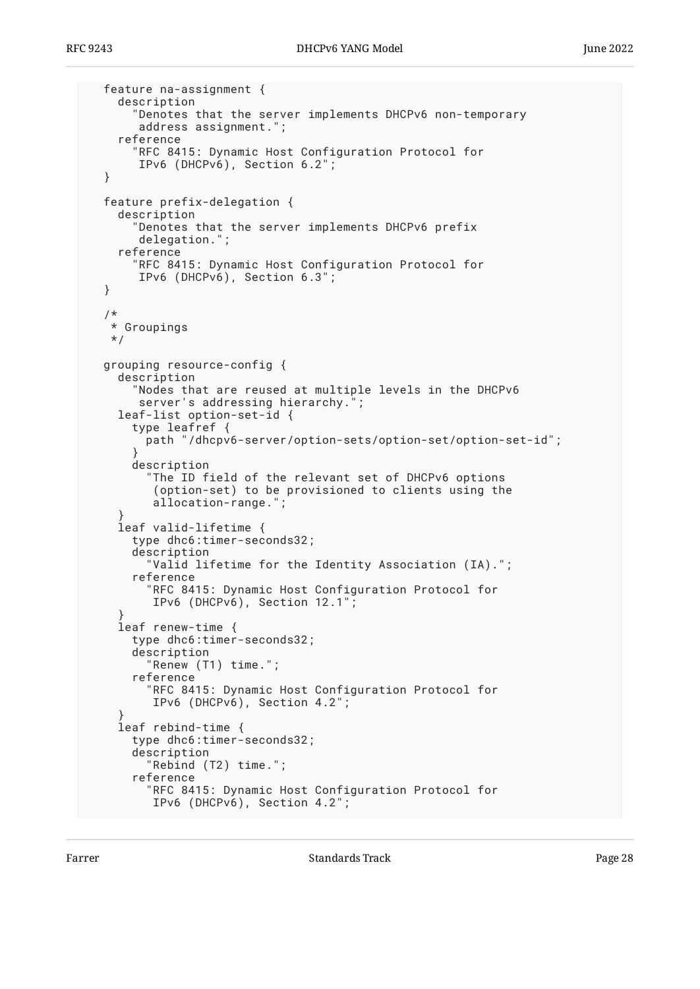```
 feature na-assignment {
     description
       "Denotes that the server implements DHCPv6 non-temporary
        address assignment.";
     reference
      RFC 8415: Dynamic Host Configuration Protocol for
        IPv6 (DHCPv6), Section 6.2";
  }
  feature prefix-delegation {
    description
       "Denotes that the server implements DHCPv6 prefix
        delegation.";
     reference
       "RFC 8415: Dynamic Host Configuration Protocol for
        IPv6 (DHCPv6), Section 6.3";
  }
  /*
   * Groupings
   */
  grouping resource-config {
    description
       "Nodes that are reused at multiple levels in the DHCPv6
        server's addressing hierarchy.";
     leaf-list option-set-id {
       type leafref {
         path "/dhcpv6-server/option-sets/option-set/option-set-id";
 }
       description
         "The ID field of the relevant set of DHCPv6 options
          (option-set) to be provisioned to clients using the
          allocation-range.";
 }
     leaf valid-lifetime {
       type dhc6:timer-seconds32;
       description
         "Valid lifetime for the Identity Association (IA).";
       reference
         "RFC 8415: Dynamic Host Configuration Protocol for
          IPv6 (DHCPv6), Section 12.1";
 }
     leaf renew-time {
       type dhc6:timer-seconds32;
       description
         "Renew (T1) time.";
       reference
         "RFC 8415: Dynamic Host Configuration Protocol for
          IPv6 (DHCPv6), Section 4.2";
 }
     leaf rebind-time {
       type dhc6:timer-seconds32;
       description
         "Rebind (T2) time.";
       reference
         "RFC 8415: Dynamic Host Configuration Protocol for
          IPv6 (DHCPv6), Section 4.2";
```
Farrer The Communication of the Standards Track Communication of the Page 28 and 20 minutes of the Page 28 and 20 minutes of the Page 28 and 20 minutes of the Page 28 and 20 minutes of the Page 28 and 20 minutes of the Pag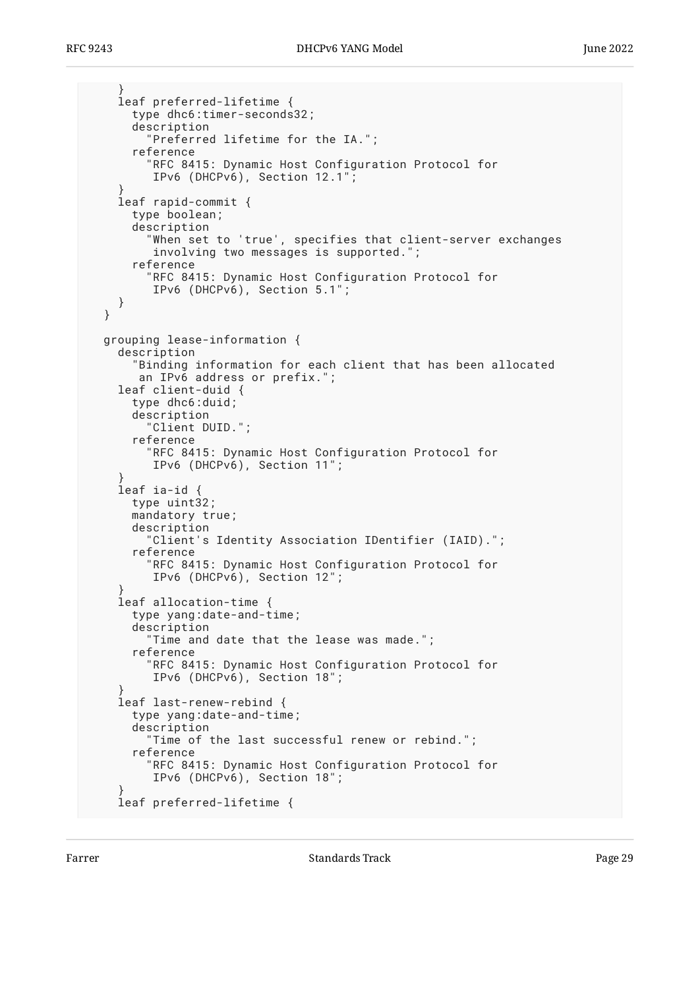```
 }
     leaf preferred-lifetime {
       type dhc6:timer-seconds32;
       description
         "Preferred lifetime for the IA.";
       reference
         "RFC 8415: Dynamic Host Configuration Protocol for
          IPv6 (DHCPv6), Section 12.1";
 }
     leaf rapid-commit {
       type boolean;
       description
         "When set to 'true', specifies that client-server exchanges
          involving two messages is supported.";
       reference
         "RFC 8415: Dynamic Host Configuration Protocol for
          IPv6 (DHCPv6), Section 5.1";
     }
  }
  grouping lease-information {
     description
       "Binding information for each client that has been allocated
        an IPv6 address or prefix.";
    leaf client-duid {
       type dhc6:duid;
       description
         "Client DUID.";
       reference
         "RFC 8415: Dynamic Host Configuration Protocol for
          IPv6 (DHCPv6), Section 11";
 }
     leaf ia-id {
       type uint32;
       mandatory true;
       description
         "Client's Identity Association IDentifier (IAID).";
       reference
         "RFC 8415: Dynamic Host Configuration Protocol for
          IPv6 (DHCPv6), Section 12";
 }
     leaf allocation-time {
       type yang:date-and-time;
       description
         "Time and date that the lease was made.";
       reference
         "RFC 8415: Dynamic Host Configuration Protocol for
          IPv6 (DHCPv6), Section 18";
 }
     leaf last-renew-rebind {
       type yang:date-and-time;
       description
         "Time of the last successful renew or rebind.";
       reference
         "RFC 8415: Dynamic Host Configuration Protocol for
          IPv6 (DHCPv6), Section 18";
 }
     leaf preferred-lifetime {
```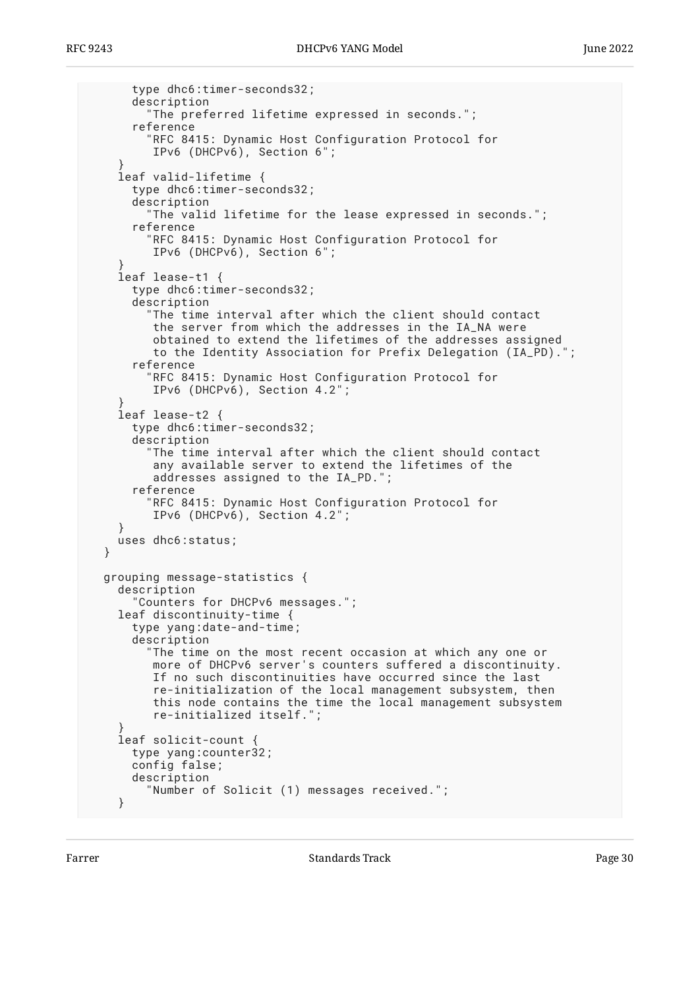```
 type dhc6:timer-seconds32;
       description
         "The preferred lifetime expressed in seconds.";
       reference
         "RFC 8415: Dynamic Host Configuration Protocol for
          IPv6 (DHCPv6), Section 6";
 }
    leaf valid-lifetime {
       type dhc6:timer-seconds32;
      description
         "The valid lifetime for the lease expressed in seconds.";
       reference
         "RFC 8415: Dynamic Host Configuration Protocol for
          IPv6 (DHCPv6), Section 6";
 }
    leaf lease-t1 {
       type dhc6:timer-seconds32;
       description
         "The time interval after which the client should contact
          the server from which the addresses in the IA_NA were
          obtained to extend the lifetimes of the addresses assigned
          to the Identity Association for Prefix Delegation (IA_PD).";
       reference
         "RFC 8415: Dynamic Host Configuration Protocol for
          IPv6 (DHCPv6), Section 4.2";
 }
    leaf lease-t2 {
       type dhc6:timer-seconds32;
      description
         "The time interval after which the client should contact
          any available server to extend the lifetimes of the
          addresses assigned to the IA_PD.";
       reference
         "RFC 8415: Dynamic Host Configuration Protocol for
          IPv6 (DHCPv6), Section 4.2";
 }
    uses dhc6:status;
  }
  grouping message-statistics {
    description
       "Counters for DHCPv6 messages.";
    leaf discontinuity-time {
      type yang:date-and-time;
      description
         "The time on the most recent occasion at which any one or
          more of DHCPv6 server's counters suffered a discontinuity.
          If no such discontinuities have occurred since the last
         re-initialization of the local management subsystem, then
          this node contains the time the local management subsystem
          re-initialized itself.";
 }
    leaf solicit-count {
      type yang:counter32;
      config false;
      description
         "Number of Solicit (1) messages received.";
     }
```
Farrer The Communication of the Standards Track Communication of the Page 30 and 20 minutes and 20 minutes of the Page 30 minutes of the Page 30 minutes of the Page 30 minutes of the Page 30 minutes of the Page 30 minutes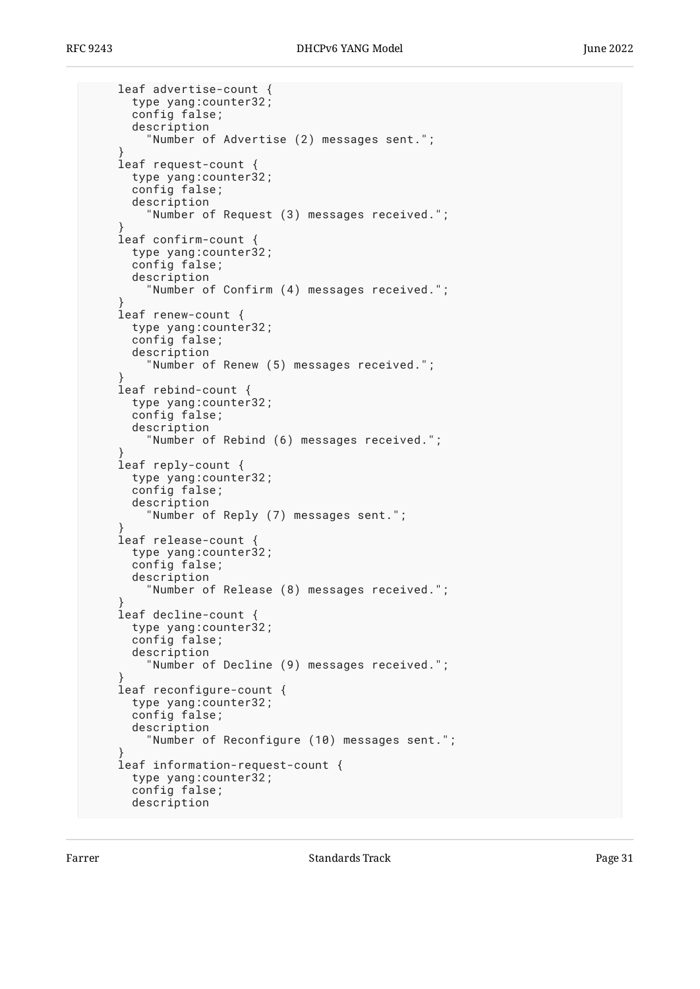```
 leaf advertise-count {
       type yang:counter32;
       config false;
       description
         "Number of Advertise (2) messages sent.";
 }
     leaf request-count {
       type yang:counter32;
       config false;
       description
         "Number of Request (3) messages received.";
 }
     leaf confirm-count {
       type yang:counter32;
       config false;
       description
         "Number of Confirm (4) messages received.";
 }
    leaf renew-count {
       type yang:counter32;
       config false;
       description
         "Number of Renew (5) messages received.";
 }
     leaf rebind-count {
       type yang:counter32;
       config false;
       description
         "Number of Rebind (6) messages received.";
 }
     leaf reply-count {
       type yang:counter32;
       config false;
       description
         "Number of Reply (7) messages sent.";
 }
     leaf release-count {
      type yang:counter32;
       config false;
       description
         "Number of Release (8) messages received.";
 }
     leaf decline-count {
       type yang:counter32;
       config false;
       description
         "Number of Decline (9) messages received.";
 }
     leaf reconfigure-count {
       type yang:counter32;
       config false;
       description
         "Number of Reconfigure (10) messages sent.";
 }
     leaf information-request-count {
       type yang:counter32;
       config false;
       description
```
Farrer The Communication of the Standards Track Communication of the Page 31 and 2011 11:00:00 Fage 31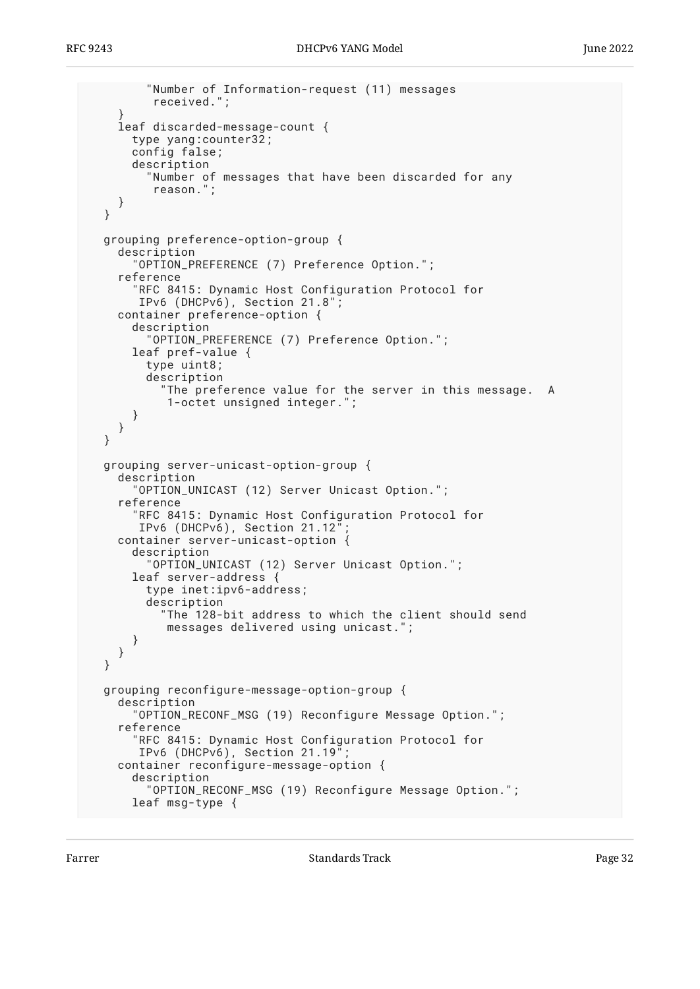```
 "Number of Information-request (11) messages
        received.";
   }
   leaf discarded-message-count {
     type yang:counter32;
     config false;
     description
       "Number of messages that have been discarded for any
        reason.";
   }
 }
 grouping preference-option-group {
   description
     "OPTION_PREFERENCE (7) Preference Option.";
   reference
      "RFC 8415: Dynamic Host Configuration Protocol for
      IPv6 (DHCPv6), Section 21.8";
   container preference-option {
     description
        "OPTION_PREFERENCE (7) Preference Option.";
     leaf pref-value {
       type uint8;
       description
          "The preference value for the server in this message. A
          1-octet unsigned integer.";
     }
   }
 }
 grouping server-unicast-option-group {
   description
     "OPTION_UNICAST (12) Server Unicast Option.";
   reference
     RFC 8415: Dynamic Host Configuration Protocol for
     IPv6 (DHCPv6), Section 21.12<sup>'</sup>
   container server-unicast-option {
     description
       "OPTION_UNICAST (12) Server Unicast Option.";
     leaf server-address {
       type inet:ipv6-address;
       description
         "The 128-bit address to which the client should send
          messages delivered using unicast.";
     }
   }
 }
 grouping reconfigure-message-option-group {
   description
     "OPTION_RECONF_MSG (19) Reconfigure Message Option.";
   reference
     "RFC 8415: Dynamic Host Configuration Protocol for
      IPv6 (DHCPv6), Section 21.19";
   container reconfigure-message-option {
     description
       "OPTION_RECONF_MSG (19) Reconfigure Message Option.";
     leaf msg-type {
```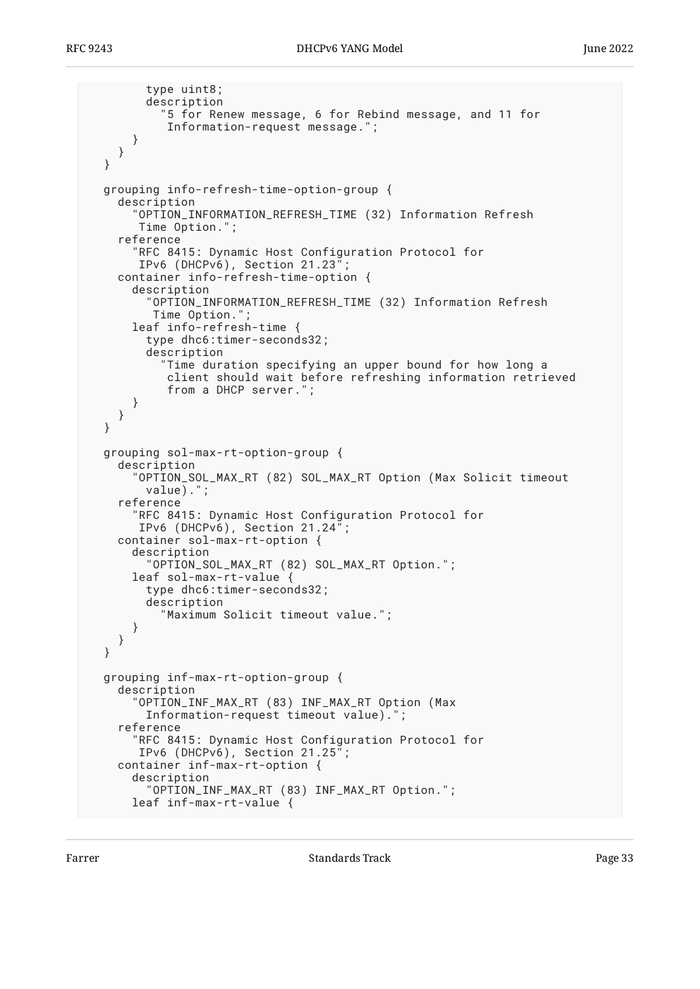```
 type uint8;
       description
          "5 for Renew message, 6 for Rebind message, and 11 for
          Information-request message.";
     }
   }
 }
 grouping info-refresh-time-option-group {
   description
     "OPTION_INFORMATION_REFRESH_TIME (32) Information Refresh
      Time Option.";
   reference
     "RFC 8415: Dynamic Host Configuration Protocol for
      IPv6 (DHCPv6), Section 21.23";
   container info-refresh-time-option {
     description
       "OPTION_INFORMATION_REFRESH_TIME (32) Information Refresh
       Time Option."
     leaf info-refresh-time {
       type dhc6:timer-seconds32;
       description
         "Time duration specifying an upper bound for how long a
          client should wait before refreshing information retrieved
          from a DHCP server.";
     }
   }
 }
 grouping sol-max-rt-option-group {
   description
     "OPTION_SOL_MAX_RT (82) SOL_MAX_RT Option (Max Solicit timeout
       value).";
   reference
     RFC 8415: Dynamic Host Configuration Protocol for
      IPv6 (DHCPv6), Section 21.24";
   container sol-max-rt-option {
     description
       "OPTION_SOL_MAX_RT (82) SOL_MAX_RT Option.";
     leaf sol-max-rt-value {
       type dhc6:timer-seconds32;
       description
         "Maximum Solicit timeout value.";
     }
   }
 }
 grouping inf-max-rt-option-group {
   description
     "OPTION_INF_MAX_RT (83) INF_MAX_RT Option (Max
       Information-request timeout value).";
   reference
     "RFC 8415: Dynamic Host Configuration Protocol for
      IPv6 (DHCPv6), Section 21.25";
   container inf-max-rt-option {
     description
       "OPTION_INF_MAX_RT (83) INF_MAX_RT Option.";
     leaf inf-max-rt-value {
```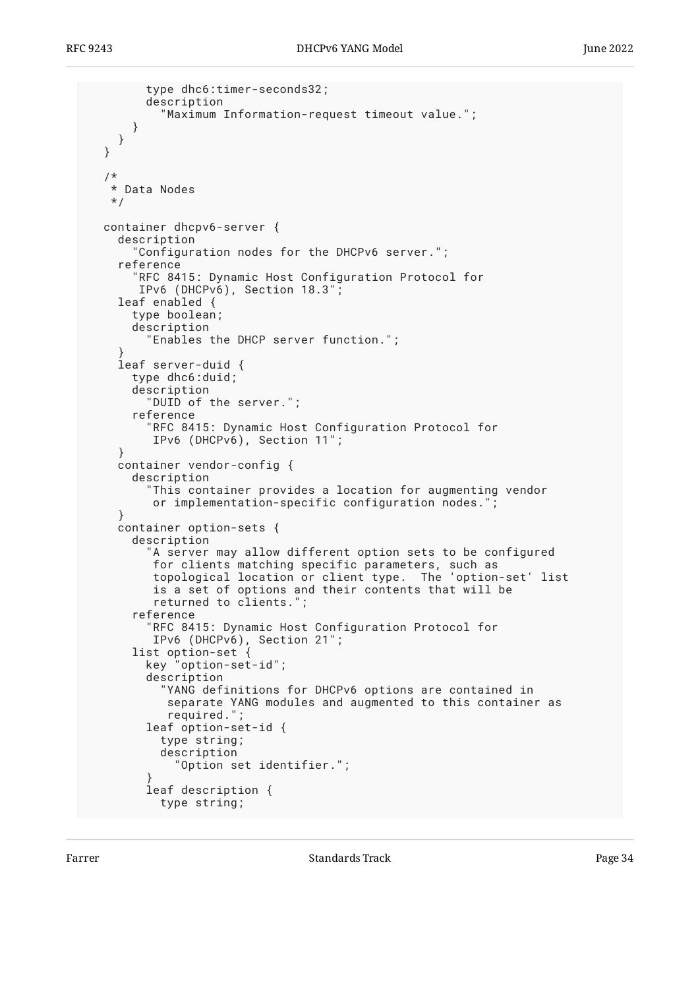```
 type dhc6:timer-seconds32;
         description
           "Maximum Information-request timeout value.";
       }
    }
  }
   /*
   * Data Nodes
   */
  container dhcpv6-server {
    description
       "Configuration nodes for the DHCPv6 server.";
    reference
       RFC 8415: Dynamic Host Configuration Protocol for
        IPv6 (DHCPv6), Section 18.3";
    leaf enabled {
      type boolean;
       description
         "Enables the DHCP server function.";
 }
    leaf server-duid {
      type dhc6:duid;
      description
         "DUID of the server.";
       reference
         "RFC 8415: Dynamic Host Configuration Protocol for
          IPv6 (DHCPv6), Section 11";
     }
    container vendor-config {
       description
         "This container provides a location for augmenting vendor
          or implementation-specific configuration nodes.";
 }
    container option-sets {
       description
         "A server may allow different option sets to be configured
         for clients matching specific parameters, such as
          topological location or client type. The 'option-set' list
          is a set of options and their contents that will be
          returned to clients.";
       reference
         "RFC 8415: Dynamic Host Configuration Protocol for
          IPv6 (DHCPv6), Section 21";
 list option-set {
 key "option-set-id";
         description
           "YANG definitions for DHCPv6 options are contained in
            separate YANG modules and augmented to this container as
            required.";
         leaf option-set-id {
           type string;
           description
             "Option set identifier.";
 }
         leaf description {
           type string;
```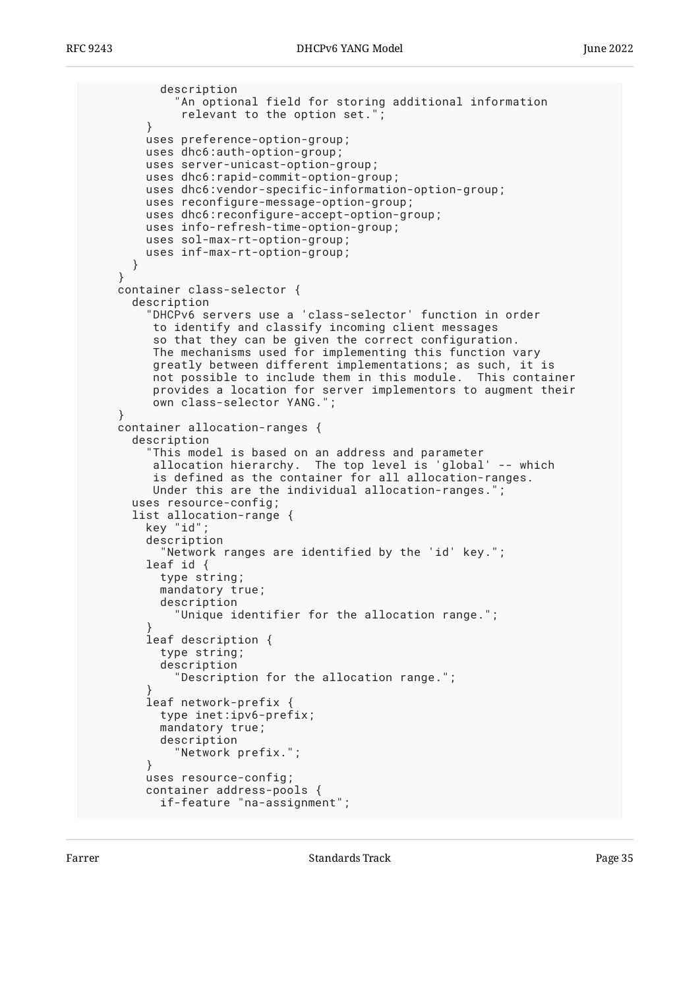```
 description
             "An optional field for storing additional information
              relevant to the option set.";
         }
         uses preference-option-group;
         uses dhc6:auth-option-group;
         uses server-unicast-option-group;
         uses dhc6:rapid-commit-option-group;
         uses dhc6:vendor-specific-information-option-group;
         uses reconfigure-message-option-group;
         uses dhc6:reconfigure-accept-option-group;
         uses info-refresh-time-option-group;
         uses sol-max-rt-option-group;
         uses inf-max-rt-option-group;
       }
     }
    container class-selector {
      description
         "DHCPv6 servers use a 'class-selector' function in order
          to identify and classify incoming client messages
          so that they can be given the correct configuration.
          The mechanisms used for implementing this function vary
          greatly between different implementations; as such, it is
          not possible to include them in this module. This container
          provides a location for server implementors to augment their
          own class-selector YANG.";
 }
    container allocation-ranges {
      description
         "This model is based on an address and parameter
          allocation hierarchy. The top level is 'global' -- which
          is defined as the container for all allocation-ranges.
          Under this are the individual allocation-ranges.";
      uses resource-config;
       list allocation-range {
         key "id";
         description
           "Network ranges are identified by the 'id' key.";
         leaf id {
           type string;
           mandatory true;
           description
             "Unique identifier for the allocation range.";
 }
         leaf description {
           type string;
           description
             "Description for the allocation range.";
 }
         leaf network-prefix {
           type inet:ipv6-prefix;
           mandatory true;
           description
             "Network prefix.";
 }
         uses resource-config;
         container address-pools {
           if-feature "na-assignment";
```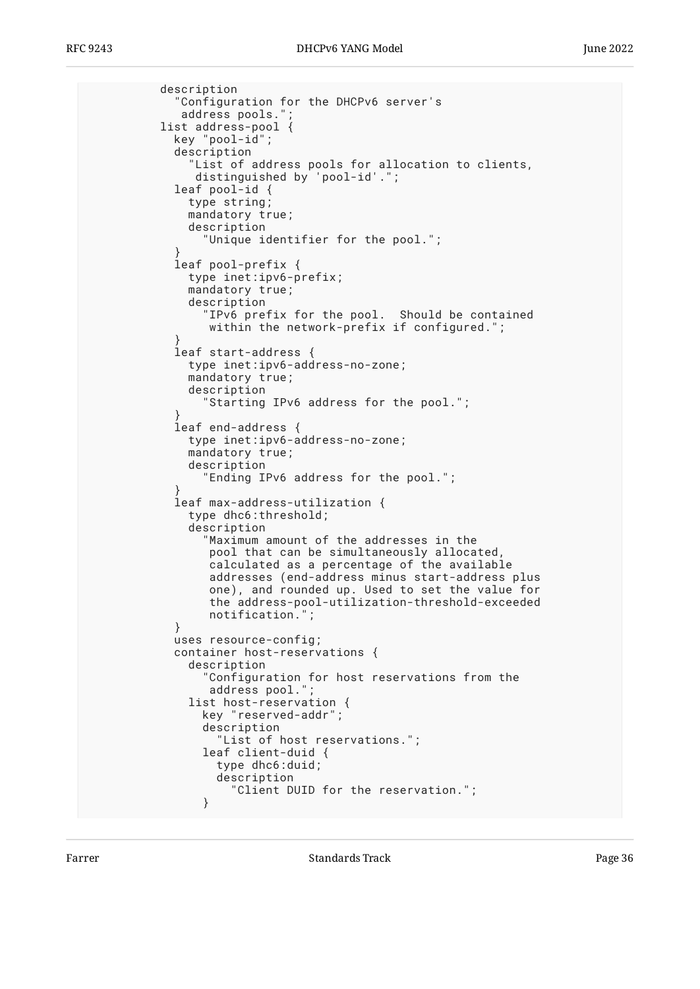```
 description
             "Configuration for the DHCPv6 server's
            address pools."
          list address-pool {
            key "pool-id";
            description
"List of address pools for allocation to clients, " distinguished by 'pool-id'.";
            leaf pool-id {
              type string;
              mandatory true;
              description
                 "Unique identifier for the pool.";
 }
            leaf pool-prefix {
              type inet:ipv6-prefix;
              mandatory true;
              description
                 "IPv6 prefix for the pool. Should be contained
                within the network-prefix if configured.";
 }
            leaf start-address {
              type inet:ipv6-address-no-zone;
              mandatory true;
              description
                Starting IPv6 address for the pool.";
 }
            leaf end-address {
              type inet:ipv6-address-no-zone;
              mandatory true;
              description
                 "Ending IPv6 address for the pool.";
 }
            leaf max-address-utilization {
              type dhc6:threshold;
              description
                 "Maximum amount of the addresses in the
                 pool that can be simultaneously allocated,
                 calculated as a percentage of the available
                 addresses (end-address minus start-address plus
                 one), and rounded up. Used to set the value for
                 the address-pool-utilization-threshold-exceeded
                 notification.";
 }
            uses resource-config;
            container host-reservations {
              description
                 "Configuration for host reservations from the
                address pool."
              list host-reservation {
                key "reserved-addr";
                description
                   "List of host reservations.";
                leaf client-duid {
                  type dhc6:duid;
                  description
                     "Client DUID for the reservation.";
 }
```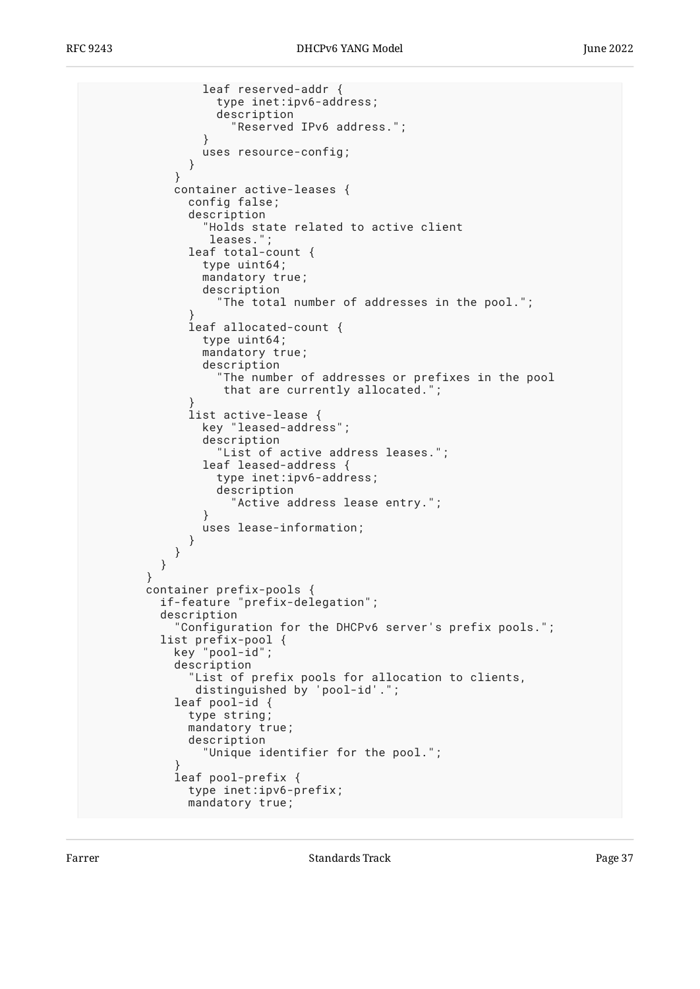```
 leaf reserved-addr {
                  type inet:ipv6-address;
                  description
                    "Reserved IPv6 address.";
 }
                uses resource-config;
 }
 }
            container active-leases {
              config false;
              description
                "Holds state related to active client
                 leases.";
              leaf total-count {
                type uint64;
                mandatory true;
                description
                  "The total number of addresses in the pool.";
 }
              leaf allocated-count {
                type uint64;
                mandatory true;
                description
                  "The number of addresses or prefixes in the pool
                   that are currently allocated.";
 }
              list active-lease {
                key "leased-address";
                description
                  "List of active address leases.";
                leaf leased-address {
                  type inet:ipv6-address;
                  description
                    "Active address lease entry.";
 }
             uses lease-information;<br>}
 }
 }
          }
        }
        container prefix-pools {
          if-feature "prefix-delegation";
          description
             "Configuration for the DHCPv6 server's prefix pools.";
          list prefix-pool {
            key "pool-id";
            description
              "List of prefix pools for allocation to clients,
               distinguished by 'pool-id'.";
            leaf pool-id {
              type string;
              mandatory true;
              description
                "Unique identifier for the pool.";
 }
            leaf pool-prefix {
              type inet:ipv6-prefix;
              mandatory true;
```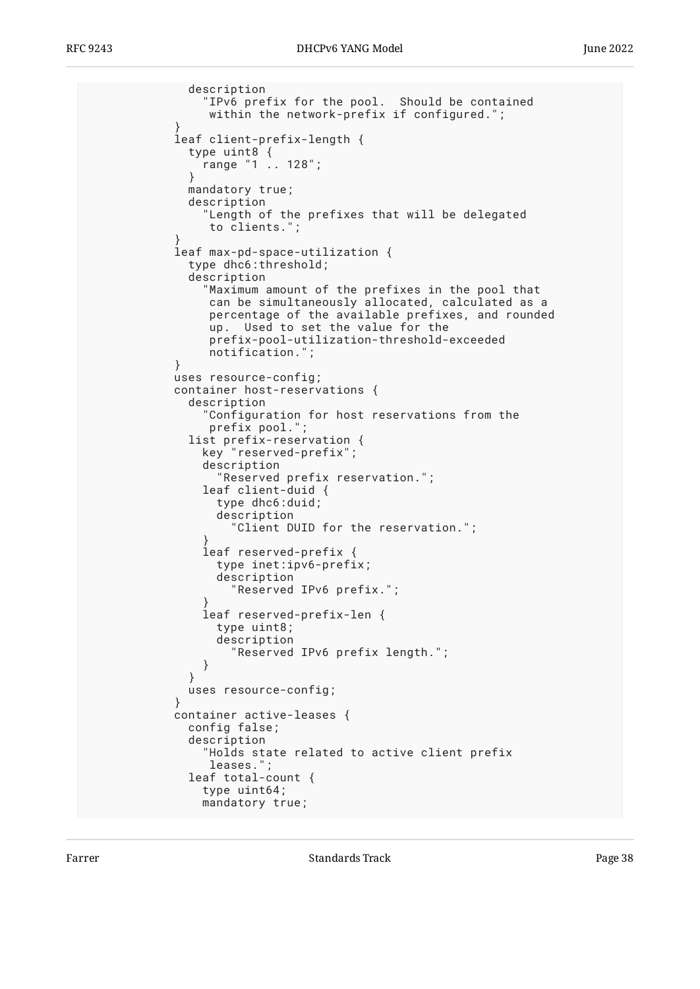```
 description
                 "IPv6 prefix for the pool. Should be contained
                 within the network-prefix if configured.";
 }
            leaf client-prefix-length {
              type uint8 {
             \begin{bmatrix} \text{range} & 1 & \dots & 128 \\ \end{bmatrix};
 }
              mandatory true;
              description
                "Length of the prefixes that will be delegated
                 to clients.";
 }
            leaf max-pd-space-utilization {
              type dhc6:threshold;
              description
 "Maximum amount of the prefixes in the pool that
 can be simultaneously allocated, calculated as a
                 percentage of the available prefixes, and rounded
                 up. Used to set the value for the
                 prefix-pool-utilization-threshold-exceeded
                 notification.";
 }
            uses resource-config;
            container host-reservations {
              description
                 "Configuration for host reservations from the
                prefix pool."
              list prefix-reservation {
                key "reserved-prefix";
                description
                  "Reserved prefix reservation.";
                leaf client-duid {
                  type dhc6:duid;
                  description
                     "Client DUID for the reservation.";
 }
                leaf reserved-prefix {
                  type inet:ipv6-prefix;
                  description
                    "Reserved IPv6 prefix.";
 }
                leaf reserved-prefix-len {
                  type uint8;
                  description
                     "Reserved IPv6 prefix length.";
 }
 }
              uses resource-config;
 }
            container active-leases {
              config false;
              description
                 "Holds state related to active client prefix
                 leases.";
              leaf total-count {
                type uint64;
                mandatory true;
```
Farrer The Communication of the Standards Track Communication of the Page 38 Standards Track Communication of the Page 38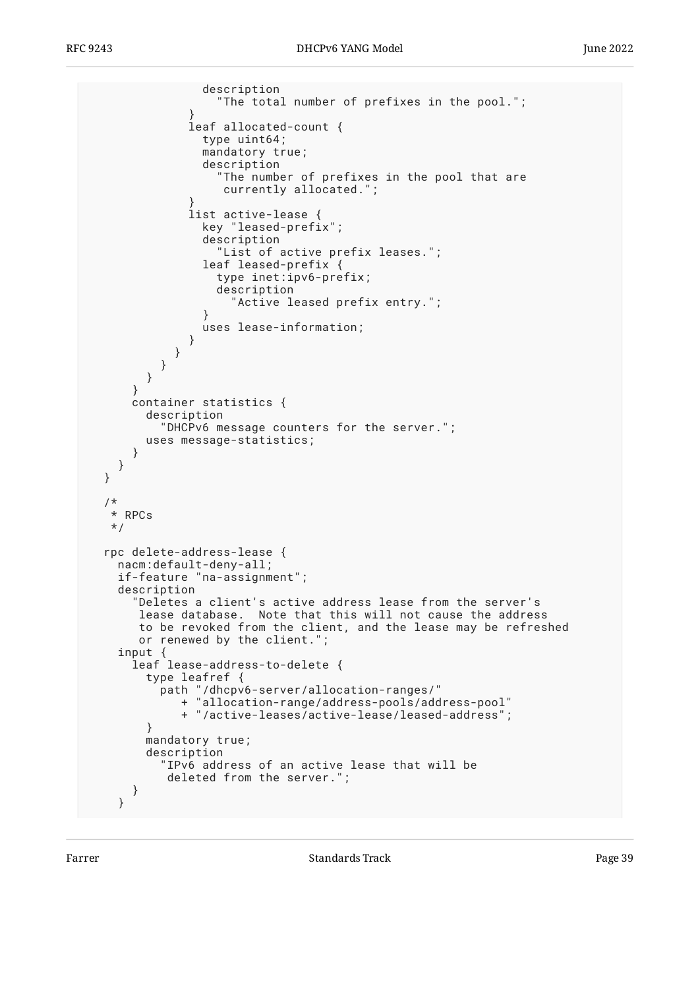```
 description
                   "The total number of prefixes in the pool.";
 }
               leaf allocated-count {
                type uint64;
                mandatory true;
                 description
                   "The number of prefixes in the pool that are
                    currently allocated.";
 }
               list active-lease {
                 key "leased-prefix";
                 description
                   "List of active prefix leases.";
                 leaf leased-prefix {
                   type inet:ipv6-prefix;
                   description
                     "Active leased prefix entry.";
 }
             uses lease-information;<br>}
 }
            }
          }
        }
      }
      container statistics {
        description
           "DHCPv6 message counters for the server.";
        uses message-statistics;
      }
    }
  }
  /*
   * RPCs
   */
  rpc delete-address-lease {
    nacm:default-deny-all;
    if-feature "na-assignment";
    description
       "Deletes a client's active address lease from the server's
       lease database. Note that this will not cause the address
       to be revoked from the client, and the lease may be refreshed
       or renewed by the client.";
 input {
 leaf lease-address-to-delete {
        type leafref {
          path "/dhcpv6-server/allocation-ranges/"
             + "allocation-range/address-pools/address-pool"
              + "/active-leases/active-lease/leased-address";
 }
        mandatory true;
        description
           "IPv6 address of an active lease that will be
           deleted from the server.";
      }
    }
```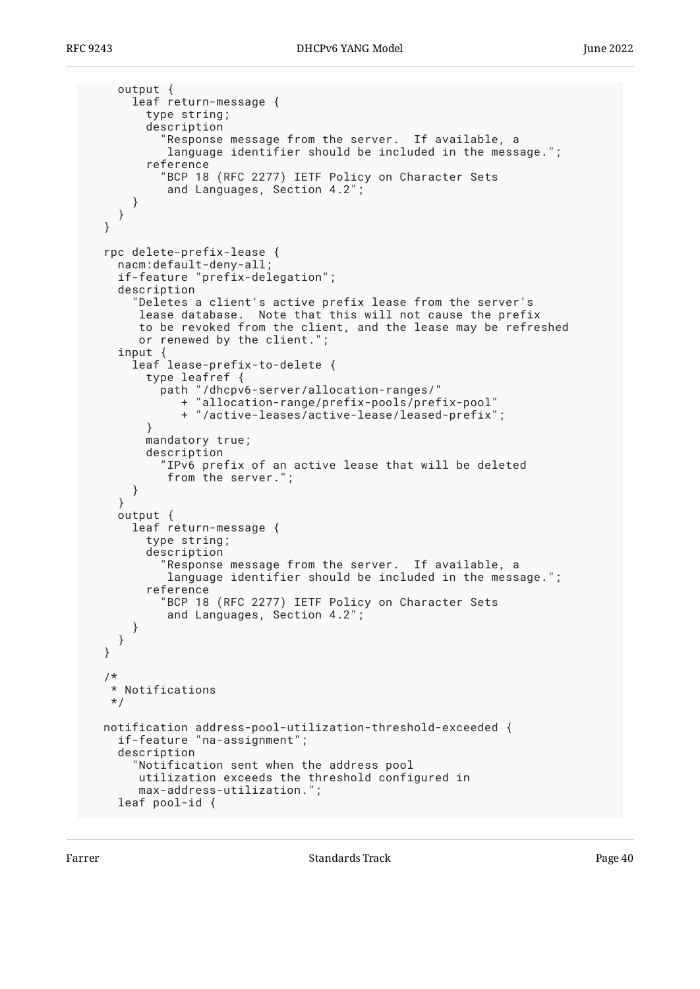```
 output {
       leaf return-message {
         type string;
         description
           "Response message from the server. If available, a
            language identifier should be included in the message.";
         reference
           "BCP 18 (RFC 2277) IETF Policy on Character Sets
            and Languages, Section 4.2";
      }
    }
  }
  rpc delete-prefix-lease {
    nacm:default-deny-all;
    if-feature "prefix-delegation";
    description
       "Deletes a client's active prefix lease from the server's
       lease database. Note that this will not cause the prefix
       to be revoked from the client, and the lease may be refreshed
       or renewed by the client.";
    input {
       leaf lease-prefix-to-delete {
         type leafref {
 path "/dhcpv6-server/allocation-ranges/"
 + "allocation-range/prefix-pools/prefix-pool"
              + "/active-leases/active-lease/leased-prefix";
 }
         mandatory true;
         description
           "IPv6 prefix of an active lease that will be deleted
            from the server.";
       }
     }
    output {
      leaf return-message {
         type string;
         description
           "Response message from the server. If available, a
            language identifier should be included in the message.";
         reference
           "BCP 18 (RFC 2277) IETF Policy on Character Sets
            and Languages, Section 4.2";
       }
    }
  }
   /*
   * Notifications
   */
  notification address-pool-utilization-threshold-exceeded {
    if-feature "na-assignment";
    description
       "Notification sent when the address pool
       utilization exceeds the threshold configured in
       max-address-utilization.";
    leaf pool-id {
```
Farrer The Communication of the Standards Track Communication of the Page 40 and 20 minutes are the Page 40 minutes of the Page 40 minutes of the Page 40 minutes of the Page 40 minutes of the Page 40 minutes of the Page 40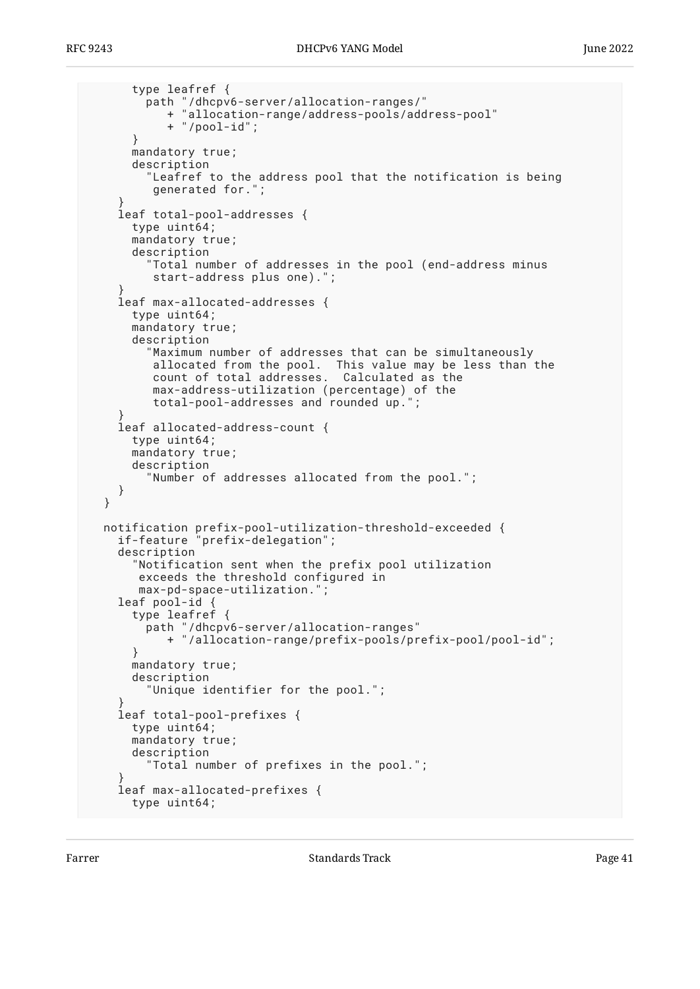```
 type leafref {
         path "/dhcpv6-server/allocation-ranges/"
            + "allocation-range/address-pools/address-pool"
            + "/pool-id";
       }
      mandatory true;
      description
         "Leafref to the address pool that the notification is being
          generated for.";
 }
    leaf total-pool-addresses {
       type uint64;
      mandatory true;
      description
         "Total number of addresses in the pool (end-address minus
          start-address plus one).";
 }
    leaf max-allocated-addresses {
      type uint64;
      mandatory true;
      description
         "Maximum number of addresses that can be simultaneously
          allocated from the pool. This value may be less than the
          count of total addresses. Calculated as the
          max-address-utilization (percentage) of the
          total-pool-addresses and rounded up.";
 }
    leaf allocated-address-count {
      type uint64;
      mandatory true;
      description
         "Number of addresses allocated from the pool.";
    }
  }
 notification prefix-pool-utilization-threshold-exceeded {
 if-feature "prefix-delegation";
    description
       "Notification sent when the prefix pool utilization
        exceeds the threshold configured in
       max-pd-space-utilization.";
    leaf pool-id {
       type leafref {
         path "/dhcpv6-server/allocation-ranges"
            + "/allocation-range/prefix-pools/prefix-pool/pool-id";
       }
      mandatory true;
      description
         "Unique identifier for the pool.";
 }
    leaf total-pool-prefixes {
       type uint64;
      mandatory true;
      description
         "Total number of prefixes in the pool.";
 }
    leaf max-allocated-prefixes {
      type uint64;
```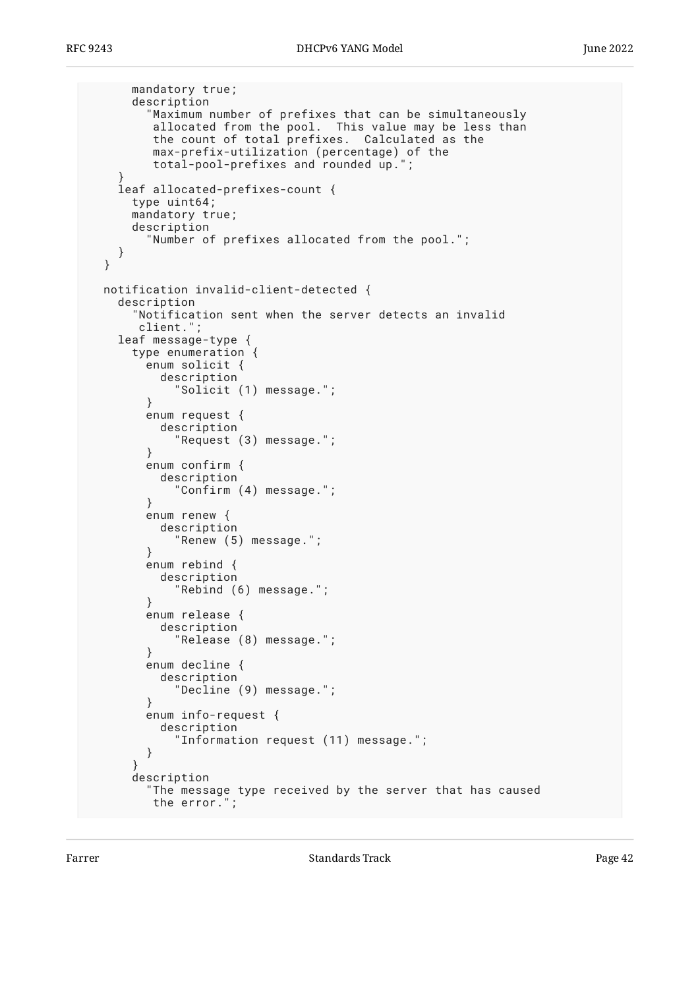```
 mandatory true;
      description
         "Maximum number of prefixes that can be simultaneously
         allocated from the pool. This value may be less than
         the count of total prefixes. Calculated as the
 max-prefix-utilization (percentage) of the
 total-pool-prefixes and rounded up.";
 }
    leaf allocated-prefixes-count {
      type uint64;
      mandatory true;
      description
         "Number of prefixes allocated from the pool.";
    }
  }
  notification invalid-client-detected {
    description
       "Notification sent when the server detects an invalid
       client.";
    leaf message-type {
      type enumeration {
        enum solicit {
          description
             "Solicit (1) message.";
 }
        enum request {
          description
             "Request (3) message.";
 }
        enum confirm {
          description
            "Confirm (4) message.";
 }
        enum renew {
          description
             "Renew (5) message.";
 }
        enum rebind {
          description
             "Rebind (6) message.";
 }
        enum release {
          description
             "Release (8) message.";
 }
        enum decline {
          description
             "Decline (9) message.";
 }
        enum info-request {
          description
             "Information request (11) message.";
        }
 }
      description
         "The message type received by the server that has caused
         the error.";
```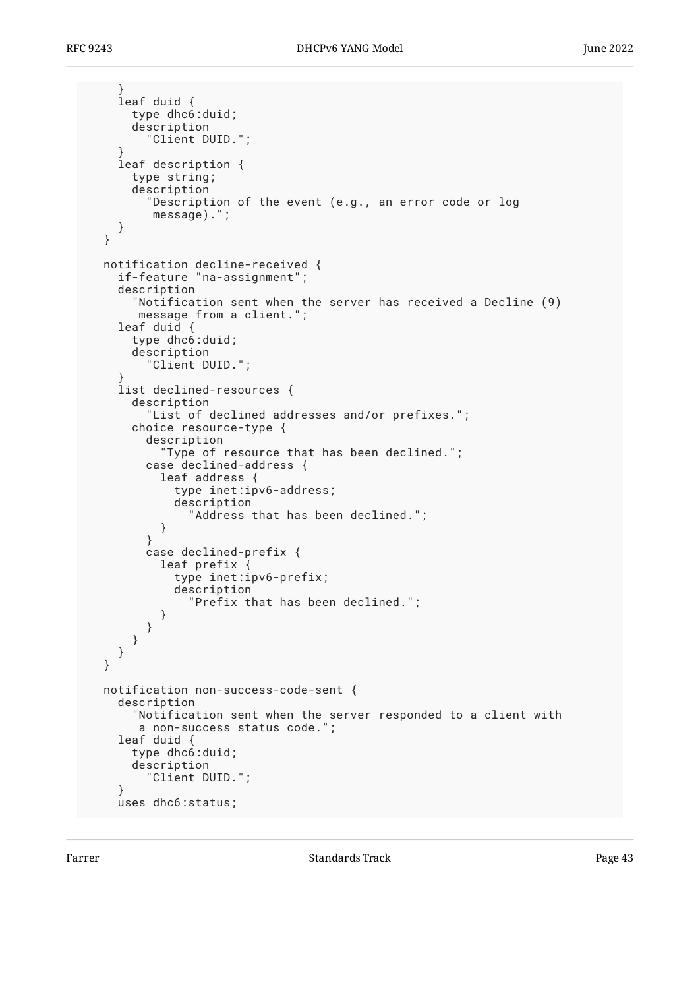```
 }
     leaf duid {
       type dhc6:duid;
       description
         "Client DUID.";
 }
     leaf description {
       type string;
       description
         "Description of the event (e.g., an error code or log
          message).";
    }
  }
  notification decline-received {
    if-feature "na-assignment";
    description
       "Notification sent when the server has received a Decline (9)
       message from a client.";
    leaf duid {
       type dhc6:duid;
       description
         "Client DUID.";
 }
     list declined-resources {
       description
         "List of declined addresses and/or prefixes.";
       choice resource-type {
         description
           "Type of resource that has been declined.";
         case declined-address {
           leaf address {
             type inet:ipv6-address;
             description
           "Address that has been declined.";
 }
         }
         case declined-prefix {
           leaf prefix {
             type inet:ipv6-prefix;
             description
               "Prefix that has been declined.";
 }
         }
      }
    }
  }
  notification non-success-code-sent {
    description
       "Notification sent when the server responded to a client with
        a non-success status code.";
    leaf duid {
       type dhc6:duid;
       description
         "Client DUID.";
     }
    uses dhc6:status;
```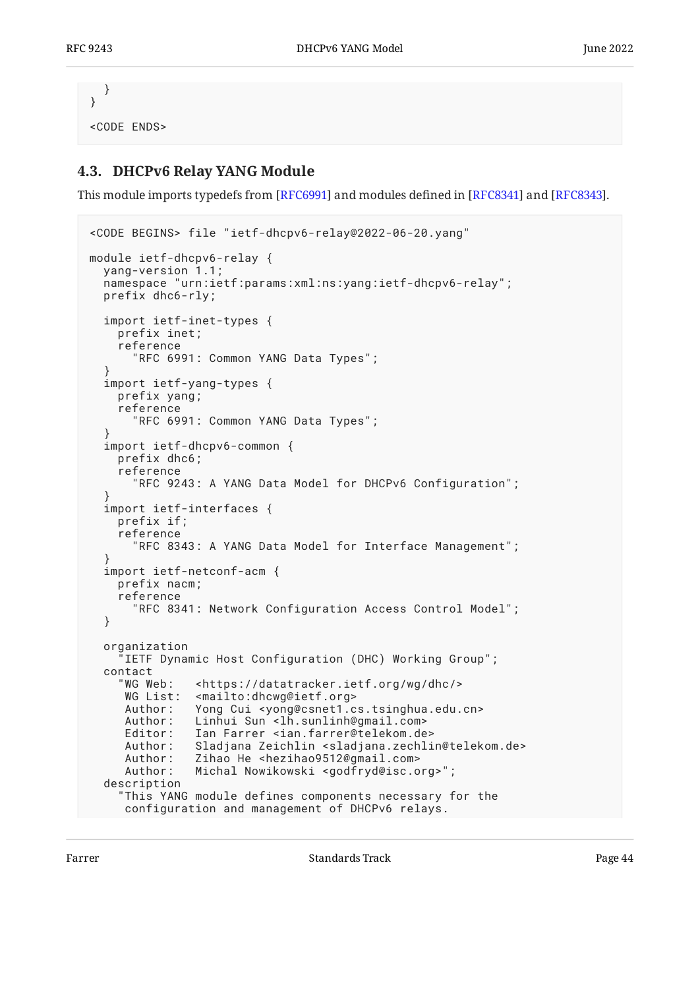```
 }
}
<CODE ENDS>
```
## <span id="page-43-0"></span>**[4.3. DHCPv6 Relay YANG Module](#page-43-0)**

This module imports typedefs from [RFC6991] and modules defined in [RFC8341] and [RFC8343].

```
<CODE BEGINS> file "ietf-dhcpv6-relay@2022-06-20.yang"
module ietf-dhcpv6-relay {
   yang-version 1.1;
   namespace "urn:ietf:params:xml:ns:yang:ietf-dhcpv6-relay";
   prefix dhc6-rly;
   import ietf-inet-types {
     prefix inet;
     reference
       "RFC 6991: Common YANG Data Types";
   }
   import ietf-yang-types {
     prefix yang;
     reference
       "RFC 6991: Common YANG Data Types";
   }
   import ietf-dhcpv6-common {
     prefix dhc6;
     reference
       "RFC 9243: A YANG Data Model for DHCPv6 Configuration";
 }
   import ietf-interfaces {
     prefix if;
     reference
       "RFC 8343: A YANG Data Model for Interface Management";
 }
   import ietf-netconf-acm {
     prefix nacm;
     reference
       "RFC 8341: Network Configuration Access Control Model";
   }
   organization
     IETF Dynamic Host Configuration (DHC) Working Group";
  contact<br>"WG Web:
               <https://datatracker.ietf.org/wg/dhc/>
     WG List: <mailto:dhcwg@ietf.org>
      Author: Yong Cui <yong@csnet1.cs.tsinghua.edu.cn>
     Author: Linhui Sun <lh.sunlinh@gmail.com>
      Editor: Ian Farrer <ian.farrer@telekom.de>
      Author: Sladjana Zeichlin <sladjana.zechlin@telekom.de>
      Author: Zihao He <hezihao9512@gmail.com>
      Author: Michal Nowikowski <godfryd@isc.org>";
   description
     "This YANG module defines components necessary for the
      configuration and management of DHCPv6 relays.
```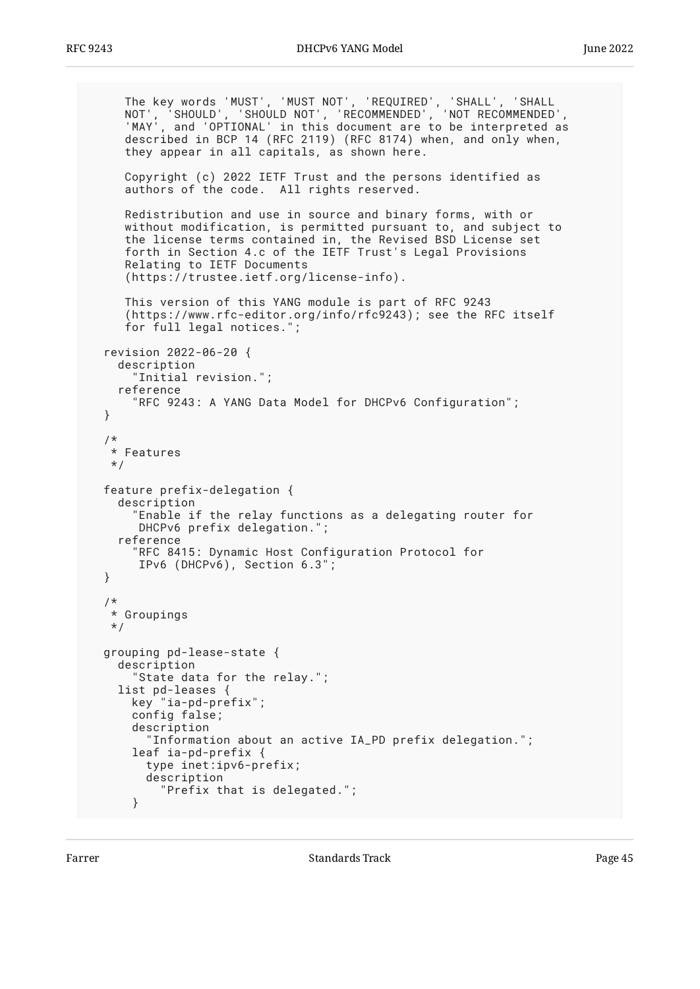```
 The key words 'MUST', 'MUST NOT', 'REQUIRED', 'SHALL', 'SHALL
 NOT', 'SHOULD', 'SHOULD NOT', 'RECOMMENDED', 'NOT RECOMMENDED',
 'MAY', and 'OPTIONAL' in this document are to be interpreted as
     described in BCP 14 (RFC 2119) (RFC 8174) when, and only when,
    they appear in all capitals, as shown here.
     Copyright (c) 2022 IETF Trust and the persons identified as
     authors of the code. All rights reserved.
     Redistribution and use in source and binary forms, with or
     without modification, is permitted pursuant to, and subject to
     the license terms contained in, the Revised BSD License set
     forth in Section 4.c of the IETF Trust's Legal Provisions
     Relating to IETF Documents
      (https://trustee.ietf.org/license-info).
     This version of this YANG module is part of RFC 9243
      (https://www.rfc-editor.org/info/rfc9243); see the RFC itself
     for full legal notices.";
  revision 2022-06-20 {
    description
       "Initial revision.";
    reference
       "RFC 9243: A YANG Data Model for DHCPv6 Configuration";
  }
  /*
   * Features
   */
  feature prefix-delegation {
    description
       "Enable if the relay functions as a delegating router for
       DHCPv6 prefix delegation.";
    reference
       "RFC 8415: Dynamic Host Configuration Protocol for
       IPv6 (DHCPv6), Section 6.3";
  }
   /*
   * Groupings
   */
  grouping pd-lease-state {
    description
       "State data for the relay.";
    list pd-leases {
      key "ia-pd-prefix";
      config false;
       description
         "Information about an active IA_PD prefix delegation.";
      leaf ia-pd-prefix {
         type inet:ipv6-prefix;
         description
           "Prefix that is delegated.";
       }
```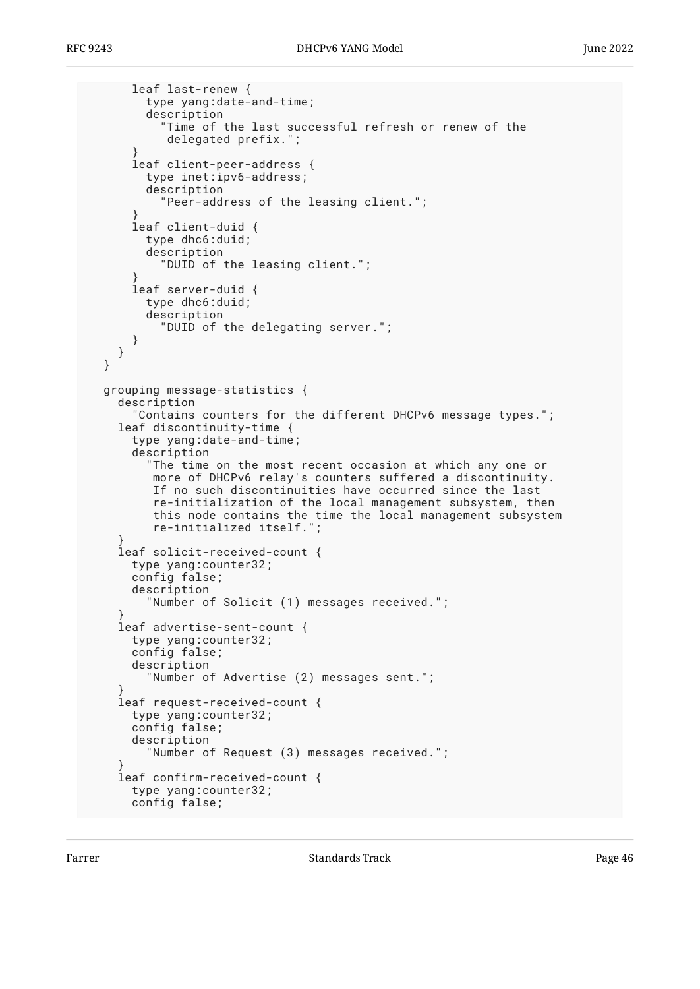```
 leaf last-renew {
         type yang:date-and-time;
         description
           "Time of the last successful refresh or renew of the
            delegated prefix.";
 }
       leaf client-peer-address {
         type inet:ipv6-address;
         description
           "Peer-address of the leasing client.";
 }
       leaf client-duid {
         type dhc6:duid;
         description
           "DUID of the leasing client.";
 }
       leaf server-duid {
         type dhc6:duid;
         description
           "DUID of the delegating server.";
       }
    }
  }
  grouping message-statistics {
    description
       "Contains counters for the different DHCPv6 message types.";
    leaf discontinuity-time {
       type yang:date-and-time;
      description
         "The time on the most recent occasion at which any one or
          more of DHCPv6 relay's counters suffered a discontinuity.
          If no such discontinuities have occurred since the last
          re-initialization of the local management subsystem, then
 this node contains the time the local management subsystem
 re-initialized itself.";
 }
    leaf solicit-received-count {
      type yang:counter32;
      config false;
       description
         "Number of Solicit (1) messages received.";
 }
    leaf advertise-sent-count {
      type yang:counter32;
      config false;
       description
         "Number of Advertise (2) messages sent.";
 }
    leaf request-received-count {
      type yang:counter32;
       config false;
      description
         "Number of Request (3) messages received.";
 }
    leaf confirm-received-count {
      type yang:counter32;
      config false;
```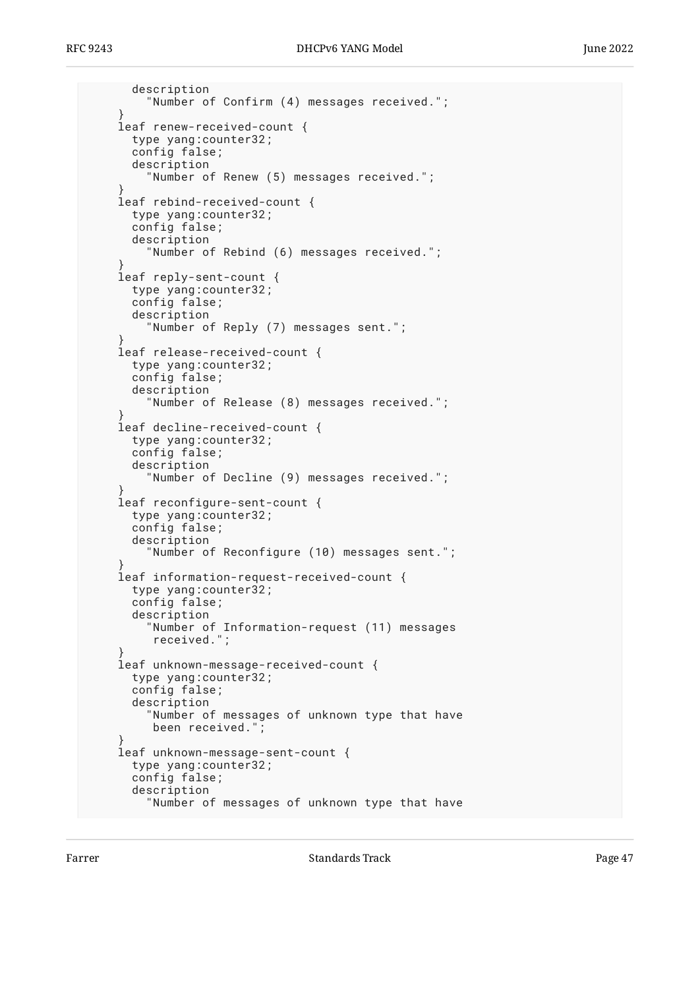```
 description
         "Number of Confirm (4) messages received.";
 }
     leaf renew-received-count {
       type yang:counter32;
       config false;
       description
         "Number of Renew (5) messages received.";
 }
     leaf rebind-received-count {
       type yang:counter32;
       config false;
       description
         "Number of Rebind (6) messages received.";
 }
     leaf reply-sent-count {
       type yang:counter32;
       config false;
       description
         "Number of Reply (7) messages sent.";
 }
     leaf release-received-count {
       type yang:counter32;
       config false;
       description
          "Number of Release (8) messages received.";
 }
     leaf decline-received-count {
       type yang:counter32;
       config false;
       description
         "Number of Decline (9) messages received.";
 }
     leaf reconfigure-sent-count {
       type yang:counter32;
       config false;
       description
         "Number of Reconfigure (10) messages sent.";
 }
    leaf information-request-received-count {
       type yang:counter32;
       config false;
       description
         "Number of Information-request (11) messages
          received.";
 }
     leaf unknown-message-received-count {
       type yang:counter32;
       config false;
       description
         "Number of messages of unknown type that have
          been received.";
 }
     leaf unknown-message-sent-count {
       type yang:counter32;
       config false;
       description
         "Number of messages of unknown type that have
```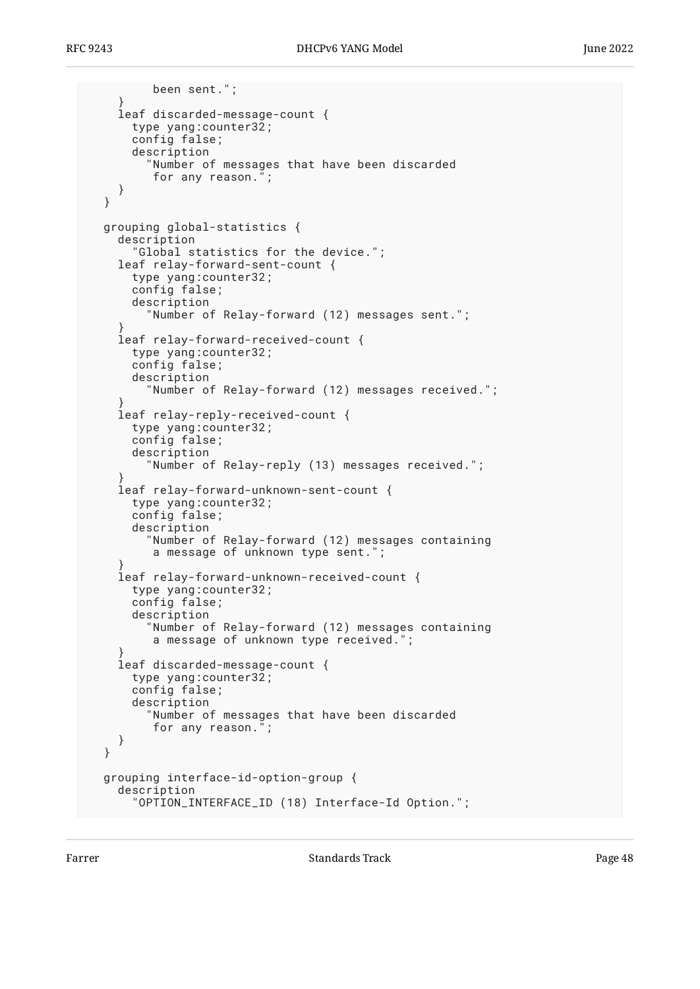```
 been sent.";
 }
     leaf discarded-message-count {
       type yang:counter32;
       config false;
       description
          "Number of messages that have been discarded
          for any reason.";
    }
  }
  grouping global-statistics {
    description
       "Global statistics for the device.";
    leaf relay-forward-sent-count {
       type yang:counter32;
       config false;
       description
         "Number of Relay-forward (12) messages sent.";
 }
     leaf relay-forward-received-count {
       type yang:counter32;
       config false;
       description
         "Number of Relay-forward (12) messages received.";
 }
     leaf relay-reply-received-count {
       type yang:counter32;
       config false;
       description
         "Number of Relay-reply (13) messages received.";
 }
     leaf relay-forward-unknown-sent-count {
       type yang:counter32;
       config false;
       description
         "Number of Relay-forward (12) messages containing
         a message of unknown type sent.";
 }
    leaf relay-forward-unknown-received-count {
       type yang:counter32;
       config false;
       description
         "Number of Relay-forward (12) messages containing
          a message of unknown type received.";
 }
     leaf discarded-message-count {
       type yang:counter32;
       config false;
       description
         "Number of messages that have been discarded
          for any reason.";
    }
  }
  grouping interface-id-option-group {
    description
       "OPTION_INTERFACE_ID (18) Interface-Id Option.";
```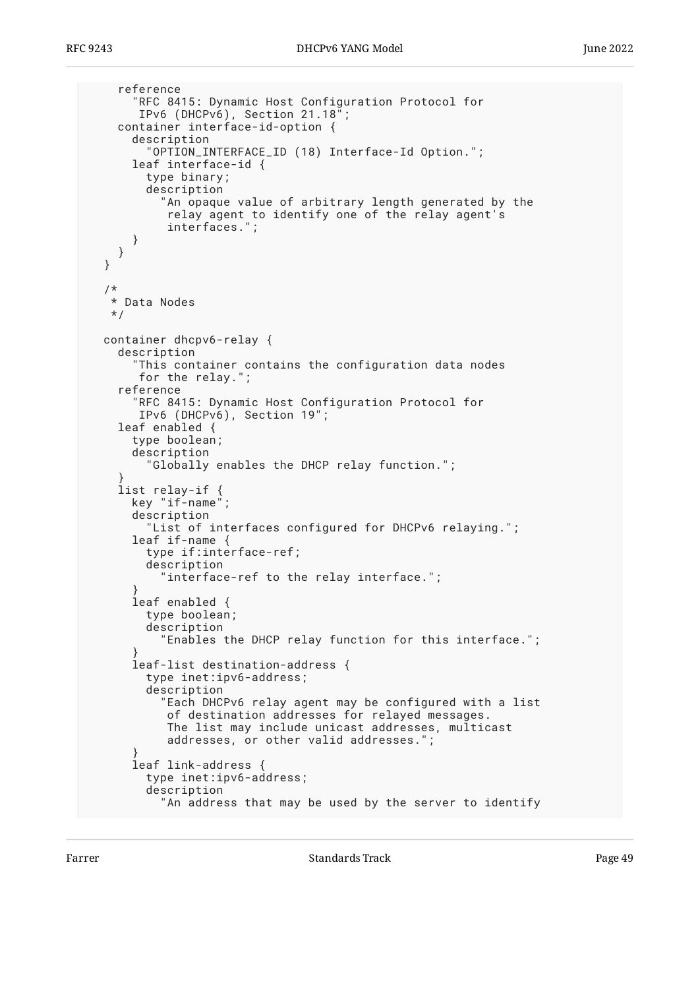```
 reference
       "RFC 8415: Dynamic Host Configuration Protocol for
        IPv6 (DHCPv6), Section 21.18";
     container interface-id-option {
       description
          "OPTION_INTERFACE_ID (18) Interface-Id Option.";
       leaf interface-id {
         type binary;
         description
           "An opaque value of arbitrary length generated by the
            relay agent to identify one of the relay agent's
            interfaces.";
       }
    }
  }
   /*
   * Data Nodes
   */
  container dhcpv6-relay {
    description
       "This container contains the configuration data nodes
        for the relay.";
     reference
       RFC 8415: Dynamic Host Configuration Protocol for
        IPv6 (DHCPv6), Section 19";
    leaf enabled {
       type boolean;
       description
         "Globally enables the DHCP relay function.";
 }
     list relay-if {
       key "if-name";
       description
         "List of interfaces configured for DHCPv6 relaying.";
       leaf if-name {
         type if:interface-ref;
         description
           "interface-ref to the relay interface.";
 }
       leaf enabled {
         type boolean;
         description
           "Enables the DHCP relay function for this interface.";
 }
       leaf-list destination-address {
         type inet:ipv6-address;
        description<sup>1</sup>
           "Each DHCPv6 relay agent may be configured with a list
            of destination addresses for relayed messages.
            The list may include unicast addresses, multicast
            addresses, or other valid addresses.";
 }
       leaf link-address {
         type inet:ipv6-address;
         description
           "An address that may be used by the server to identify
```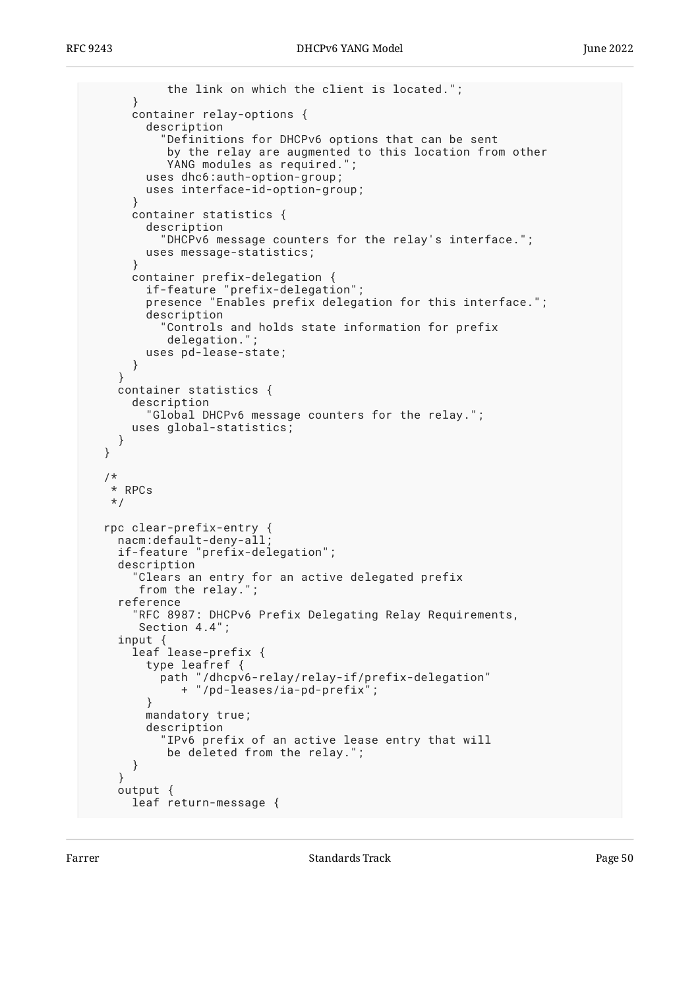```
 the link on which the client is located.";
       }
       container relay-options {
         description
            "Definitions for DHCPv6 options that can be sent
            by the relay are augmented to this location from other
            YANG modules as required.";
         uses dhc6:auth-option-group;
         uses interface-id-option-group;
       }
       container statistics {
         description
           "DHCPv6 message counters for the relay's interface.";
         uses message-statistics;
       }
       container prefix-delegation {
         if-feature "prefix-delegation";
         presence "Enables prefix delegation for this interface.";
         description
           "Controls and holds state information for prefix
            delegation.";
         uses pd-lease-state;
       }
     }
    container statistics {
       description
         "Global DHCPv6 message counters for the relay.";
       uses global-statistics;
     }
  }
  /*
   * RPCs
   */
  rpc clear-prefix-entry {
    nacm:default-deny-all;
    if-feature "prefix-delegation";
    description
       "Clears an entry for an active delegated prefix
        from the relay.";
     reference
       "RFC 8987: DHCPv6 Prefix Delegating Relay Requirements,
        Section 4.4";
 input {
 leaf lease-prefix {
         type leafref {
           path "/dhcpv6-relay/relay-if/prefix-delegation"
              + "/pd-leases/ia-pd-prefix";
         }
         mandatory true;
         description
           "IPv6 prefix of an active lease entry that will
            be deleted from the relay.";
       }
     }
    output {
      leaf return-message {
```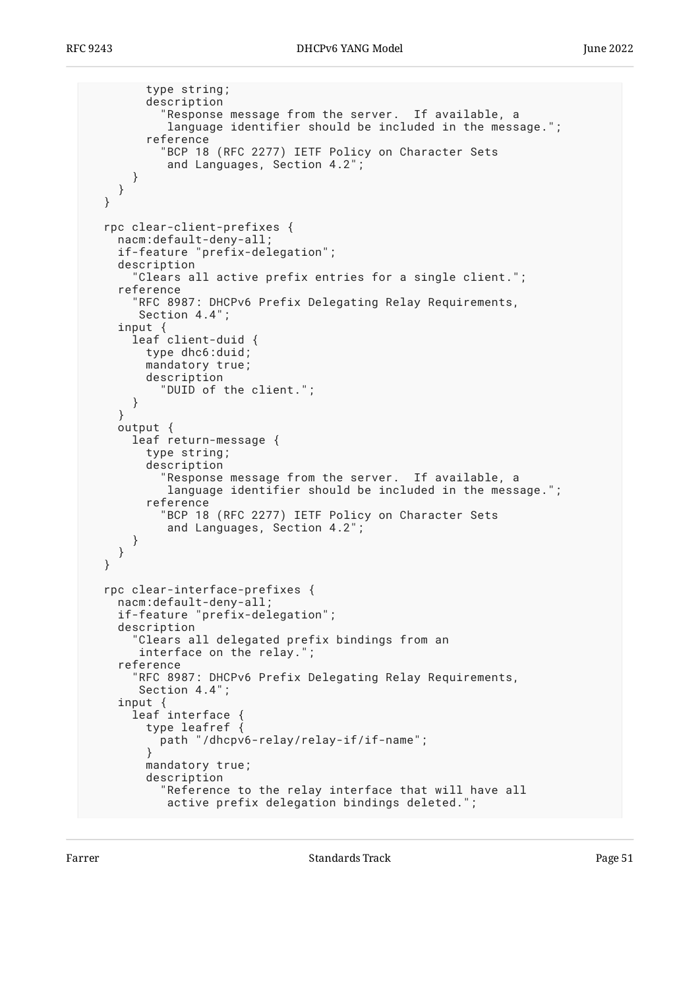```
 type string;
         description
           "Response message from the server. If available, a
            language identifier should be included in the message.";
         reference
           "BCP 18 (RFC 2277) IETF Policy on Character Sets
            and Languages, Section 4.2";
       }
    }
  }
  rpc clear-client-prefixes {
    nacm:default-deny-all;
    if-feature "prefix-delegation";
    description
       "Clears all active prefix entries for a single client.";
     reference
       "RFC 8987: DHCPv6 Prefix Delegating Relay Requirements,
       Section 4.4";
 input {
 leaf client-duid {
         type dhc6:duid;
         mandatory true;
         description
           "DUID of the client.";
       }
     }
    output {
       leaf return-message {
         type string;
         description
           "Response message from the server. If available, a
            language identifier should be included in the message.";
         reference
           "BCP 18 (RFC 2277) IETF Policy on Character Sets
            and Languages, Section 4.2";
       }
    }
  }
  rpc clear-interface-prefixes {
    nacm:default-deny-all;
    if-feature "prefix-delegation";
    description
       "Clears all delegated prefix bindings from an
        interface on the relay.";
     reference
       "RFC 8987: DHCPv6 Prefix Delegating Relay Requirements,
        Section 4.4";
     input {
       leaf interface {
         type leafref {
           path "/dhcpv6-relay/relay-if/if-name";
 }
         mandatory true;
         description
           "Reference to the relay interface that will have all
            active prefix delegation bindings deleted.";
```
Farrer The Communication of the Standards Track Communication of the Page 51 and 2012 12:00 Fage 51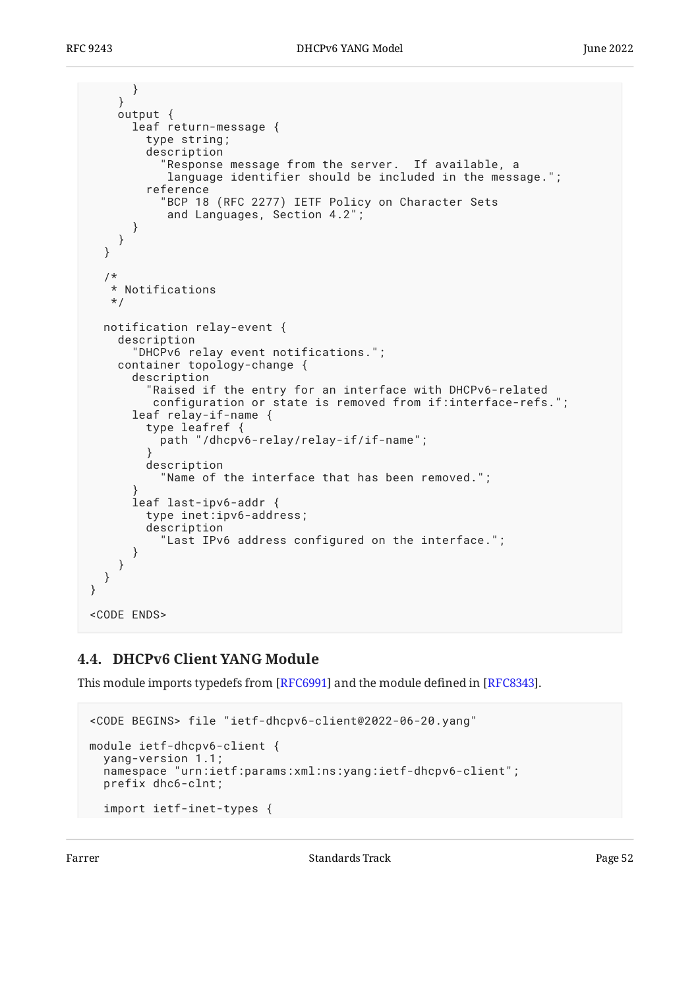```
 }
     }
     output {
       leaf return-message {
         type string;
         description
            "Response message from the server. If available, a
            language identifier should be included in the message.";
         reference
           "BCP 18 (RFC 2277) IETF Policy on Character Sets
            and Languages, Section 4.2";
       }
     }
   }
   /*
    * Notifications
    */
   notification relay-event {
     description
       "DHCPv6 relay event notifications.";
     container topology-change {
       description
          "Raised if the entry for an interface with DHCPv6-related
          configuration or state is removed from if:interface-refs.";
       leaf relay-if-name {
         type leafref {
           path "/dhcpv6-relay/relay-if/if-name";
 }
         description
           "Name of the interface that has been removed.";
 }
       leaf last-ipv6-addr {
         type inet:ipv6-address;
         description
           "Last IPv6 address configured on the interface.";
       }
     }
   }
}
<CODE ENDS>
```
## <span id="page-51-0"></span>**[4.4. DHCPv6 Client YANG Module](#page-51-0)**

This module imports typedefs from [RFC6991] and the module defined in [RFC8343].

```
<CODE BEGINS> file "ietf-dhcpv6-client@2022-06-20.yang"
module ietf-dhcpv6-client {
   yang-version 1.1;
   namespace "urn:ietf:params:xml:ns:yang:ietf-dhcpv6-client";
   prefix dhc6-clnt;
   import ietf-inet-types {
```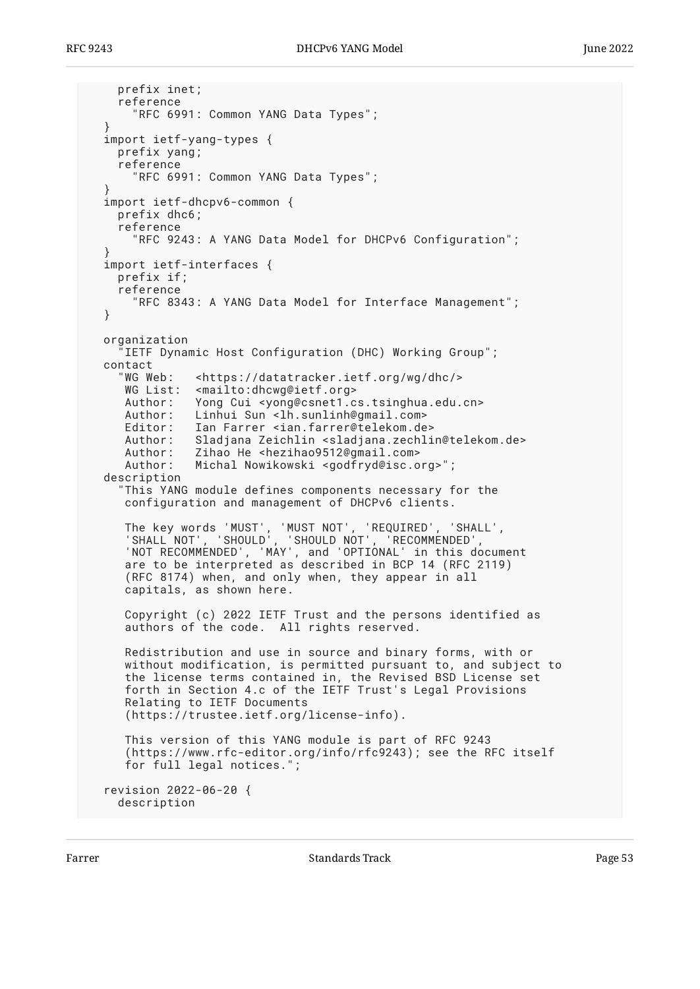```
 prefix inet;
    reference
       "RFC 6991: Common YANG Data Types";
 }
  import ietf-yang-types {
    prefix yang;
    reference
       "RFC 6991: Common YANG Data Types";
 }
  import ietf-dhcpv6-common {
    prefix dhc6;
    reference
       "RFC 9243: A YANG Data Model for DHCPv6 Configuration";
 }
  import ietf-interfaces {
    prefix if;
    reference
       "RFC 8343: A YANG Data Model for Interface Management";
  }
  organization
    IETF Dynamic Host Configuration (DHC) Working Group";
  contact
     "WG Web: <https://datatracker.ietf.org/wg/dhc/>
     WG List: <mailto:dhcwg@ietf.org>
     Author: Yong Cui <yong@csnet1.cs.tsinghua.edu.cn>
     Author: Linhui Sun <lh.sunlinh@gmail.com>
     Editor: Ian Farrer <ian.farrer@telekom.de>
    Author: Sladjana Zeichlin <sladjana.zechlin@telekom.de><br>Author: Zihao He <hezihao9512@qmail.com>
               Zihao He <hezihao9512@gmail.com>
     Author: Michal Nowikowski <godfryd@isc.org>";
  description
     "This YANG module defines components necessary for the
     configuration and management of DHCPv6 clients.
 The key words 'MUST', 'MUST NOT', 'REQUIRED', 'SHALL',
 'SHALL NOT', 'SHOULD', 'SHOULD NOT', 'RECOMMENDED',
 'NOT RECOMMENDED', 'MAY', and 'OPTIONAL' in this document
 are to be interpreted as described in BCP 14 (RFC 2119)
      (RFC 8174) when, and only when, they appear in all
     capitals, as shown here.
     Copyright (c) 2022 IETF Trust and the persons identified as
     authors of the code. All rights reserved.
     Redistribution and use in source and binary forms, with or
 without modification, is permitted pursuant to, and subject to
 the license terms contained in, the Revised BSD License set
     forth in Section 4.c of the IETF Trust's Legal Provisions
     Relating to IETF Documents
      (https://trustee.ietf.org/license-info).
     This version of this YANG module is part of RFC 9243
      (https://www.rfc-editor.org/info/rfc9243); see the RFC itself
     for full legal notices.";
  revision 2022-06-20 {
    description
```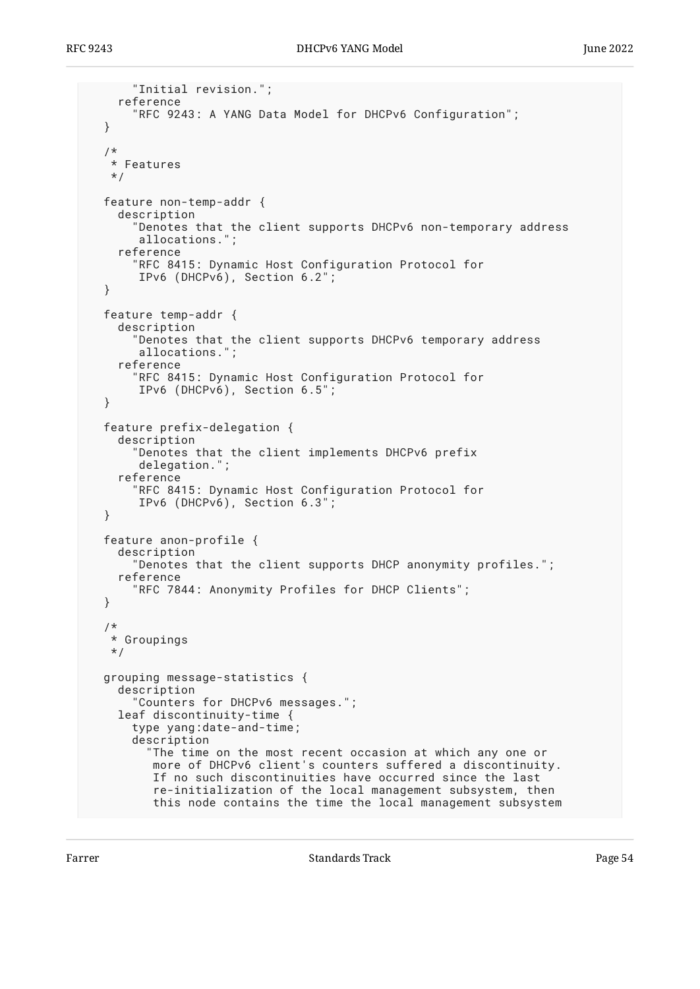```
 "Initial revision.";
   reference
     "RFC 9243: A YANG Data Model for DHCPv6 Configuration";
 }
 /*
  * Features
  */
 feature non-temp-addr {
   description
     "Denotes that the client supports DHCPv6 non-temporary address
      allocations.";
   reference
     "RFC 8415: Dynamic Host Configuration Protocol for
      IPv6 (DHCPv6), Section 6.2";
 }
 feature temp-addr {
   description
     "Denotes that the client supports DHCPv6 temporary address
      allocations.";
   reference
     "RFC 8415: Dynamic Host Configuration Protocol for
      IPv6 (DHCPv6), Section 6.5";
 }
 feature prefix-delegation {
   description
     "Denotes that the client implements DHCPv6 prefix
      delegation.";
   reference
     "RFC 8415: Dynamic Host Configuration Protocol for
      IPv6 (DHCPv6), Section 6.3";
 }
 feature anon-profile {
   description
     "Denotes that the client supports DHCP anonymity profiles.";
   reference
     "RFC 7844: Anonymity Profiles for DHCP Clients";
 }
 /*
  * Groupings
  */
 grouping message-statistics {
   description
     "Counters for DHCPv6 messages.";
   leaf discontinuity-time {
     type yang:date-and-time;
     description
       "The time on the most recent occasion at which any one or
        more of DHCPv6 client's counters suffered a discontinuity.
        If no such discontinuities have occurred since the last
        re-initialization of the local management subsystem, then
        this node contains the time the local management subsystem
```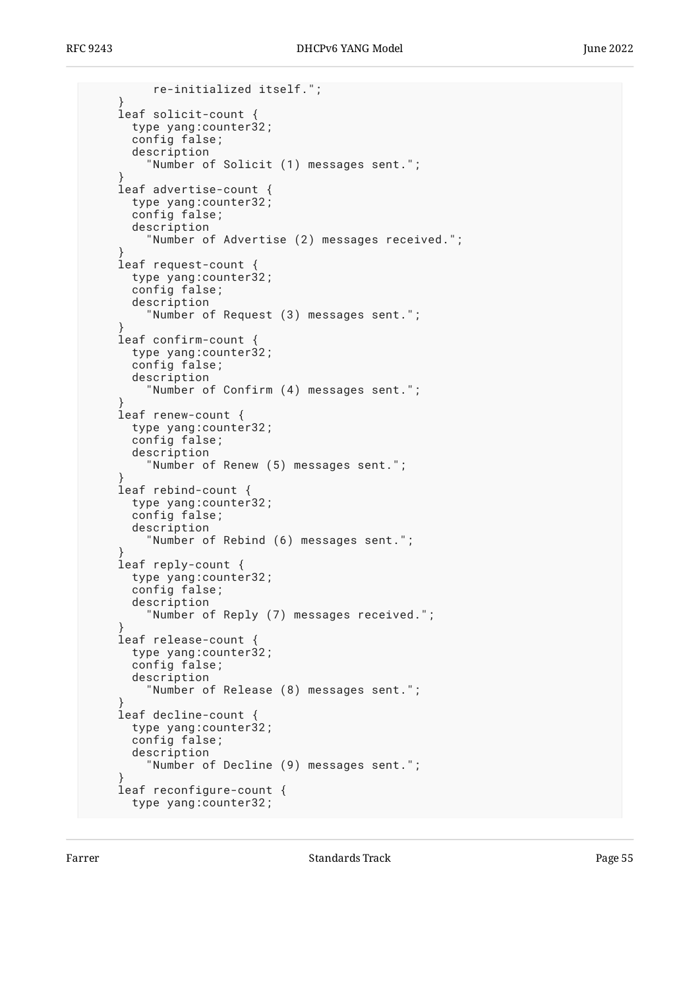```
 re-initialized itself.";
 }
     leaf solicit-count {
       type yang:counter32;
       config false;
       description
          "Number of Solicit (1) messages sent.";
 }
     leaf advertise-count {
       type yang:counter32;
       config false;
       description
         "Number of Advertise (2) messages received.";
 }
     leaf request-count {
       type yang:counter32;
       config false;
       description
         "Number of Request (3) messages sent.";
 }
     leaf confirm-count {
       type yang:counter32;
       config false;
       description
         "Number of Confirm (4) messages sent.";
 }
     leaf renew-count {
       type yang:counter32;
       config false;
       description
         "Number of Renew (5) messages sent.";
 }
     leaf rebind-count {
       type yang:counter32;
       config false;
       description
         "Number of Rebind (6) messages sent.";
 }
    leaf reply-count {
       type yang:counter32;
       config false;
       description
         "Number of Reply (7) messages received.";
 }
     leaf release-count {
       type yang:counter32;
       config false;
       description
         "Number of Release (8) messages sent.";
 }
     leaf decline-count {
       type yang:counter32;
       config false;
       description
         "Number of Decline (9) messages sent.";
 }
     leaf reconfigure-count {
       type yang:counter32;
```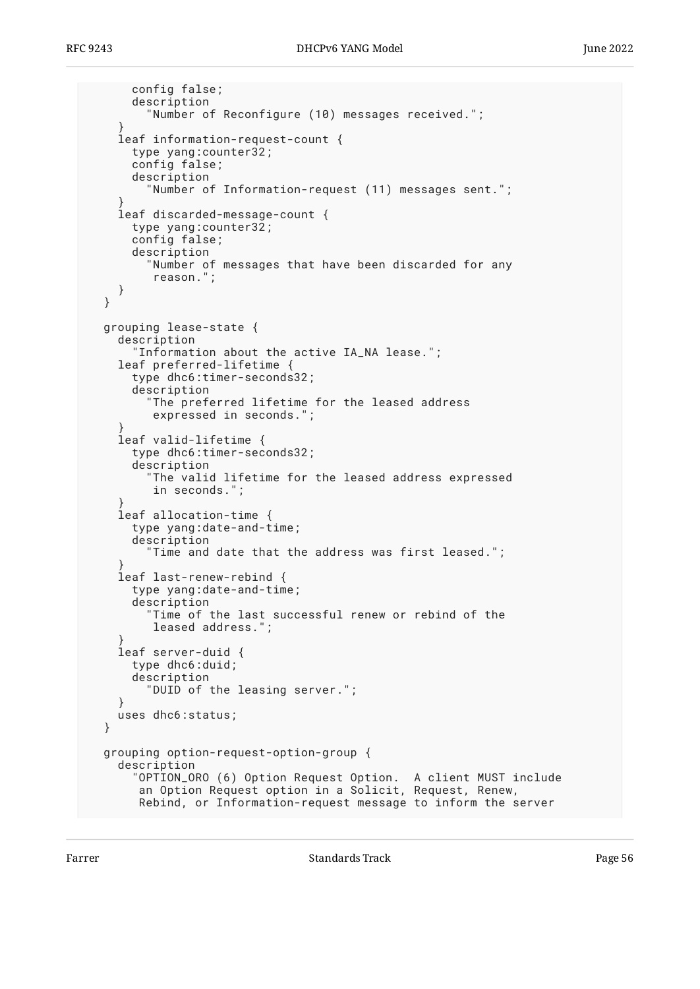```
 config false;
       description
         "Number of Reconfigure (10) messages received.";
 }
    leaf information-request-count {
      type yang:counter32;
      config false;
      description
         "Number of Information-request (11) messages sent.";
 }
    leaf discarded-message-count {
       type yang:counter32;
       config false;
      description
         "Number of messages that have been discarded for any
          reason.";
    }
  }
  grouping lease-state {
    description
       "Information about the active IA_NA lease.";
    leaf preferred-lifetime {
       type dhc6:timer-seconds32;
       description
         "The preferred lifetime for the leased address
          expressed in seconds.";
 }
    leaf valid-lifetime {
      type dhc6:timer-seconds32;
       description
         "The valid lifetime for the leased address expressed
         in seconds.";
 }
    leaf allocation-time {
      type yang:date-and-time;
       description
         "Time and date that the address was first leased.";
 }
    leaf last-renew-rebind {
      type yang:date-and-time;
       description
         "Time of the last successful renew or rebind of the
         leased address.";
 }
    leaf server-duid {
       type dhc6:duid;
      description
         "DUID of the leasing server.";
 }
    uses dhc6:status;
   }
  grouping option-request-option-group {
    description
 "OPTION_ORO (6) Option Request Option. A client MUST include
 an Option Request option in a Solicit, Request, Renew,
       Rebind, or Information-request message to inform the server
```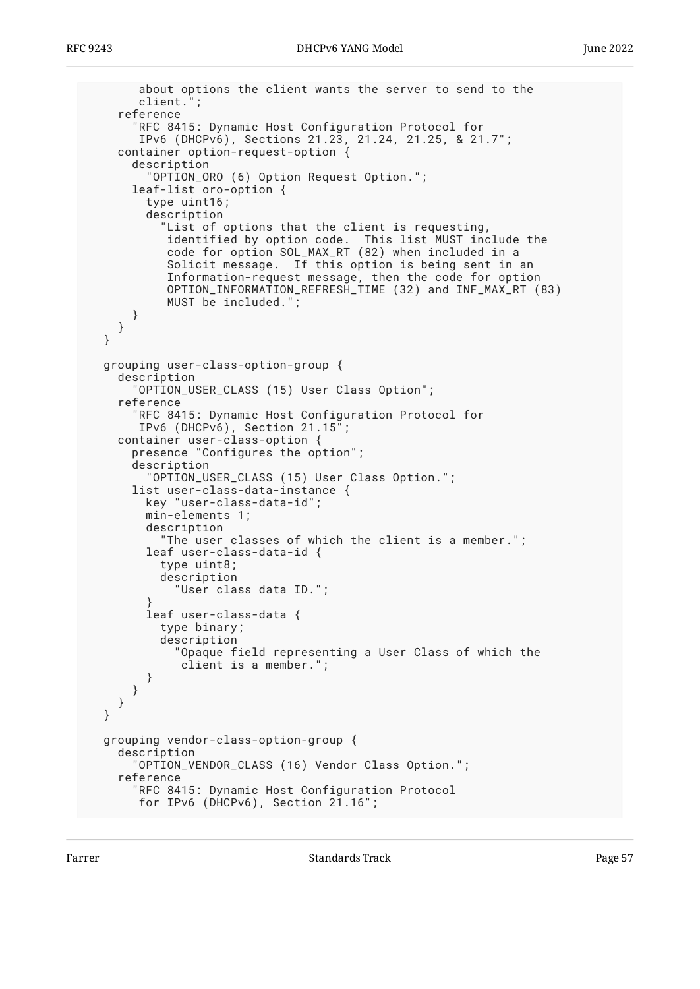```
 about options the client wants the server to send to the
       client.'
     reference
       "RFC 8415: Dynamic Host Configuration Protocol for
        IPv6 (DHCPv6), Sections 21.23, 21.24, 21.25, & 21.7";
    container option-request-option {
       description
         "OPTION_ORO (6) Option Request Option.";
       leaf-list oro-option {
         type uint16;
         description
           "List of options that the client is requesting,
            identified by option code. This list MUST include the
            code for option SOL_MAX_RT (82) when included in a
            Solicit message. If this option is being sent in an
            Information-request message, then the code for option
            OPTION_INFORMATION_REFRESH_TIME (32) and INF_MAX_RT (83)
            MUST be included.";
       }
     }
  }
  grouping user-class-option-group {
    description
       OPTION_USER_CLASS (15) User Class Option";
     reference
       "RFC 8415: Dynamic Host Configuration Protocol for
       IPv6 (DHCPv6), Section 21.15<sup>'</sup>
     container user-class-option {
       presence "Configures the option";
       description
         "OPTION_USER_CLASS (15) User Class Option.";
       list user-class-data-instance {
         key "user-class-data-id";
         min-elements 1;
         description
           "The user classes of which the client is a member.";
         leaf user-class-data-id {
           type uint8;
           description
             "User class data ID.";
 }
         leaf user-class-data {
           type binary;
           description
              "Opaque field representing a User Class of which the
              client is a member.";
         }
      }
    }
  }
  grouping vendor-class-option-group {
    description
       "OPTION_VENDOR_CLASS (16) Vendor Class Option.";
     reference
       "RFC 8415: Dynamic Host Configuration Protocol
        for IPv6 (DHCPv6), Section 21.16";
```
Farrer The Communication of the Standards Track Communication of the Page 57 (1992) and the Page 57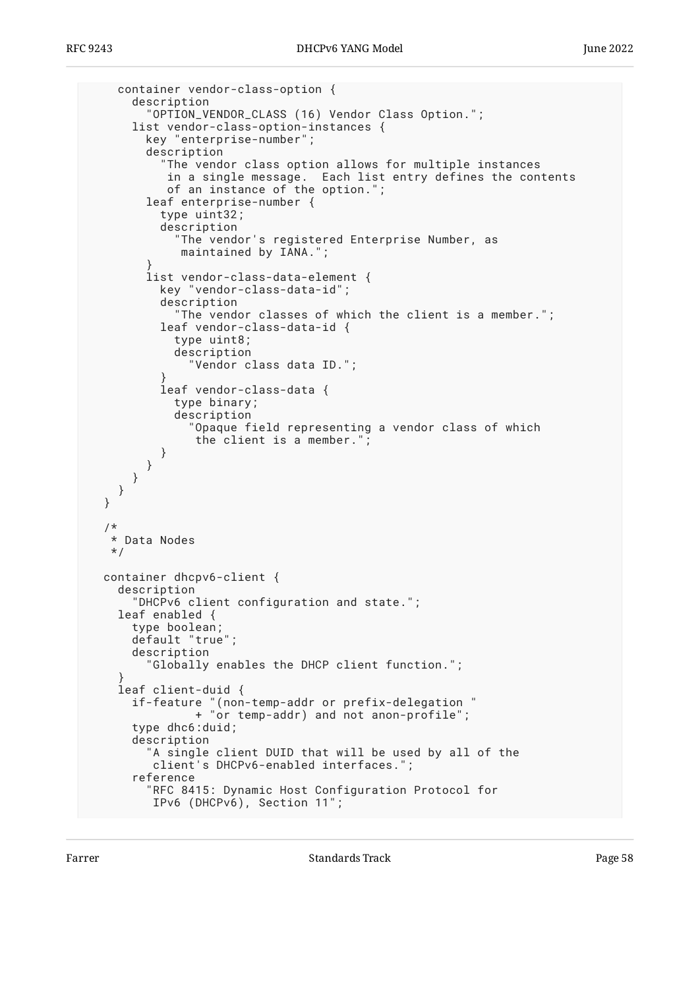```
 container vendor-class-option {
       description
         "OPTION_VENDOR_CLASS (16) Vendor Class Option.";
       list vendor-class-option-instances {
         key "enterprise-number";
         description
            "The vendor class option allows for multiple instances
            in a single message. Each list entry defines the contents
           of an instance of the option."
         leaf enterprise-number {
           type uint32;
           description
             "The vendor's registered Enterprise Number, as
              maintained by IANA.";
 }
         list vendor-class-data-element {
           key "vendor-class-data-id";
           description
             "The vendor classes of which the client is a member.";
           leaf vendor-class-data-id {
             type uint8;
             description
               "Vendor class data ID.";
 }
           leaf vendor-class-data {
             type binary;
             description
               "Opaque field representing a vendor class of which
                the client is a member.";
           }
        }
      }
    }
  }
   /*
   * Data Nodes
   */
  container dhcpv6-client {
    description
       "DHCPv6 client configuration and state.";
    leaf enabled {
       type boolean;
       default "true";
       description
          "Globally enables the DHCP client function.";
 }
     leaf client-duid {
       if-feature "(non-temp-addr or prefix-delegation "
                + "or temp-addr) and not anon-profile";
       type dhc6:duid;
       description
         "A single client DUID that will be used by all of the
          client's DHCPv6-enabled interfaces.";
       reference
         "RFC 8415: Dynamic Host Configuration Protocol for
          IPv6 (DHCPv6), Section 11";
```
Farrer The Communication of the Standards Track Communication of the Page 58 S8 and 2011 and 2012 12:00 Fage 58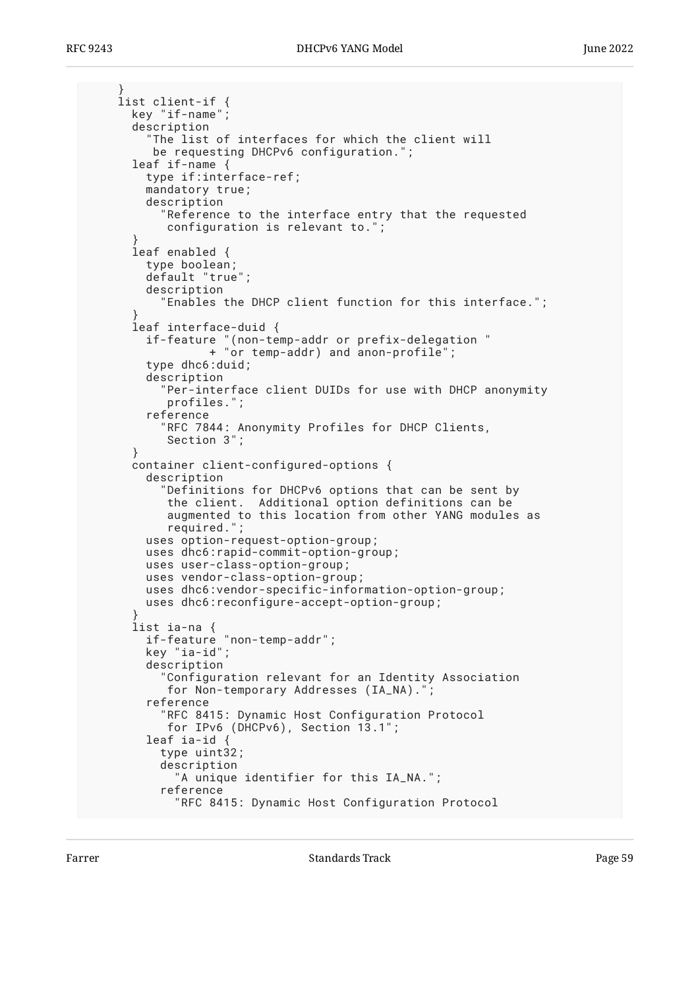```
 }
    list client-if {
      key "if-name";
       description
         "The list of interfaces for which the client will
          be requesting DHCPv6 configuration.";
       leaf if-name {
         type if:interface-ref;
        mandatory true;
         description
           "Reference to the interface entry that the requested
            configuration is relevant to.";
 }
       leaf enabled {
         type boolean;
         default "true";
         description
           "Enables the DHCP client function for this interface.";
 }
       leaf interface-duid {
         if-feature "(non-temp-addr or prefix-delegation "
                  + "or temp-addr) and anon-profile";
         type dhc6:duid;
         description
           "Per-interface client DUIDs for use with DHCP anonymity
            profiles.";
         reference
           "RFC 7844: Anonymity Profiles for DHCP Clients,
            Section 3";
 }
      container client-configured-options {
         description
           "Definitions for DHCPv6 options that can be sent by
            the client. Additional option definitions can be
            augmented to this location from other YANG modules as
            required.";
         uses option-request-option-group;
        uses dhc6:rapid-commit-option-group;
        uses user-class-option-group;
        uses vendor-class-option-group;
        uses dhc6:vendor-specific-information-option-group;
         uses dhc6:reconfigure-accept-option-group;
 }
       list ia-na {
 if-feature "non-temp-addr";
 key "ia-id";
         description
           "Configuration relevant for an Identity Association
            for Non-temporary Addresses (IA_NA).";
         reference
           "RFC 8415: Dynamic Host Configuration Protocol
            for IPv6 (DHCPv6), Section 13.1";
         leaf ia-id {
           type uint32;
           description
             "A unique identifier for this IA_NA.";
           reference
             "RFC 8415: Dynamic Host Configuration Protocol
```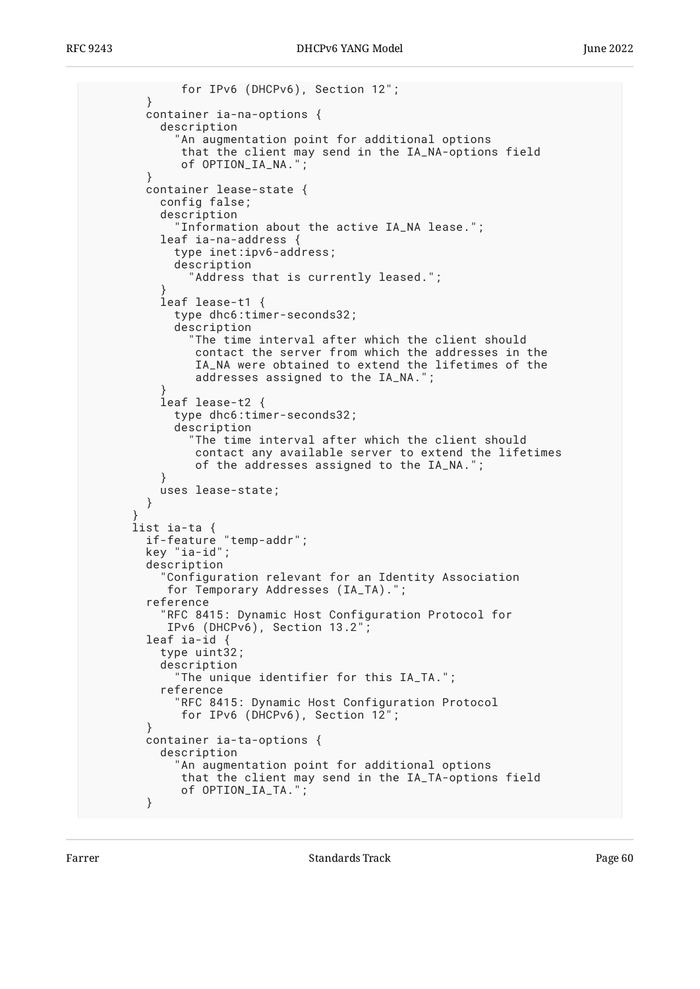```
 for IPv6 (DHCPv6), Section 12";
 }
        container ia-na-options {
          description
             "An augmentation point for additional options
              that the client may send in the IA_NA-options field
             of OPTION_IA_NA.";
 }
        container lease-state {
          config false;
          description
             "Information about the active IA_NA lease.";
          leaf ia-na-address {
             type inet:ipv6-address;
            description
               "Address that is currently leased.";
 }
           leaf lease-t1 {
            type dhc6:timer-seconds32;
            description
               "The time interval after which the client should
               contact the server from which the addresses in the
                IA_NA were obtained to extend the lifetimes of the
                addresses assigned to the IA_NA.";
 }
           leaf lease-t2 {
            type dhc6:timer-seconds32;
            description
               "The time interval after which the client should
               contact any available server to extend the lifetimes
               of the addresses assigned to the IA_NA.";
 }
          uses lease-state;
         }
 }
      list ia-ta {
 if-feature "temp-addr";
 key "ia-id";
        description
           "Configuration relevant for an Identity Association
           for Temporary Addresses (IA_TA).";
         reference
           "RFC 8415: Dynamic Host Configuration Protocol for
           IPv6 (DHCPv6), Section 13.2";
        leaf ia-id {
           type uint32;
           description
             "The unique identifier for this IA_TA.";
           reference
             "RFC 8415: Dynamic Host Configuration Protocol
             for IPv6 (DHCPv6), Section 12";
 }
        container ia-ta-options {
          description
             "An augmentation point for additional options
             that the client may send in the IA_TA-options field
             of OPTION_IA_TA.";
 }
```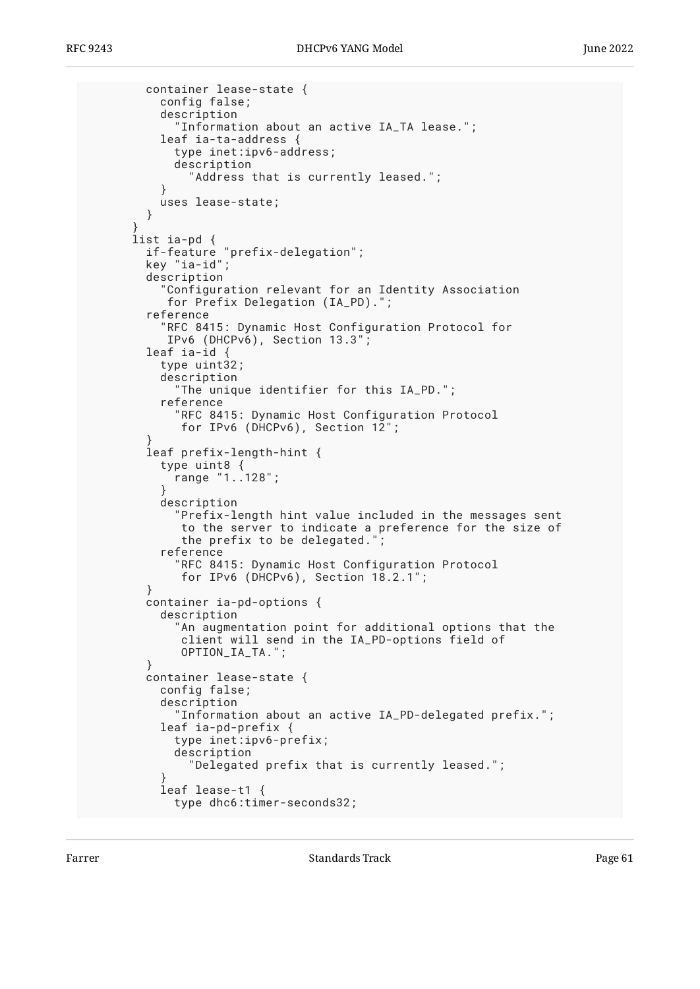```
 container lease-state {
           config false;
           description
             "Information about an active IA_TA lease.";
          leaf ia-ta-address
             type inet:ipv6-address;
             description
               "Address that is currently leased.";
 }
           uses lease-state;
         }
 }
       list ia-pd {
         if-feature "prefix-delegation";
         key "ia-id";
         description
           "Configuration relevant for an Identity Association
            for Prefix Delegation (IA_PD).";
         reference
           "RFC 8415: Dynamic Host Configuration Protocol for
            IPv6 (DHCPv6), Section 13.3";
         leaf ia-id {
           type uint32;
           description
             "The unique identifier for this IA_PD.";
           reference
             "RFC 8415: Dynamic Host Configuration Protocol
             for IPv6 (DHCPv6), Section 12";
 }
         leaf prefix-length-hint {
           type uint8 {
            range "1..128";
 }
           description
             "Prefix-length hint value included in the messages sent
              to the server to indicate a preference for the size of
             the prefix to be delegated."
           reference
             "RFC 8415: Dynamic Host Configuration Protocol
              for IPv6 (DHCPv6), Section 18.2.1";
         }
         container ia-pd-options {
           description
             "An augmentation point for additional options that the
              client will send in the IA_PD-options field of
              OPTION_IA_TA.";
 }
         container lease-state {
           config false;
           description
             "Information about an active IA_PD-delegated prefix.";
           leaf ia-pd-prefix {
             type inet:ipv6-prefix;
             description
               "Delegated prefix that is currently leased.";
 }
           leaf lease-t1 {
             type dhc6:timer-seconds32;
```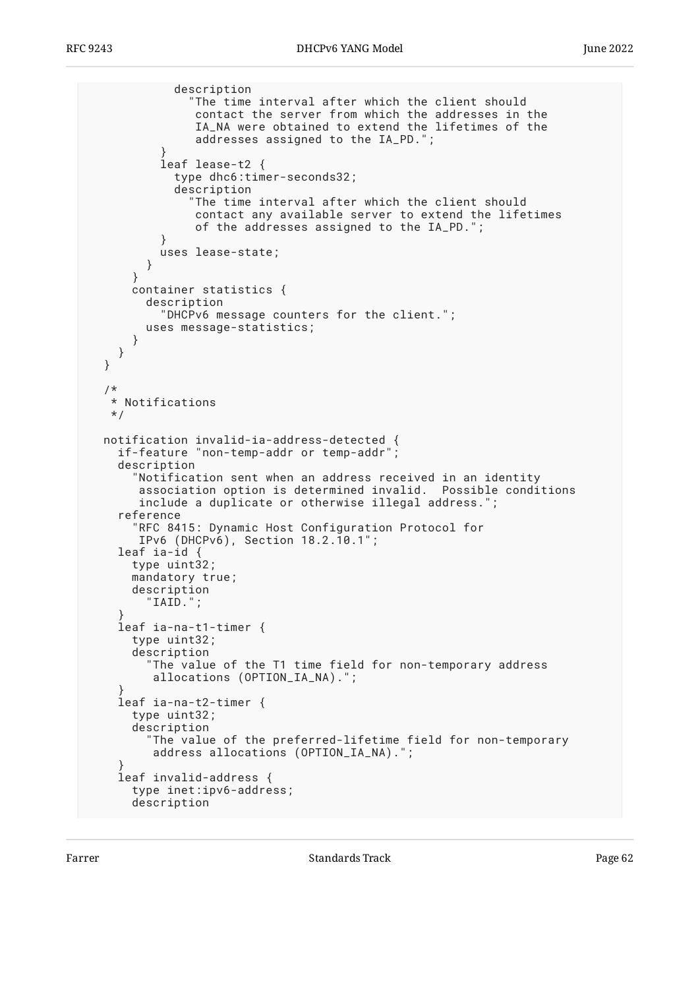description "The time interval after which the client should contact the server from which the addresses in the IA\_NA were obtained to extend the lifetimes of the addresses assigned to the IA\_PD."; } leaf lease-t2 { type dhc6:timer-seconds32; description "The time interval after which the client should contact any available server to extend the lifetimes of the addresses assigned to the IA\_PD."; } uses lease-state; } } container statistics { description "DHCPv6 message counters for the client."; uses message-statistics; } } }  $/$ \* \* Notifications \*/ notification invalid-ia-address-detected { if-feature "non-temp-addr or temp-addr"; description "Notification sent when an address received in an identity association option is determined invalid. Possible conditions include a duplicate or otherwise illegal address."; reference RFC 8415: Dynamic Host Configuration Protocol for IPv6 (DHCPv6), Section 18.2.10.1"; leaf ia-id  $\uparrow$  type uint32; mandatory true; description "IAID."; } leaf ia-na-t1-timer { type uint32; description "The value of the T1 time field for non-temporary address allocations (OPTION\_IA\_NA)."; } leaf ia-na-t2-timer { type uint32; description "The value of the preferred-lifetime field for non-temporary address allocations (OPTION\_IA\_NA)."; } leaf invalid-address { type inet:ipv6-address; description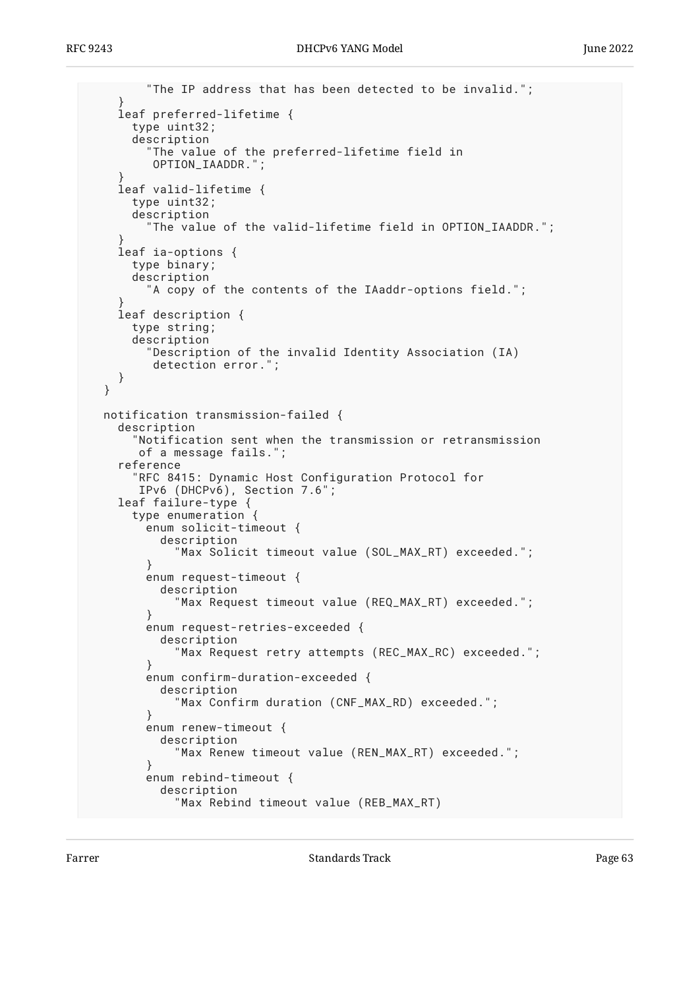```
 "The IP address that has been detected to be invalid.";
 }
    leaf preferred-lifetime {
      type uint32;
       description
         "The value of the preferred-lifetime field in
         OPTION_IAADDR.";
 }
    leaf valid-lifetime {
      type uint32;
      description
         "The value of the valid-lifetime field in OPTION_IAADDR.";
 }
    leaf ia-options {
      type binary;
       description
         "A copy of the contents of the IAaddr-options field.";
 }
    leaf description {
      type string;
       description
         "Description of the invalid Identity Association (IA)
         detection error.";
    }
  }
  notification transmission-failed {
    description
       "Notification sent when the transmission or retransmission
       of a message fails.";
     reference
       "RFC 8415: Dynamic Host Configuration Protocol for
       IPv6 (DHCPv6), Section 7.6";
    leaf failure-type {
       type enumeration {
         enum solicit-timeout {
           description
             "Max Solicit timeout value (SOL_MAX_RT) exceeded.";
 }
         enum request-timeout {
           description
             "Max Request timeout value (REQ_MAX_RT) exceeded.";
 }
         enum request-retries-exceeded {
           description
             "Max Request retry attempts (REC_MAX_RC) exceeded.";
 }
         enum confirm-duration-exceeded {
           description
             "Max Confirm duration (CNF_MAX_RD) exceeded.";
 }
         enum renew-timeout {
           description
             "Max Renew timeout value (REN_MAX_RT) exceeded.";
 }
         enum rebind-timeout {
           description
             "Max Rebind timeout value (REB_MAX_RT)
```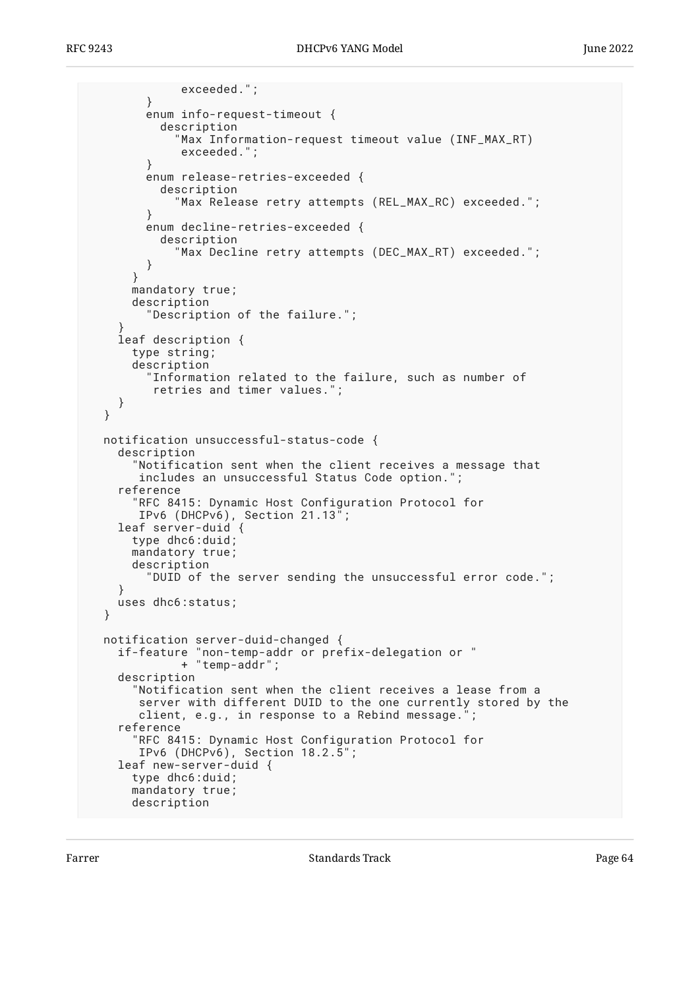```
 exceeded.";
         }
         enum info-request-timeout {
           description
              "Max Information-request timeout value (INF_MAX_RT)
              exceeded.";
 }
         enum release-retries-exceeded {
           description
              "Max Release retry attempts (REL_MAX_RC) exceeded.";
 }
         enum decline-retries-exceeded {
           description
             "Max Decline retry attempts (DEC_MAX_RT) exceeded.";
 }
       }
       mandatory true;
       description
         "Description of the failure.";
 }
     leaf description {
       type string;
       description
         "Information related to the failure, such as number of
          retries and timer values.";
     }
  }
  notification unsuccessful-status-code {
     description
       "Notification sent when the client receives a message that
        includes an unsuccessful Status Code option.";
     reference
       "RFC 8415: Dynamic Host Configuration Protocol for
        IPv6 (DHCPv6), Section 21.13";
     leaf server-duid {
       type dhc6:duid;
       mandatory true;
       description
         "DUID of the server sending the unsuccessful error code.";
     }
     uses dhc6:status;
  }
  notification server-duid-changed {
                "non-temp-addr or prefix-delegation or "
   if-feature "non-temp-au"<br>|- if-feature "non-temp-addr"<br>|- "temp-addr"
     description
       "Notification sent when the client receives a lease from a
        server with different DUID to the one currently stored by the
        client, e.g., in response to a Rebind message.";
     reference
       "RFC 8415: Dynamic Host Configuration Protocol for
        IPv6 (DHCPv6), Section 18.2.5";
     leaf new-server-duid {
       type dhc6:duid;
       mandatory true;
       description
```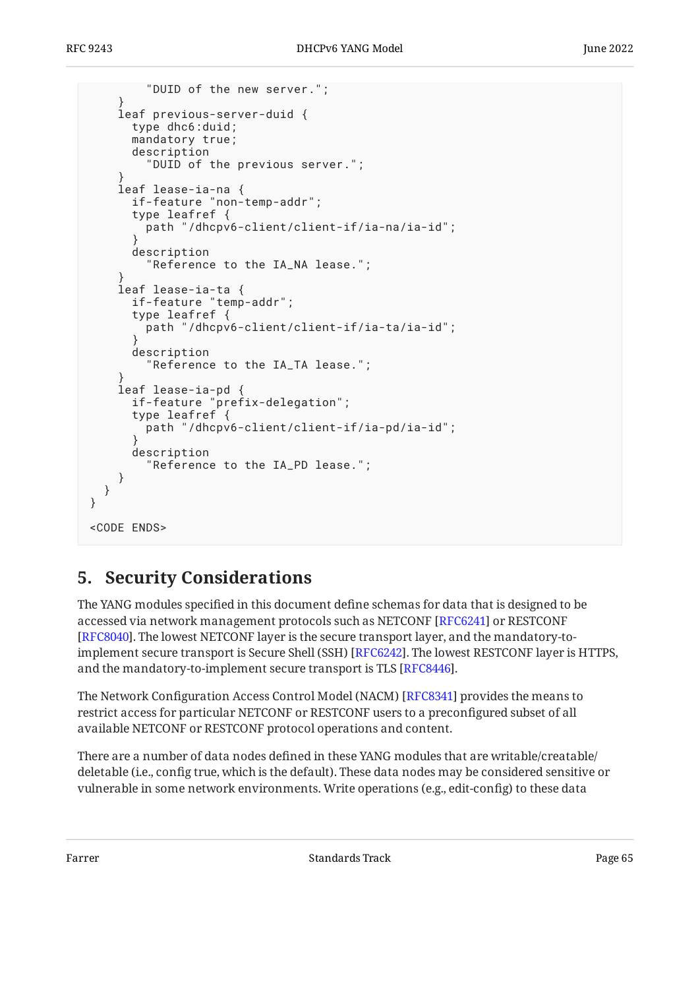```
 "DUID of the new server.";
 }
     leaf previous-server-duid {
       type dhc6:duid;
       mandatory true;
       description
          "DUID of the previous server.";
 }
     leaf lease-ia-na {
       if-feature "non-temp-addr";
       type leafref {
         path "/dhcpv6-client/client-if/ia-na/ia-id";
 }
       description
         "Reference to the IA_NA lease.";
 }
     leaf lease-ia-ta {
       if-feature "temp-addr";
       type leafref {
         path "/dhcpv6-client/client-if/ia-ta/ia-id";
 }
       description
         "Reference to the IA_TA lease.";
 }
     leaf lease-ia-pd {
 if-feature "prefix-delegation";
 type leafref {
         path "/dhcpv6-client/client-if/ia-pd/ia-id";
 }
       description
         "Reference to the IA_PD lease.";
     }
   }
}
<CODE ENDS>
```
# <span id="page-64-0"></span>**[5. Security Considerations](#page-64-0)**

The YANG modules specified in this document define schemas for data that is designed to be accessed via network management protocols such as NETCONF [RFC6241] or RESTCONF . The lowest NETCONF layer is the secure transport layer, and the mandatory-to-[[RFC8040\]](#page-69-2) implement secure transport is Secure Shell (SSH) [RFC6242]. The lowest RESTCONF layer is HTTPS,  $\,$ and the mandatory-to-implement secure transport is TLS [\[RFC8446](#page-69-3)].

The Network Configuration Access Control Model (NACM) [[RFC8341\]](#page-69-0) provides the means to restrict access for particular NETCONF or RESTCONF users to a preconfigured subset of all available NETCONF or RESTCONF protocol operations and content.

There are a number of data nodes defined in these YANG modules that are writable/creatable/ deletable (i.e., config true, which is the default). These data nodes may be considered sensitive or vulnerable in some network environments. Write operations (e.g., edit-config) to these data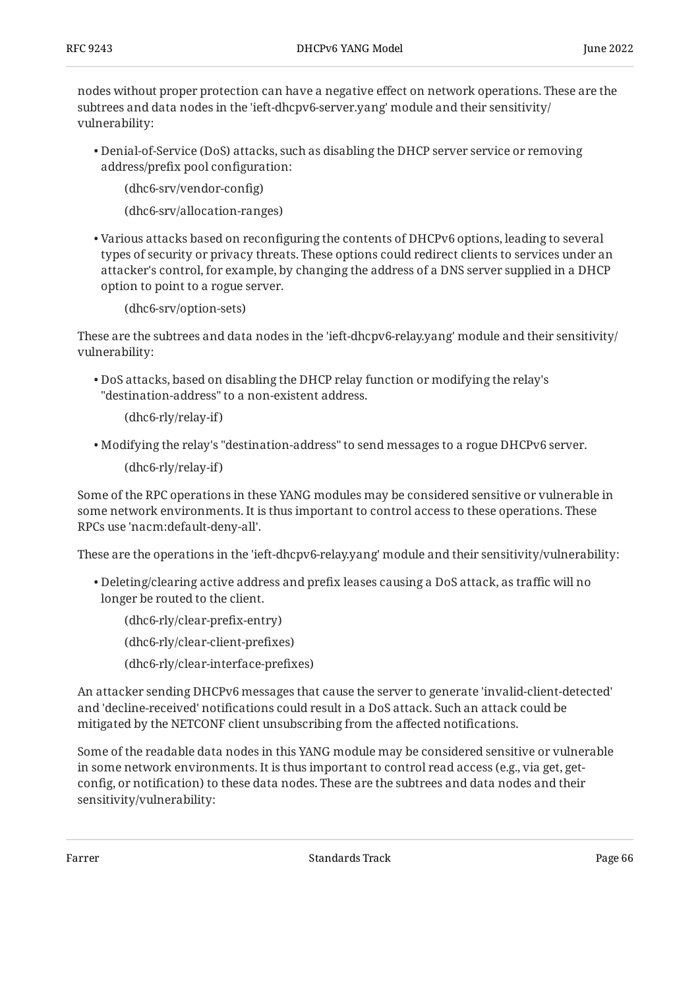nodes without proper protection can have a negative effect on network operations. These are the subtrees and data nodes in the 'ieft-dhcpv6-server.yang' module and their sensitivity/ vulnerability:

Denial-of-Service (DoS) attacks, such as disabling the DHCP server service or removing • address/prefix pool configuration:

(dhc6-srv/vendor-config)

(dhc6-srv/allocation-ranges)

 $\bullet$  Various attacks based on reconfiguring the contents of DHCPv6 options, leading to several types of security or privacy threats. These options could redirect clients to services under an attacker's control, for example, by changing the address of a DNS server supplied in a DHCP option to point to a rogue server.

(dhc6-srv/option-sets)

These are the subtrees and data nodes in the 'ieft-dhcpv6-relay.yang' module and their sensitivity/ vulnerability:

DoS attacks, based on disabling the DHCP relay function or modifying the relay's • "destination-address" to a non-existent address.

(dhc6-rly/relay-if)

Modifying the relay's "destination-address" to send messages to a rogue DHCPv6 server. •

(dhc6-rly/relay-if)

Some of the RPC operations in these YANG modules may be considered sensitive or vulnerable in some network environments. It is thus important to control access to these operations. These RPCs use 'nacm:default-deny-all'.

These are the operations in the 'ieft-dhcpv6-relay.yang' module and their sensitivity/vulnerability:

Deleting/clearing active address and prefix leases causing a DoS attack, as traffic will no • longer be routed to the client.

(dhc6-rly/clear-prefix-entry) (dhc6-rly/clear-client-prefixes) (dhc6-rly/clear-interface-prefixes)

An attacker sending DHCPv6 messages that cause the server to generate 'invalid-client-detected' and 'decline-received' notifications could result in a DoS attack. Such an attack could be mitigated by the NETCONF client unsubscribing from the affected notifications.

Some of the readable data nodes in this YANG module may be considered sensitive or vulnerable in some network environments. It is thus important to control read access (e.g., via get, getconfig, or notification) to these data nodes. These are the subtrees and data nodes and their sensitivity/vulnerability: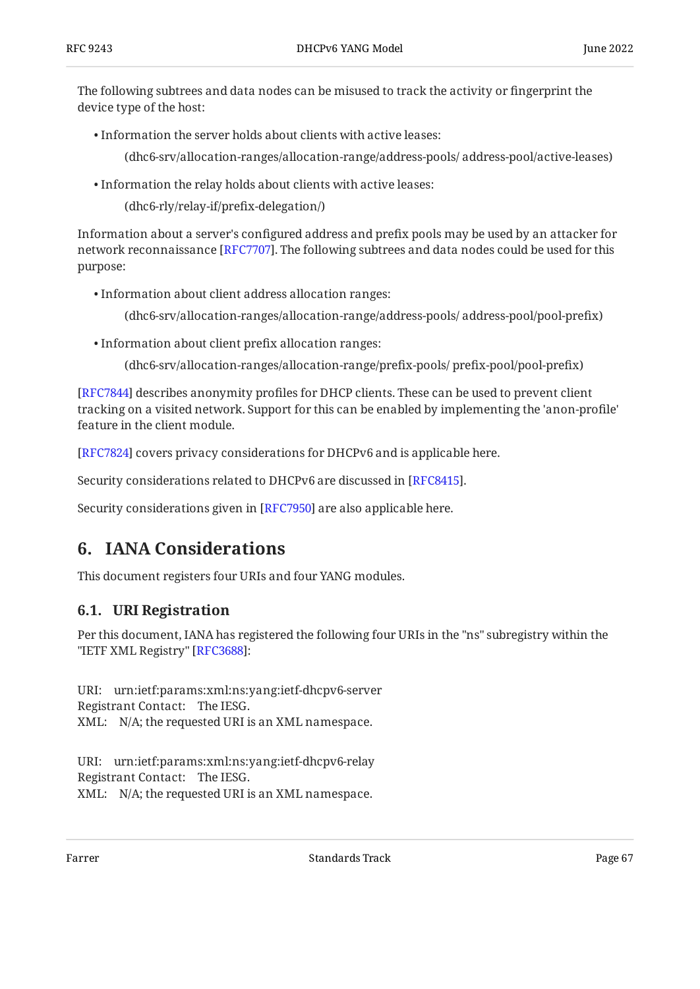The following subtrees and data nodes can be misused to track the activity or fingerprint the device type of the host:

• Information the server holds about clients with active leases:

(dhc6-srv/allocation-ranges/allocation-range/address-pools/ address-pool/active-leases)

Information the relay holds about clients with active leases: •

(dhc6-rly/relay-if/prefix-delegation/)

Information about a server's configured address and prefix pools may be used by an attacker for network reconnaissance [RFC7707]. The following subtrees and data nodes could be used for this purpose:

Information about client address allocation ranges: •

(dhc6-srv/allocation-ranges/allocation-range/address-pools/ address-pool/pool-prefix)

Information about client prefix allocation ranges: •

(dhc6-srv/allocation-ranges/allocation-range/prefix-pools/ prefix-pool/pool-prefix)

[[RFC7844\]](#page-68-3) describes anonymity profiles for DHCP clients. These can be used to prevent client tracking on a visited network. Support for this can be enabled by implementing the 'anon-profile' feature in the client module.

[[RFC7824\]](#page-69-5) covers privacy considerations for DHCPv6 and is applicable here.

Security considerations related to DHCPv6 are discussed in [RFC8415].

<span id="page-66-0"></span>Security considerations given in [[RFC7950\]](#page-68-4) are also applicable here.

# **[6. IANA Considerations](#page-66-0)**

<span id="page-66-1"></span>This document registers four URIs and four YANG modules.

## **[6.1. URI Registration](#page-66-1)**

Per this document, IANA has registered the following four URIs in the "ns" subregistry within the "IETF XML Registry" [\[RFC3688\]](#page-68-5):

URI: urn:ietf:params:xml:ns:yang:ietf-dhcpv6-server Registrant Contact: The IESG. XML: N/A; the requested URI is an XML namespace.

URI: urn:ietf:params:xml:ns:yang:ietf-dhcpv6-relay Registrant Contact: The IESG. XML: N/A; the requested URI is an XML namespace.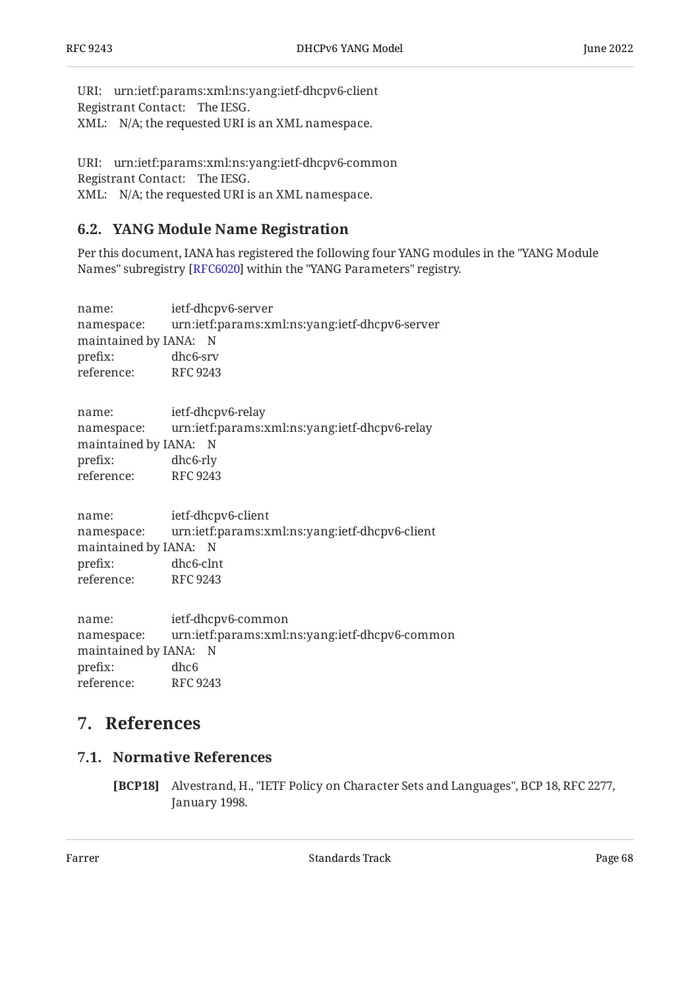URI: urn:ietf:params:xml:ns:yang:ietf-dhcpv6-client Registrant Contact: The IESG. XML: N/A; the requested URI is an XML namespace.

```
URI:
urn:ietf:params:xml:ns:yang:ietf-dhcpv6-common 
Registrant Contact:
The IESG. 
XML:
N/A; the requested URI is an XML namespace.
```
### <span id="page-67-0"></span>**[6.2. YANG Module Name Registration](#page-67-0)**

Per this document, IANA has registered the following four YANG modules in the "YANG Module Names" subregistry [\[RFC6020\]](#page-68-6) within the "YANG Parameters" registry.

name: namespace: maintained by IANA: N prefix: reference: ietf-dhcpv6-server urn:ietf:params:xml:ns:yang:ietf-dhcpv6-server dhc6-srv RFC 9243

| name:                 | ietf-dhcpv6-relay                             |
|-----------------------|-----------------------------------------------|
| namespace:            | urn:ietf:params:xml:ns:yang:ietf-dhcpv6-relay |
| maintained by IANA: N |                                               |
| prefix:               | dhc6-rly                                      |
| reference:            | RFC 9243                                      |

name: namespace: maintained by IANA: N prefix: reference: ietf-dhcpv6-client urn:ietf:params:xml:ns:yang:ietf-dhcpv6-client dhc6-clnt RFC 9243

name: namespace: maintained by IANA: N prefix: reference: ietf-dhcpv6-common urn:ietf:params:xml:ns:yang:ietf-dhcpv6-common dhc6 RFC 9243

# <span id="page-67-2"></span><span id="page-67-1"></span>**[7. References](#page-67-1)**

#### **[7.1. Normative References](#page-67-2)**

**[BCP18]** Alvestrand, H., "IETF Policy on Character Sets and Languages", BCP 18, RFC 2277, January 1998.

Farrer The Communication of the Standards Track Communication of the Page 68 Standards Track Communication of the Page 68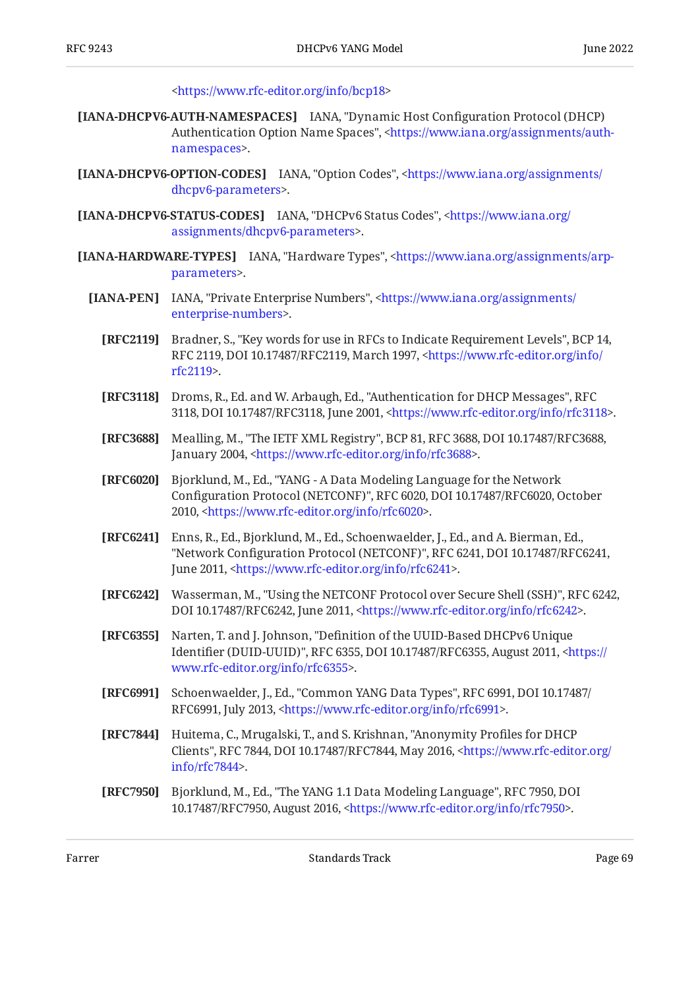[<https://www.rfc-editor.org/info/bcp18](https://www.rfc-editor.org/info/bcp18)>

- **[IANA-DHCPV6-AUTH-NAMESPACES]** IANA, "Dynamic Host Configuration Protocol (DHCP) Authentication Option Name Spaces", [<https://www.iana.org/assignments/auth-](https://www.iana.org/assignments/auth-namespaces). [namespaces](https://www.iana.org/assignments/auth-namespaces)>
- **[IANA-DHCPV6-OPTION-CODES]** IANA, "Option Codes", <[https://www.iana.org/assignments/](https://www.iana.org/assignments/dhcpv6-parameters) . [dhcpv6-parameters>](https://www.iana.org/assignments/dhcpv6-parameters)
- **[IANA-DHCPV6-STATUS-CODES]** IANA, "DHCPv6 Status Codes", <[https://www.iana.org/](https://www.iana.org/assignments/dhcpv6-parameters) . [assignments/dhcpv6-parameters>](https://www.iana.org/assignments/dhcpv6-parameters)
- <span id="page-68-6"></span><span id="page-68-5"></span><span id="page-68-4"></span><span id="page-68-3"></span><span id="page-68-2"></span><span id="page-68-1"></span><span id="page-68-0"></span>**[IANA-HARDWARE-TYPES]** IANA, "Hardware Types", [<https://www.iana.org/assignments/arp-](https://www.iana.org/assignments/arp-parameters). [parameters](https://www.iana.org/assignments/arp-parameters)>
	- [IANA-PEN] IANA, "Private Enterprise Numbers", [<https://www.iana.org/assignments/](https://www.iana.org/assignments/enterprise-numbers) . [enterprise-numbers](https://www.iana.org/assignments/enterprise-numbers)>
		- **[RFC2119]** Bradner, S., "Key words for use in RFCs to Indicate Requirement Levels", BCP 14, RFC 2119, DOI 10.17487/RFC2119, March 1997, [<https://www.rfc-editor.org/info/](https://www.rfc-editor.org/info/rfc2119) . [rfc2119](https://www.rfc-editor.org/info/rfc2119)>
		- **[RFC3118]** Droms, R., Ed. and W. Arbaugh, Ed., "Authentication for DHCP Messages", RFC 3118, DOI 10.17487/RFC3118, June 2001, <https://www.rfc-editor.org/info/rfc3118>.
		- **[RFC3688]** Mealling, M., "The IETF XML Registry", BCP 81, RFC 3688, DOI 10.17487/RFC3688, January 2004, [<https://www.rfc-editor.org/info/rfc3688>](https://www.rfc-editor.org/info/rfc3688).
		- **[RFC6020]** , Bjorklund, M., Ed. "YANG A Data Modeling Language for the Network Configuration Protocol (NETCONF)", RFC 6020, DOI 10.17487/RFC6020, October 2010, <https://www.rfc-editor.org/info/rfc6020>.
		- **[RFC6241]** Enns, R., Ed., Bjorklund, M., Ed., Schoenwaelder, J., Ed., and A. Bierman, Ed., "Network Configuration Protocol (NETCONF)", RFC 6241, DOI 10.17487/RFC6241, June 2011, <https://www.rfc-editor.org/info/rfc6241>.
		- **[RFC6242]** Wasserman, M., "Using the NETCONF Protocol over Secure Shell (SSH)", RFC 6242, DOI 10.17487/RFC6242, June 2011, [<https://www.rfc-editor.org/info/rfc6242>](https://www.rfc-editor.org/info/rfc6242).
		- **[RFC6355]** Narten, T. and J. Johnson, "Definition of the UUID-Based DHCPv6 Unique Identifier (DUID-UUID)", RFC 6355, DOI 10.17487/RFC6355, August 2011, [<https://](https://www.rfc-editor.org/info/rfc6355) . [www.rfc-editor.org/info/rfc6355>](https://www.rfc-editor.org/info/rfc6355)
		- **[RFC6991]** Schoenwaelder, J., Ed., "Common YANG Data Types", RFC 6991, DOI 10.17487/ RFC6991, July 2013, <https://www.rfc-editor.org/info/rfc6991>.
		- **[RFC7844]** Huitema, C., Mrugalski, T., and S. Krishnan, "Anonymity Profiles for DHCP Clients", RFC 7844, DOI 10.17487/RFC7844, May 2016, [<https://www.rfc-editor.org/](https://www.rfc-editor.org/info/rfc7844) . [info/rfc7844>](https://www.rfc-editor.org/info/rfc7844)
		- **[RFC7950]** Bjorklund, M., Ed., "The YANG 1.1 Data Modeling Language", RFC 7950, DOI 10.17487/RFC7950, August 2016, <https://www.rfc-editor.org/info/rfc7950>.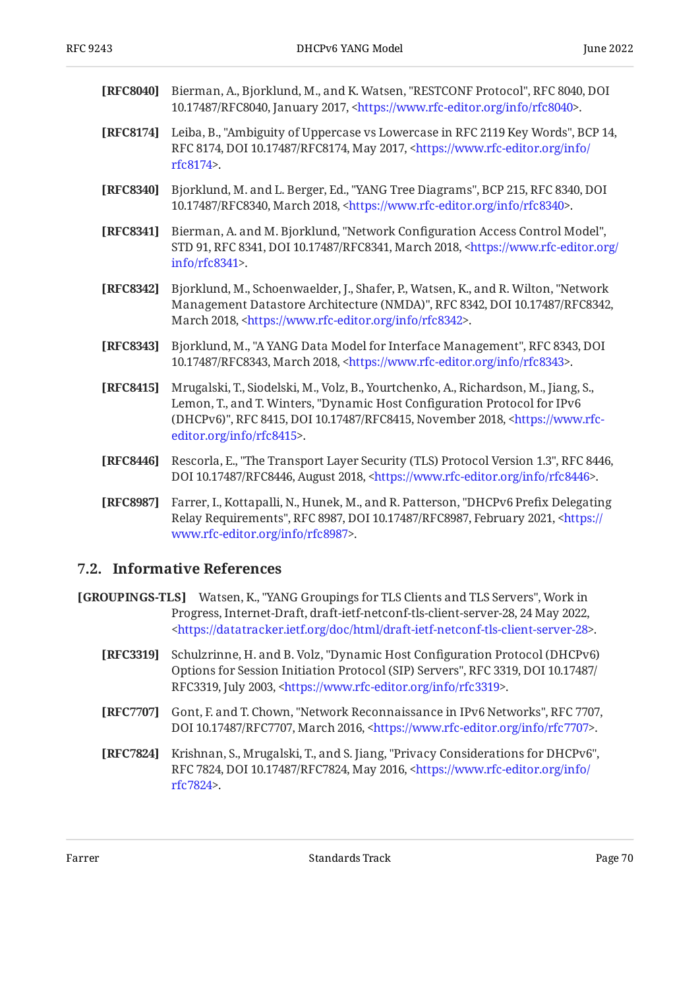<span id="page-69-2"></span>

| <b>[RFC8040]</b> Bierman, A., Bjorklund, M., and K. Watsen, "RESTCONF Protocol", RFC 8040, DOI |
|------------------------------------------------------------------------------------------------|
| 10.17487/RFC8040, January 2017, <https: info="" rfc8040="" www.rfc-editor.org="">.</https:>    |

- **[RFC8174]** Leiba, B., "Ambiguity of Uppercase vs Lowercase in RFC 2119 Key Words", BCP 14, RFC 8174, DOI 10.17487/RFC8174, May 2017, <[https://www.rfc-editor.org/info/](https://www.rfc-editor.org/info/rfc8174) . [rfc8174](https://www.rfc-editor.org/info/rfc8174)>
- **[RFC8340]** Bjorklund, M. and L. Berger, Ed., "YANG Tree Diagrams", BCP 215, RFC 8340, DOI 10.17487/RFC8340, March 2018, <https://www.rfc-editor.org/info/rfc8340>.
- <span id="page-69-0"></span>**[RFC8341]** Bierman, A. and M. Bjorklund, "Network Configuration Access Control Model", STD 91, RFC 8341, DOI 10.17487/RFC8341, March 2018, [<https://www.rfc-editor.org/](https://www.rfc-editor.org/info/rfc8341) . [info/rfc8341>](https://www.rfc-editor.org/info/rfc8341)
- **[RFC8342]** Bjorklund, M., Schoenwaelder, J., Shafer, P., Watsen, K., and R. Wilton, "Network Management Datastore Architecture (NMDA)", RFC 8342, DOI 10.17487/RFC8342, March 2018, <https://www.rfc-editor.org/info/rfc8342>.
- <span id="page-69-1"></span>**[RFC8343]** Bjorklund, M., "A YANG Data Model for Interface Management", RFC 8343, DOI 10.17487/RFC8343, March 2018, <https://www.rfc-editor.org/info/rfc8343>.
- <span id="page-69-6"></span>**[RFC8415]** Mrugalski, T., Siodelski, M., Volz, B., Yourtchenko, A., Richardson, M., Jiang, S., Lemon, T., and T. Winters, "Dynamic Host Configuration Protocol for IPv6 (DHCPv6)", RFC 8415, DOI 10.17487/RFC8415, November 2018, <[https://www.rfc-](https://www.rfc-editor.org/info/rfc8415). [editor.org/info/rfc8415](https://www.rfc-editor.org/info/rfc8415)>
- <span id="page-69-3"></span>**[RFC8446]** Rescorla, E., "The Transport Layer Security (TLS) Protocol Version 1.3", RFC 8446, DOI 10.17487/RFC8446, August 2018, <https://www.rfc-editor.org/info/rfc8446>.
- **[RFC8987]** Farrer, I., Kottapalli, N., Hunek, M., and R. Patterson, "DHCPv6 Prefix Delegating Relay Requirements", RFC 8987, DOI 10.17487/RFC8987, February 2021, <[https://](https://www.rfc-editor.org/info/rfc8987) . [www.rfc-editor.org/info/rfc8987>](https://www.rfc-editor.org/info/rfc8987)

#### <span id="page-69-7"></span>**[7.2. Informative References](#page-69-7)**

- <span id="page-69-4"></span>**[GROUPINGS-TLS]** Watsen, K., "YANG Groupings for TLS Clients and TLS Servers", Work in Progress, Internet-Draft, draft-ietf-netconf-tls-client-server-28, 24 May 2022, . [<https://datatracker.ietf.org/doc/html/draft-ietf-netconf-tls-client-server-28>](https://datatracker.ietf.org/doc/html/draft-ietf-netconf-tls-client-server-28)
	- **[RFC3319]** Schulzrinne, H. and B. Volz, "Dynamic Host Configuration Protocol (DHCPv6) , , Options for Session Initiation Protocol (SIP) Servers" RFC 3319 DOI 10.17487/ RFC3319, July 2003, [<https://www.rfc-editor.org/info/rfc3319>](https://www.rfc-editor.org/info/rfc3319).
	- **[RFC7707]** Gont, F. and T. Chown, "Network Reconnaissance in IPv6 Networks", RFC 7707, DOI 10.17487/RFC7707, March 2016, <https://www.rfc-editor.org/info/rfc7707>.
	- **[RFC7824]** Krishnan, S., Mrugalski, T., and S. Jiang, "Privacy Considerations for DHCPv6", RFC 7824, DOI 10.17487/RFC7824, May 2016, <[https://www.rfc-editor.org/info/](https://www.rfc-editor.org/info/rfc7824) . [rfc7824](https://www.rfc-editor.org/info/rfc7824)>

<span id="page-69-5"></span>Farrer The Communication of the Standards Track Communication of the Page 70 and 2011 11:00 Fage 70 and 2011 12:00 Fage 70 and 2012 12:00 Fage 70 and 2012 12:00 Fage 70 and 2012 12:00 Fage 70 and 2012 12:00 Fage 70 and 201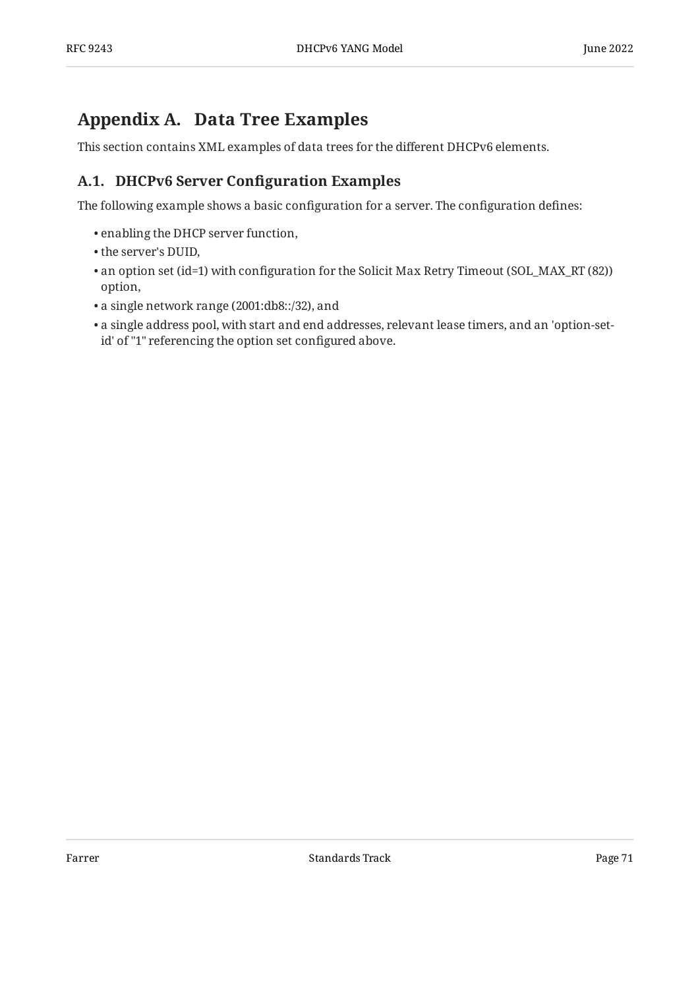# <span id="page-70-0"></span>**[Appendix A. Data Tree Examples](#page-70-0)**

<span id="page-70-1"></span>This section contains XML examples of data trees for the different DHCPv6 elements.

# **[A.1. DHCPv6 Server Con](#page-70-1)figuration Examples**

The following example shows a basic configuration for a server. The configuration defines:

- enabling the DHCP server function,
- the server's DUID,
- $\bullet$  an option set (id=1) with configuration for the Solicit Max Retry Timeout (SOL\_MAX\_RT (82)) option,
- a single network range (2001:db8::/32), and •
- <span id="page-70-2"></span> $\bullet$  a single address pool, with start and end addresses, relevant lease timers, and an 'option-setid' of "1" referencing the option set configured above.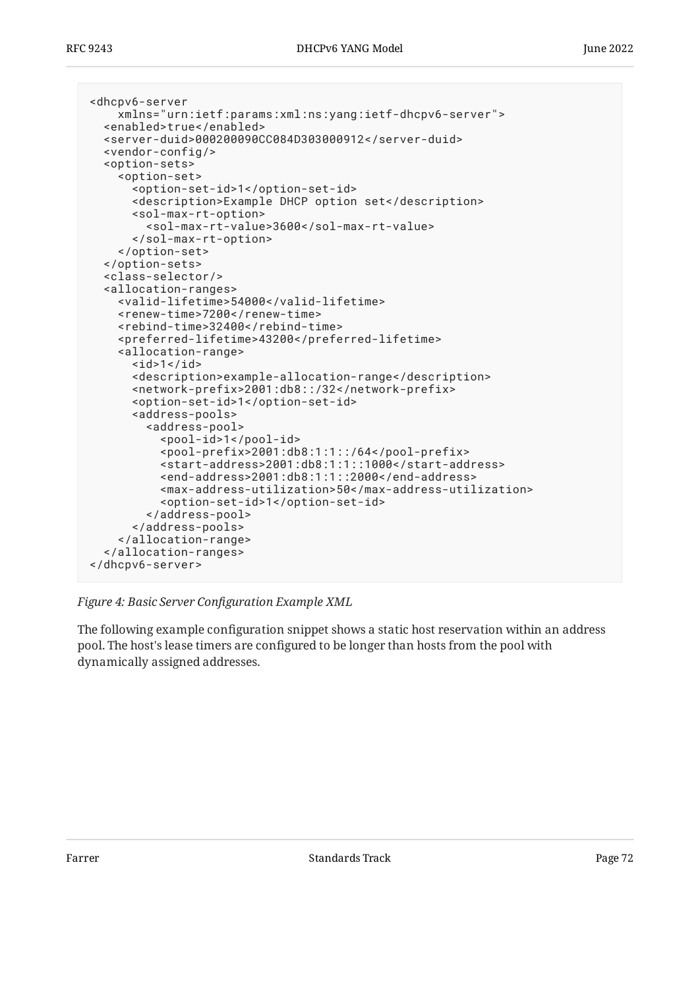```
<dhcpv6-server
     xmlns="urn:ietf:params:xml:ns:yang:ietf-dhcpv6-server">
   <enabled>true</enabled>
   <server-duid>000200090CC084D303000912</server-duid>
   <vendor-config/>
   <option-sets>
     <option-set>
       <option-set-id>1</option-set-id>
       <description>Example DHCP option set</description>
       <sol-max-rt-option>
         <sol-max-rt-value>3600</sol-max-rt-value>
       </sol-max-rt-option>
     </option-set>
   </option-sets>
   <class-selector/>
   <allocation-ranges>
     <valid-lifetime>54000</valid-lifetime>
     <renew-time>7200</renew-time>
     <rebind-time>32400</rebind-time>
     <preferred-lifetime>43200</preferred-lifetime>
     <allocation-range>
      <id>1</id>
       <description>example-allocation-range</description>
       <network-prefix>2001:db8::/32</network-prefix>
       <option-set-id>1</option-set-id>
       <address-pools>
         <address-pool>
           <pool-id>1</pool-id>
           <pool-prefix>2001:db8:1:1::/64</pool-prefix>
           <start-address>2001:db8:1:1::1000</start-address>
           <end-address>2001:db8:1:1::2000</end-address>
           <max-address-utilization>50</max-address-utilization>
           <option-set-id>1</option-set-id>
         </address-pool>
       </address-pools>
     </allocation-range>
   </allocation-ranges>
</dhcpv6-server>
```
#### *[Figure 4:](#page-71-0) Basic Server Confi[guration Example XML](#page-70-2)*

The following example configuration snippet shows a static host reservation within an address pool. The host's lease timers are configured to be longer than hosts from the pool with dynamically assigned addresses.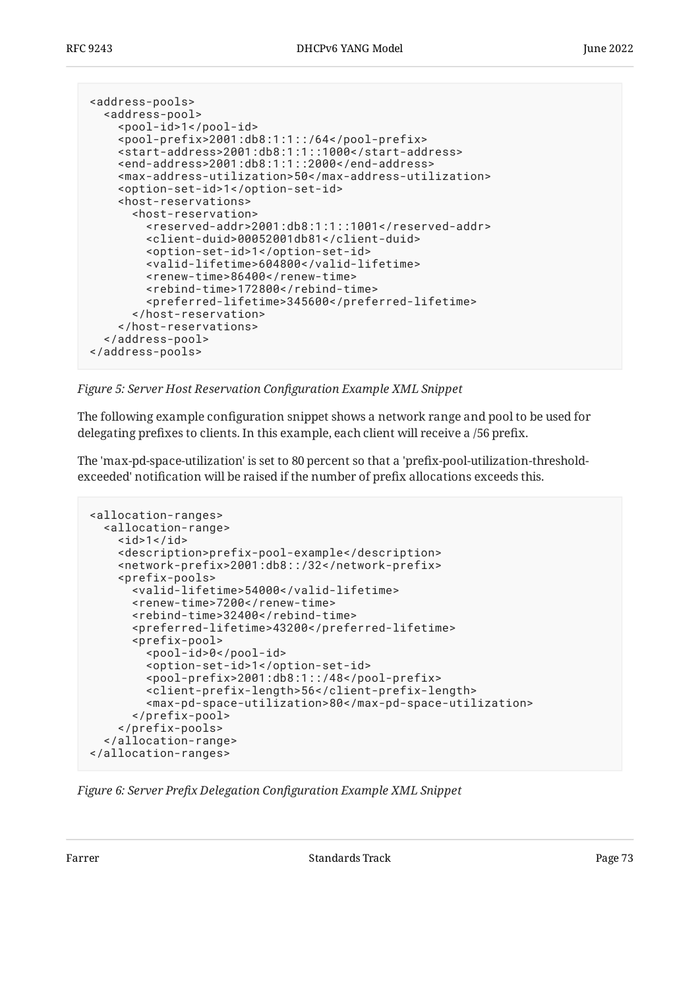```
<address-pools>
   <address-pool>
     <pool-id>1</pool-id>
     <pool-prefix>2001:db8:1:1::/64</pool-prefix>
     <start-address>2001:db8:1:1::1000</start-address>
     <end-address>2001:db8:1:1::2000</end-address>
     <max-address-utilization>50</max-address-utilization>
     <option-set-id>1</option-set-id>
     <host-reservations>
       <host-reservation>
         <reserved-addr>2001:db8:1:1::1001</reserved-addr>
         <client-duid>00052001db81</client-duid>
         <option-set-id>1</option-set-id>
         <valid-lifetime>604800</valid-lifetime>
         <renew-time>86400</renew-time>
         <rebind-time>172800</rebind-time>
         <preferred-lifetime>345600</preferred-lifetime>
       </host-reservation>
     </host-reservations>
   </address-pool>
</address-pools>
```
*[Figure 5:](#page-72-0) Server Host Reservation Confi[guration Example XML Snippet](#page-71-0)* 

The following example configuration snippet shows a network range and pool to be used for delegating prefixes to clients. In this example, each client will receive a /56 prefix.

The 'max-pd-space-utilization' is set to 80 percent so that a 'prefix-pool-utilization-thresholdexceeded' notification will be raised if the number of prefix allocations exceeds this.

```
<allocation-ranges>
  <allocation-range>

     <description>prefix-pool-example</description>
     <network-prefix>2001:db8::/32</network-prefix>
     <prefix-pools>
       <valid-lifetime>54000</valid-lifetime>
       <renew-time>7200</renew-time>
       <rebind-time>32400</rebind-time>
       <preferred-lifetime>43200</preferred-lifetime>
       <prefix-pool>
         <pool-id>0</pool-id>
         <option-set-id>1</option-set-id>
         <pool-prefix>2001:db8:1::/48</pool-prefix>
         <client-prefix-length>56</client-prefix-length>
         <max-pd-space-utilization>80</max-pd-space-utilization>
       </prefix-pool>
     </prefix-pools>
   </allocation-range>
</allocation-ranges>
```
*[Figure 6:](#page-72-1) Server Prefix Delegation Confi[guration Example XML Snippet](#page-72-1)*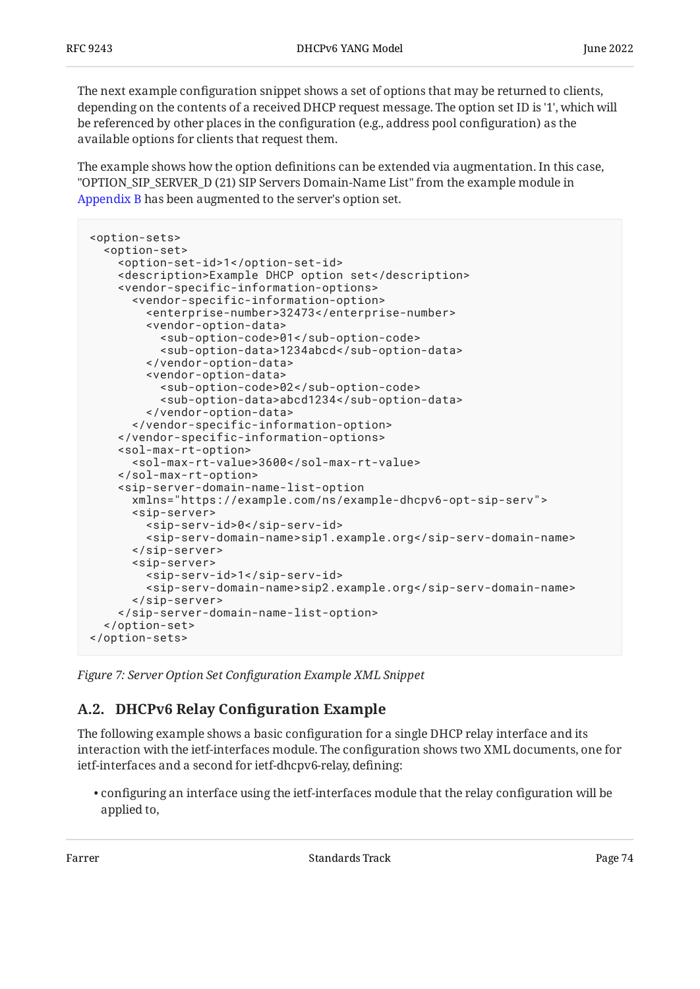The next example configuration snippet shows a set of options that may be returned to clients, depending on the contents of a received DHCP request message. The option set ID is '1', which will be referenced by other places in the configuration (e.g., address pool configuration) as the available options for clients that request them.

The example shows how the option definitions can be extended via augmentation. In this case, "OPTION\_SIP\_SERVER\_D (21) SIP Servers Domain-Name List" from the example module in [Appendix B](#page-76-0) has been augmented to the server's option set.

```
<option-sets>
   <option-set>
     <option-set-id>1</option-set-id>
     <description>Example DHCP option set</description>
     <vendor-specific-information-options>
       <vendor-specific-information-option>
         <enterprise-number>32473</enterprise-number>
         <vendor-option-data>
           <sub-option-code>01</sub-option-code>
           <sub-option-data>1234abcd</sub-option-data>
         </vendor-option-data>
         <vendor-option-data>
           <sub-option-code>02</sub-option-code>
           <sub-option-data>abcd1234</sub-option-data>
         </vendor-option-data>
       </vendor-specific-information-option>
     </vendor-specific-information-options>
     <sol-max-rt-option>
       <sol-max-rt-value>3600</sol-max-rt-value>
     </sol-max-rt-option>
     <sip-server-domain-name-list-option
       xmlns="https://example.com/ns/example-dhcpv6-opt-sip-serv">
       <sip-server>
         <sip-serv-id>0</sip-serv-id>
         <sip-serv-domain-name>sip1.example.org</sip-serv-domain-name>
       </sip-server>
       <sip-server>
         <sip-serv-id>1</sip-serv-id>
         <sip-serv-domain-name>sip2.example.org</sip-serv-domain-name>
       </sip-server>
     </sip-server-domain-name-list-option>
   </option-set>
</option-sets>
```
<span id="page-73-1"></span>*[Figure 7:](#page-73-0) Server Option Set Confi[guration Example XML Snippet](#page-73-0)* 

### **[A.2. DHCPv6 Relay Con](#page-73-1)figuration Example**

The following example shows a basic configuration for a single DHCP relay interface and its interaction with the ietf-interfaces module. The configuration shows two XML documents, one for ietf-interfaces and a second for ietf-dhcpv6-relay, defining:

 $\bullet$  configuring an interface using the ietf-interfaces module that the relay configuration will be applied to,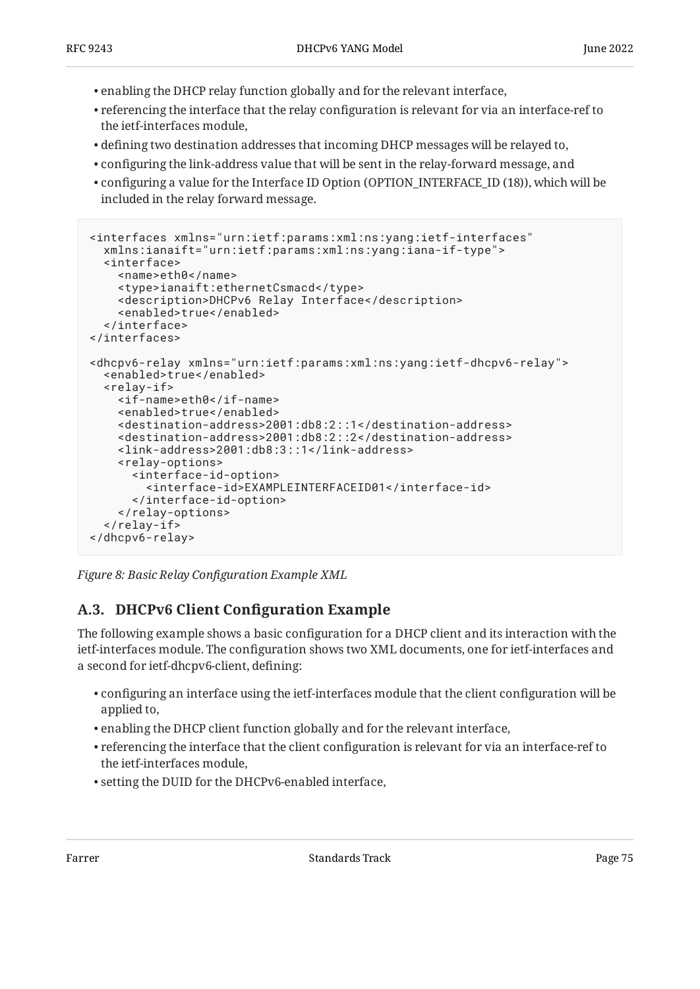- enabling the DHCP relay function globally and for the relevant interface, •
- $\bullet$  referencing the interface that the relay configuration is relevant for via an interface-ref to the ietf-interfaces module,
- defining two destination addresses that incoming DHCP messages will be relayed to, •
- configuring the link-address value that will be sent in the relay-forward message, and •
- configuring a value for the Interface ID Option (OPTION\_INTERFACE\_ID (18)), which will be included in the relay forward message.

```
<interfaces xmlns="urn:ietf:params:xml:ns:yang:ietf-interfaces"
   xmlns:ianaift="urn:ietf:params:xml:ns:yang:iana-if-type">
   <interface>
     <name>eth0</name>
     <type>ianaift:ethernetCsmacd</type>
     <description>DHCPv6 Relay Interface</description>
     <enabled>true</enabled>
   </interface>
</interfaces>
<dhcpv6-relay xmlns="urn:ietf:params:xml:ns:yang:ietf-dhcpv6-relay">
   <enabled>true</enabled>
   <relay-if>
     <if-name>eth0</if-name>
     <enabled>true</enabled>
     <destination-address>2001:db8:2::1</destination-address>
     <destination-address>2001:db8:2::2</destination-address>
     <link-address>2001:db8:3::1</link-address>
     <relay-options>
       <interface-id-option>
         <interface-id>EXAMPLEINTERFACEID01</interface-id>
       </interface-id-option>
     </relay-options>
   </relay-if>
</dhcpv6-relay>
```
<span id="page-74-1"></span>*[Figure 8:](#page-74-0) Basic Relay Confi[guration Example XML](#page-74-0)* 

### **[A.3. DHCPv6 Client Con](#page-74-1)figuration Example**

The following example shows a basic configuration for a DHCP client and its interaction with the ietf-interfaces module. The configuration shows two XML documents, one for ietf-interfaces and a second for ietf-dhcpv6-client, defining:

- $\bullet$  configuring an interface using the ietf-interfaces module that the client configuration will be applied to,
- enabling the DHCP client function globally and for the relevant interface, •
- $\bullet$  referencing the interface that the client configuration is relevant for via an interface-ref to the ietf-interfaces module,
- setting the DUID for the DHCPv6-enabled interface, •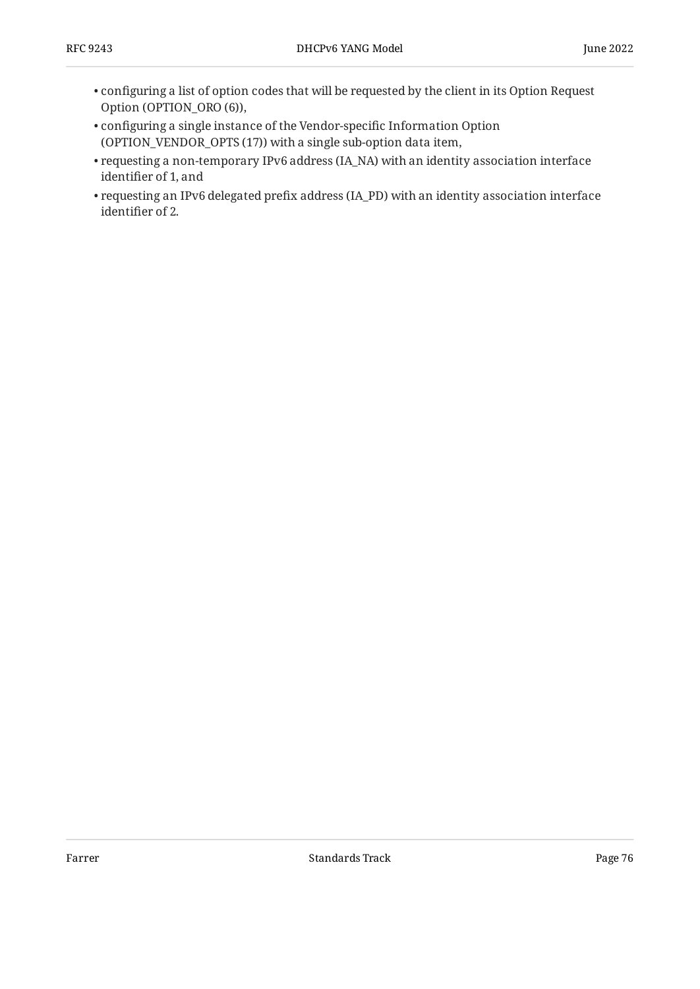- $\bullet$  configuring a list of option codes that will be requested by the client in its Option Request Option (OPTION\_ORO (6)),
- configuring a single instance of the Vendor-specific Information Option (OPTION\_VENDOR\_OPTS (17)) with a single sub-option data item,
- $\bullet$  requesting a non-temporary IPv6 address (IA\_NA) with an identity association interface identifier of 1, and
- <span id="page-75-0"></span> $\bullet$  requesting an IPv6 delegated prefix address (IA\_PD) with an identity association interface identifier of 2.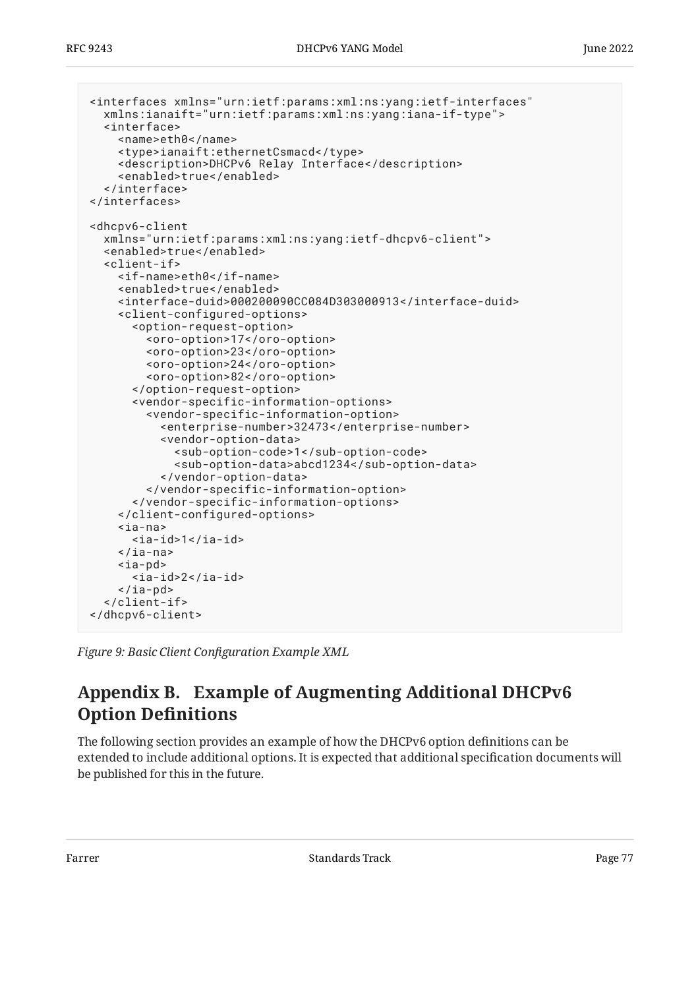```
<interfaces xmlns="urn:ietf:params:xml:ns:yang:ietf-interfaces"
   xmlns:ianaift="urn:ietf:params:xml:ns:yang:iana-if-type">
   <interface>
     <name>eth0</name>
     <type>ianaift:ethernetCsmacd</type>
     <description>DHCPv6 Relay Interface</description>
     <enabled>true</enabled>
   </interface>
</interfaces>
<dhcpv6-client
   xmlns="urn:ietf:params:xml:ns:yang:ietf-dhcpv6-client">
   <enabled>true</enabled>
   <client-if>
     <if-name>eth0</if-name>
     <enabled>true</enabled>
     <interface-duid>000200090CC084D303000913</interface-duid>
     <client-configured-options>
       <option-request-option>
         <oro-option>17</oro-option>
         <oro-option>23</oro-option>
         <oro-option>24</oro-option>
         <oro-option>82</oro-option>
       </option-request-option>
       <vendor-specific-information-options>
         <vendor-specific-information-option>
           <enterprise-number>32473</enterprise-number>
           <vendor-option-data>
             <sub-option-code>1</sub-option-code>
             <sub-option-data>abcd1234</sub-option-data>
           </vendor-option-data>
         </vendor-specific-information-option>
       </vendor-specific-information-options>
     </client-configured-options>
     <ia-na>
       <ia-id>1</ia-id>
    \langleia-na>
     <ia-pd>

    \langleia-pd\rangle </client-if>
</dhcpv6-client>
```
<span id="page-76-0"></span>*[Figure 9:](#page-76-1) Basic Client Confi[guration Example XML](#page-75-0)* 

## **[Appendix B. Example of Augmenting Additional DHCPv6](#page-76-0) [Option De](#page-76-0)finitions**

The following section provides an example of how the DHCPv6 option definitions can be extended to include additional options. It is expected that additional specification documents will be published for this in the future.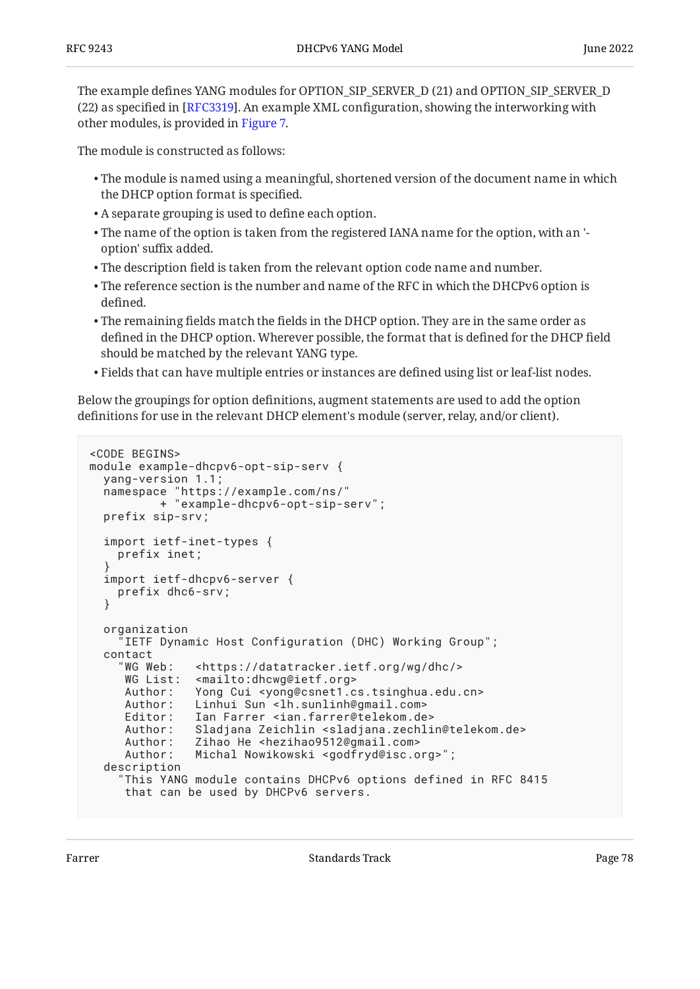The example defines YANG modules for OPTION\_SIP\_SERVER\_D (21) and OPTION\_SIP\_SERVER\_D  $(22)$  as specified in [RFC3319]. An example XML configuration, showing the interworking with other modules, is provided in [Figure 7.](#page-73-0)

The module is constructed as follows:

- $\bullet$  The module is named using a meaningful, shortened version of the document name in which the DHCP option format is specified.
- A separate grouping is used to define each option. •
- $\bullet$  The name of the option is taken from the registered IANA name for the option, with an 'option' suffix added.
- $\bullet$  The description field is taken from the relevant option code name and number.
- $\bullet$  The reference section is the number and name of the RFC in which the DHCPv6 option is defined.
- $\bullet$  The remaining fields match the fields in the DHCP option. They are in the same order as defined in the DHCP option. Wherever possible, the format that is defined for the DHCP field should be matched by the relevant YANG type.
- $\bullet$  Fields that can have multiple entries or instances are defined using list or leaf-list nodes.

Below the groupings for option definitions, augment statements are used to add the option definitions for use in the relevant DHCP element's module (server, relay, and/or client).

```
<CODE BEGINS>
module example-dhcpv6-opt-sip-serv {
   yang-version 1.1;
   namespace "https://example.com/ns/"
            + "example-dhcpv6-opt-sip-serv";
   prefix sip-srv;
   import ietf-inet-types {
     prefix inet;
 }
   import ietf-dhcpv6-server {
     prefix dhc6-srv;
   }
   organization
      "IETF Dynamic Host Configuration (DHC) Working Group";
  contact<br>"WG Web:
                 <https://datatracker.ietf.org/wg/dhc/>
     WG List: <mailto:dhcwg@ietf.org><br>Author: Yong Cui <yong@csnet1.c
                 Yong Cui <yong@csnet1.cs.tsinghua.edu.cn>
     Author: Linhui Sun <lh.sunlinh@gmail.com>
     Editor: Ian Farrer <ian.farrer@telekom.de><br>Author: Sladiana Zeichlin <sladiana.zechli
                 Sladjana Zeichlin <sladjana.zechlin@telekom.de>
      Author: Zihao He <hezihao9512@gmail.com>
      Author: Michal Nowikowski <godfryd@isc.org>";
   description
      "This YANG module contains DHCPv6 options defined in RFC 8415
      that can be used by DHCPv6 servers.
```
Farrer The Communication of the Standards Track Communication of the Page 78 (1992) and the Page 78 (1992) and the Page 78 (1992) and the Page 78 (1992) and the Page 78 (1992) and the Page 78 (1992) and the Page 78 (1992)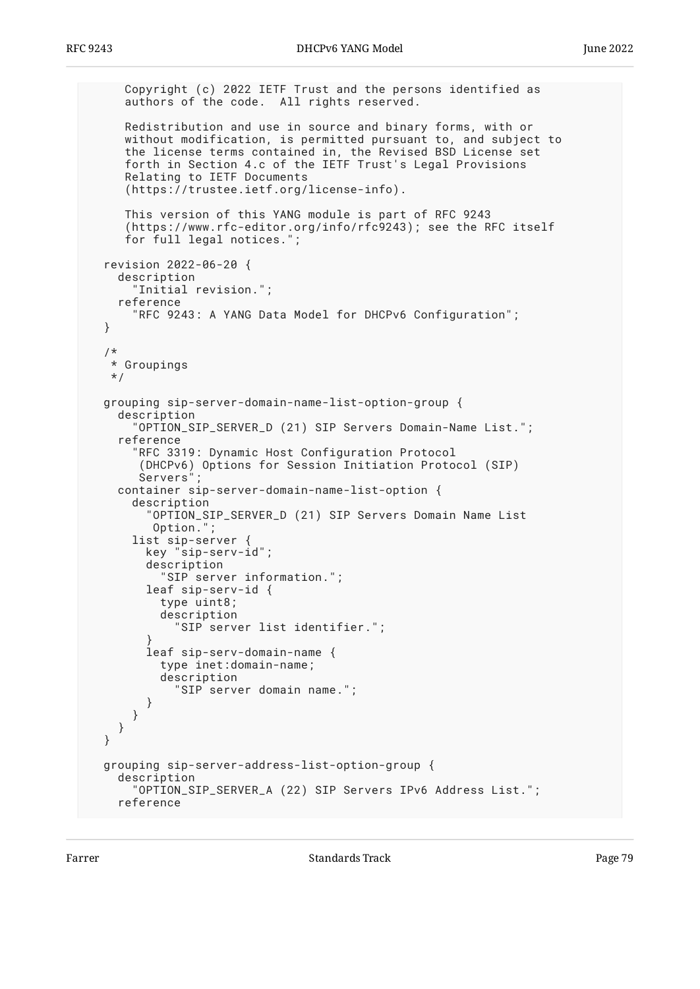```
 Copyright (c) 2022 IETF Trust and the persons identified as
      authors of the code. All rights reserved.
     Redistribution and use in source and binary forms, with or
     without modification, is permitted pursuant to, and subject to
 the license terms contained in, the Revised BSD License set
 forth in Section 4.c of the IETF Trust's Legal Provisions
     Relating to IETF Documents
      (https://trustee.ietf.org/license-info).
     This version of this YANG module is part of RFC 9243
      (https://www.rfc-editor.org/info/rfc9243); see the RFC itself
     for full legal notices.";
  revision 2022-06-20 {
    description
        "Initial revision.";
    reference
       "RFC 9243: A YANG Data Model for DHCPv6 Configuration";
  }
   /*
   * Groupings
   */
  grouping sip-server-domain-name-list-option-group {
    description
       "OPTION_SIP_SERVER_D (21) SIP Servers Domain-Name List.";
    reference
       "RFC 3319: Dynamic Host Configuration Protocol
        (DHCPv6) Options for Session Initiation Protocol (SIP)
        Servers";
    container sip-server-domain-name-list-option {
       description
         "OPTION_SIP_SERVER_D (21) SIP Servers Domain Name List
         Option.";
       list sip-server {
         key "sip-serv-id";
         description
           "SIP server information.";
         leaf sip-serv-id {
           type uint8;
           description
             "SIP server list identifier.";
 }
         leaf sip-serv-domain-name {
           type inet:domain-name;
           description
             "SIP server domain name.";
        }
      }
    }
  }
  grouping sip-server-address-list-option-group {
    description
       "OPTION_SIP_SERVER_A (22) SIP Servers IPv6 Address List.";
    reference
```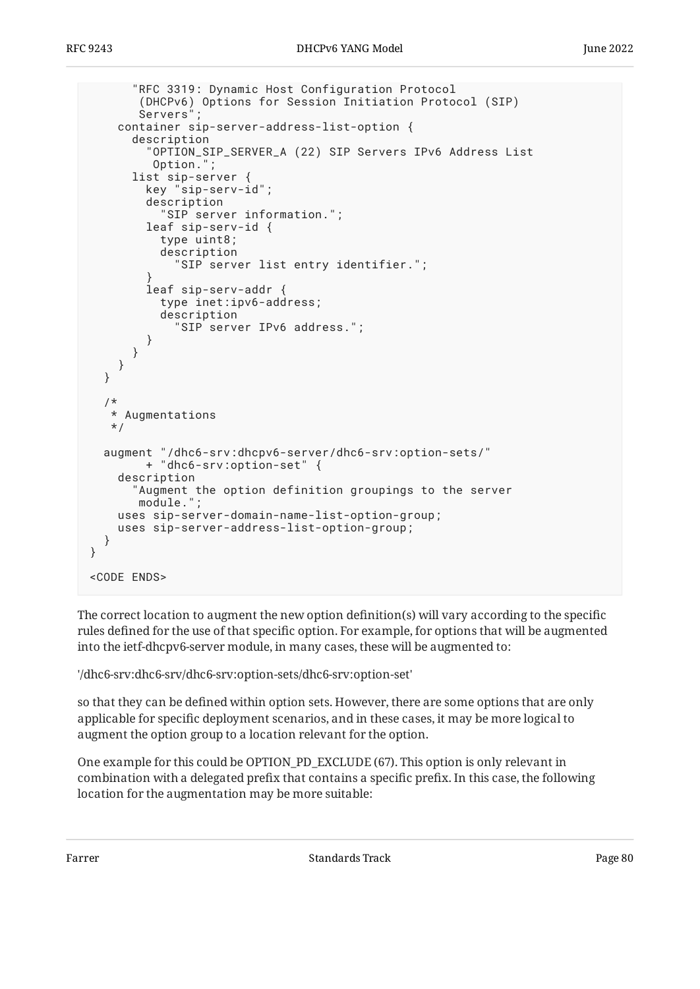```
 "RFC 3319: Dynamic Host Configuration Protocol
        (DHCPv6) Options for Session Initiation Protocol (SIP)
        Servers";
     container sip-server-address-list-option {
       description
          "OPTION_SIP_SERVER_A (22) SIP Servers IPv6 Address List
          Option.";
       list sip-server {
         key "sip-serv-id";
         description
            "SIP server information.";
         leaf sip-serv-id {
           type uint8;
           description
              "SIP server list entry identifier.";
 }
         leaf sip-serv-addr {
           type inet:ipv6-address;
           description
              "SIP server IPv6 address.";
         }
       }
     }
   }
/*
    * Augmentations
    */
   augment "/dhc6-srv:dhcpv6-server/dhc6-srv:option-sets/"
         + "dhc6-srv:option-set" {
     description
       "Augment the option definition groupings to the server
        module.";
     uses sip-server-domain-name-list-option-group;
     uses sip-server-address-list-option-group;
   }
}
<CODE ENDS>
```
The correct location to augment the new option definition(s) will vary according to the specific rules defined for the use of that specific option. For example, for options that will be augmented into the ietf-dhcpv6-server module, in many cases, these will be augmented to:

'/dhc6-srv:dhc6-srv/dhc6-srv:option-sets/dhc6-srv:option-set'

so that they can be defined within option sets. However, there are some options that are only applicable for specific deployment scenarios, and in these cases, it may be more logical to augment the option group to a location relevant for the option.

One example for this could be OPTION\_PD\_EXCLUDE (67). This option is only relevant in combination with a delegated prefix that contains a specific prefix. In this case, the following location for the augmentation may be more suitable:

Farrer The Communication of the Standards Track Communication of the Page 80 and 20 million of the Page 80 million of the Page 80 million of the Page 80 million of the Page 80 million of the Page 80 million of the Page 80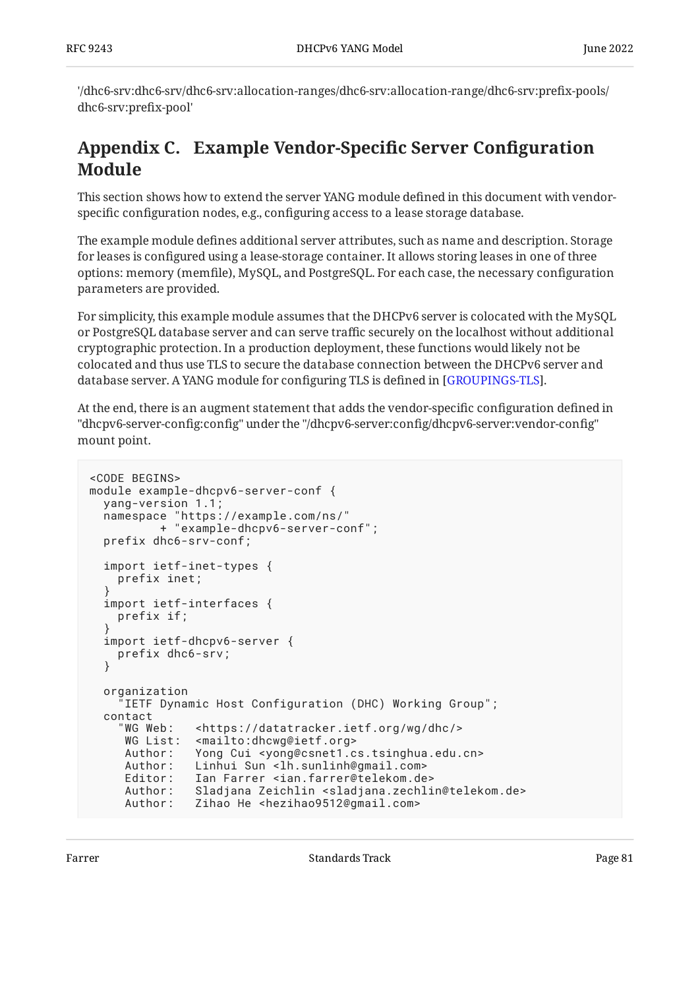'/dhc6-srv:dhc6-srv/dhc6-srv:allocation-ranges/dhc6-srv:allocation-range/dhc6-srv:prefix-pools/ dhc6-srv:prefix-pool'

# <span id="page-80-0"></span>**[Appendix C. Example Vendor-Speci](#page-80-0)fic Server Configuration [Module](#page-80-0)**

This section shows how to extend the server YANG module defined in this document with vendorspecific configuration nodes, e.g., configuring access to a lease storage database.

The example module defines additional server attributes, such as name and description. Storage for leases is configured using a lease-storage container. It allows storing leases in one of three options: memory (memfile), MySQL, and PostgreSQL. For each case, the necessary configuration parameters are provided.

For simplicity, this example module assumes that the DHCPv6 server is colocated with the MySQL or PostgreSQL database server and can serve traffic securely on the localhost without additional cryptographic protection. In a production deployment, these functions would likely not be colocated and thus use TLS to secure the database connection between the DHCPv6 server and database server. A YANG module for configuring TLS is defined in [GROUPINGS-TLS].

At the end, there is an augment statement that adds the vendor-specific configuration defined in "dhcpv6-server-config:config" under the "/dhcpv6-server:config/dhcpv6-server:vendor-config" mount point.

```
<CODE BEGINS>
module example-dhcpv6-server-conf {
   yang-version 1.1;
   namespace "https://example.com/ns/"
            + "example-dhcpv6-server-conf";
   prefix dhc6-srv-conf;
   import ietf-inet-types {
     prefix inet;
 }
   import ietf-interfaces {
     prefix if;
 }
   import ietf-dhcpv6-server {
     prefix dhc6-srv;
   }
   organization
      "IETF Dynamic Host Configuration (DHC) Working Group";
   contact
      "WG Web: <https://datatracker.ietf.org/wg/dhc/>
     WG List: <mailto:dhcwg@ietf.org>
      Author: Yong Cui <yong@csnet1.cs.tsinghua.edu.cn>
     Author: Linhui Sun <lh.sunlinh@gmail.com><br>Editor: Ian Farrer <ian.farrer@telekom.de
     Editor: Ian Farrer <ian.farrer@telekom.de><br>Author: Sladjana Zeichlin <sladjana.zechli
                 Sladjana Zeichlin <sladjana.zechlin@telekom.de>
      Author: Zihao He <hezihao9512@gmail.com>
```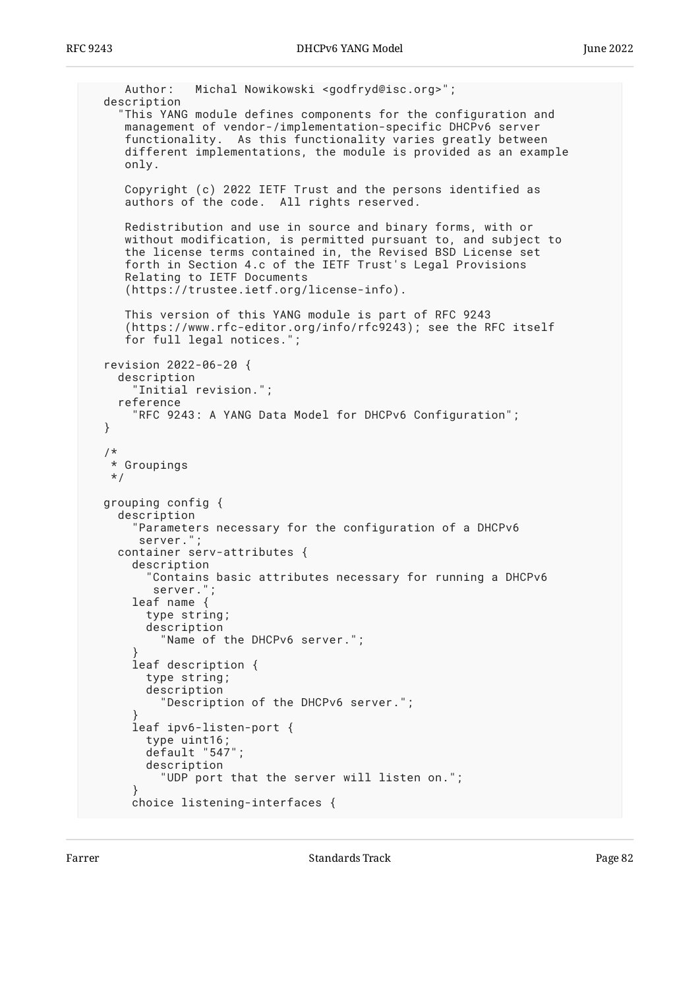```
 Author: Michal Nowikowski <godfryd@isc.org>";
  description
     "This YANG module defines components for the configuration and
     management of vendor-/implementation-specific DHCPv6 server
     functionality. As this functionality varies greatly between
    different implementations, the module is provided as an example
     only.
 Copyright (c) 2022 IETF Trust and the persons identified as
 authors of the code. All rights reserved.
     Redistribution and use in source and binary forms, with or
     without modification, is permitted pursuant to, and subject to
     the license terms contained in, the Revised BSD License set
     forth in Section 4.c of the IETF Trust's Legal Provisions
     Relating to IETF Documents
     (https://trustee.ietf.org/license-info).
     This version of this YANG module is part of RFC 9243
     (https://www.rfc-editor.org/info/rfc9243); see the RFC itself
     for full legal notices.";
  revision 2022-06-20 {
    description
      Initial revision.";
    reference
       "RFC 9243: A YANG Data Model for DHCPv6 Configuration";
  }
/*
   * Groupings
   */
  grouping config {
    description
       "Parameters necessary for the configuration of a DHCPv6
       server.";
    container serv-attributes {
      description
         "Contains basic attributes necessary for running a DHCPv6
         server.";
      leaf name {
         type string;
         description
           "Name of the DHCPv6 server.";
 }
       leaf description {
         type string;
         description
           "Description of the DHCPv6 server.";
 }
       leaf ipv6-listen-port {
        type uint16;
         default "547";
         description
           "UDP port that the server will listen on.";
 }
      choice listening-interfaces {
```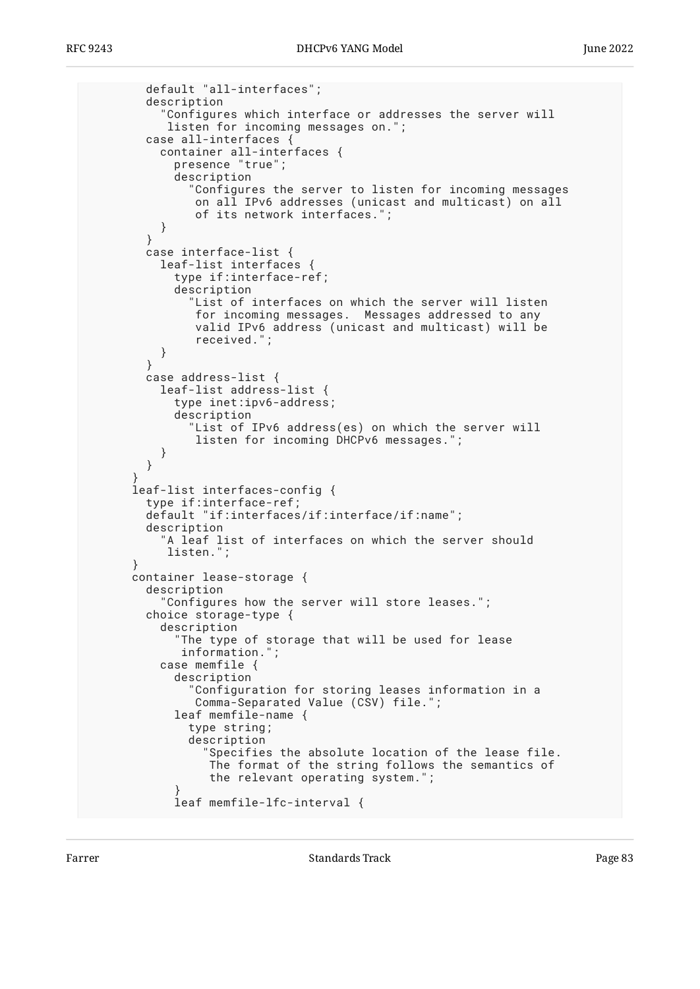```
 default "all-interfaces";
         description
           "Configures which interface or addresses the server will
            listen for incoming messages on.";
         case all-interfaces {
           container all-interfaces {
             presence "true";
             description
               "Configures the server to listen for incoming messages
               on all IPv6 addresses (unicast and multicast) on all
                of its network interfaces.";
        \begin{matrix} \end{matrix} }
         case interface-list {
           leaf-list interfaces {
             type if:interface-ref;
             description
               "List of interfaces on which the server will listen
                for incoming messages. Messages addressed to any
                valid IPv6 address (unicast and multicast) will be
                received.";
 }
 }
         case address-list {
           leaf-list address-list {
             type inet:ipv6-address;
             description
               "List of IPv6 address(es) on which the server will
                listen for incoming DHCPv6 messages.";
           }
         }
 }
       leaf-list interfaces-config {
         type if:interface-ref;
         default "if:interfaces/if:interface/if:name";
         description
 "A leaf list of interfaces on which the server should
 listen.";
       }
      container lease-storage {
         description
           "Configures how the server will store leases.";
         choice storage-type {
           description
             "The type of storage that will be used for lease
              information.";
           case memfile {
             description
               "Configuration for storing leases information in a
                Comma-Separated Value (CSV) file.";
             leaf memfile-name {
               type string;
               description
                 "Specifies the absolute location of the lease file.
                  The format of the string follows the semantics of
                  the relevant operating system.";
 }
             leaf memfile-lfc-interval {
```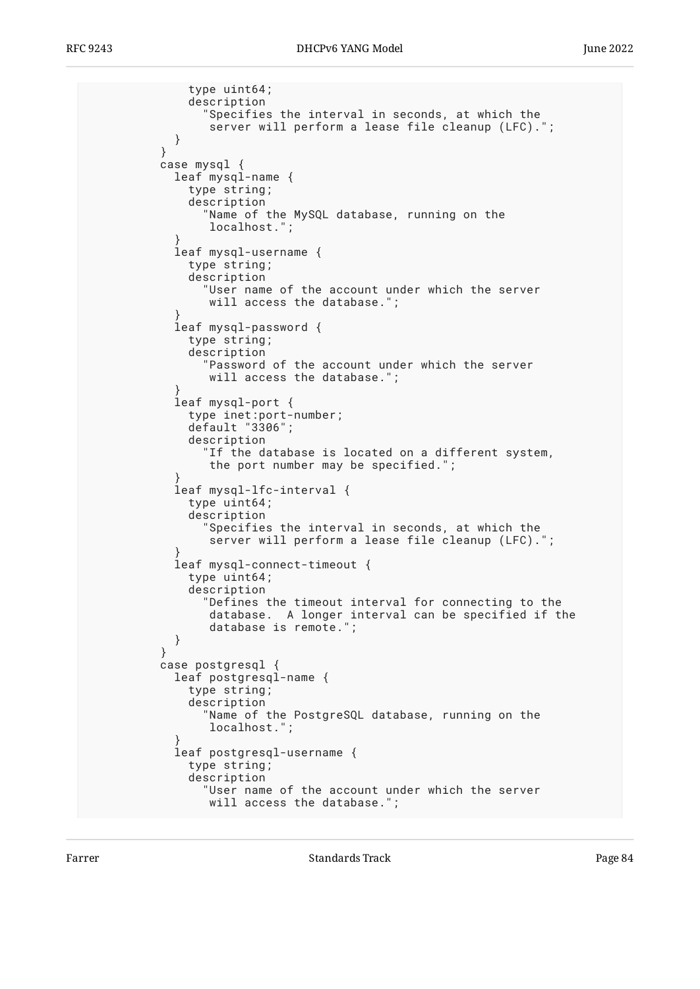```
 type uint64;
              description
                "Specifies the interval in seconds, at which the
           server will perform a lease file cleanup (LFC).";<br>}
 }
 }
          case mysql {
            leaf mysql-name {
              type string;
              description
                "Name of the MySQL database, running on the
                 localhost.";
 }
            leaf mysql-username {
              type string;
              description
                "User name of the account under which the server
                will access the database.";
 }
            leaf mysql-password {
              type string;
              description
                "Password of the account under which the server
                 will access the database.";
 }
            leaf mysql-port {
 type inet:port-number;
 default "3306";
              description
                "If the database is located on a different system,
                 the port number may be specified.";
 }
            leaf mysql-lfc-interval {
              type uint64;
              description
                "Specifies the interval in seconds, at which the
                server will perform a lease file cleanup (LFC).'
 }
            leaf mysql-connect-timeout {
              type uint64;
              description
                "Defines the timeout interval for connecting to the
                 database. A longer interval can be specified if the
           database is remote.";<br>}
 }
 }
          case postgresql {
            leaf postgresql-name {
              type string;
              description
                "Name of the PostgreSQL database, running on the
                 localhost.";
 }
            leaf postgresql-username {
              type string;
              description
                "User name of the account under which the server
                will access the database."
```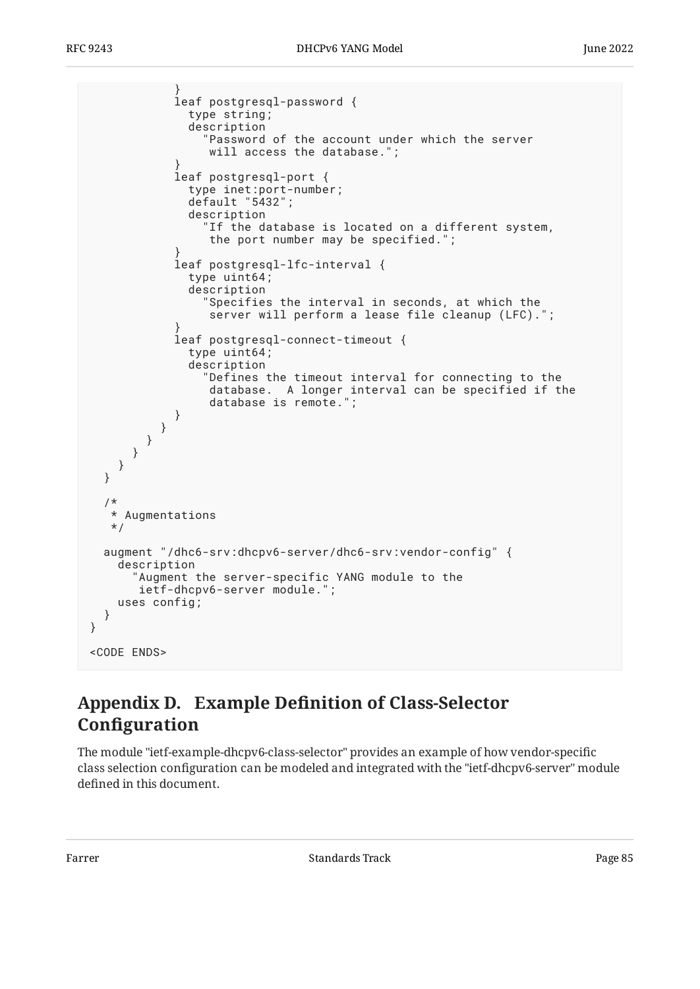```
 }
             leaf postgresql-password {
              type string;
               description
                 "Password of the account under which the server
                 will access the database.";
 }
             leaf postgresql-port {
              type inet:port-number;
              default "5432";
              description
                 "If the database is located on a different system,
                 the port number may be specified.";
 }
             leaf postgresql-lfc-interval {
              type uint64;
               description
                 "Specifies the interval in seconds, at which the
                 server will perform a lease file cleanup (LFC).";
 }
             leaf postgresql-connect-timeout {
              type uint64;
               description
                 "Defines the timeout interval for connecting to the
                 database. A longer interval can be specified if the
                 database is remote.";
 }
 }
 }
      }
    }
  }
   /*
   * Augmentations
   */
  augment "/dhc6-srv:dhcpv6-server/dhc6-srv:vendor-config" {
    description
       "Augment the server-specific YANG module to the
       ietf-dhcpv6-server module.";
    uses config;
  }
}
<CODE ENDS>
```
# <span id="page-84-0"></span>**[Appendix D.](#page-84-0) Example Defi[nition of Class-Selector](#page-84-0) Confi[guration](#page-84-0)**

The module "ietf-example-dhcpv6-class-selector" provides an example of how vendor-specific class selection configuration can be modeled and integrated with the "ietf-dhcpv6-server" module defined in this document.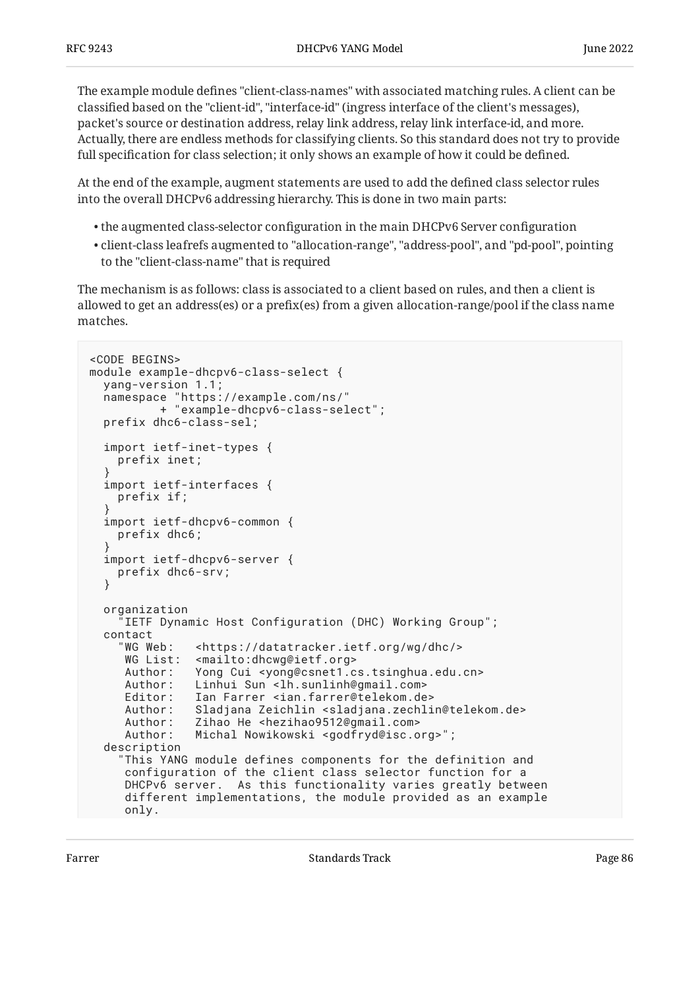The example module defines "client-class-names" with associated matching rules. A client can be classified based on the "client-id", "interface-id" (ingress interface of the client's messages), packet's source or destination address, relay link address, relay link interface-id, and more. Actually, there are endless methods for classifying clients. So this standard does not try to provide full specification for class selection; it only shows an example of how it could be defined.

At the end of the example, augment statements are used to add the defined class selector rules into the overall DHCPv6 addressing hierarchy. This is done in two main parts:

- $\bullet$  the augmented class-selector configuration in the main DHCPv6 Server configuration  $\overline{\phantom{a}}$
- client-class leafrefs augmented to "allocation-range", "address-pool", and "pd-pool", pointing to the "client-class-name" that is required

The mechanism is as follows: class is associated to a client based on rules, and then a client is allowed to get an address(es) or a prefix(es) from a given allocation-range/pool if the class name matches.

```
<CODE BEGINS>
module example-dhcpv6-class-select {
   yang-version 1.1;
   namespace "https://example.com/ns/"
           + "example-dhcpv6-class-select";
   prefix dhc6-class-sel;
   import ietf-inet-types {
     prefix inet;
 }
   import ietf-interfaces {
     prefix if;
 }
   import ietf-dhcpv6-common {
     prefix dhc6;
 }
   import ietf-dhcpv6-server {
     prefix dhc6-srv;
   }
   organization
      "IETF Dynamic Host Configuration (DHC) Working Group";
   contact
      "WG Web: <https://datatracker.ietf.org/wg/dhc/>
      WG List: <mailto:dhcwg@ietf.org>
      Author: Yong Cui <yong@csnet1.cs.tsinghua.edu.cn>
     Author: Linhui Sun <lh.sunlinh@gmail.com>
      Editor: Ian Farrer <ian.farrer@telekom.de>
      Author: Sladjana Zeichlin <sladjana.zechlin@telekom.de>
      Author: Zihao He <hezihao9512@gmail.com>
      Author: Michal Nowikowski <godfryd@isc.org>";
   description
     "This YANG module defines components for the definition and
      configuration of the client class selector function for a
      DHCPv6 server. As this functionality varies greatly between
      different implementations, the module provided as an example
      only.
```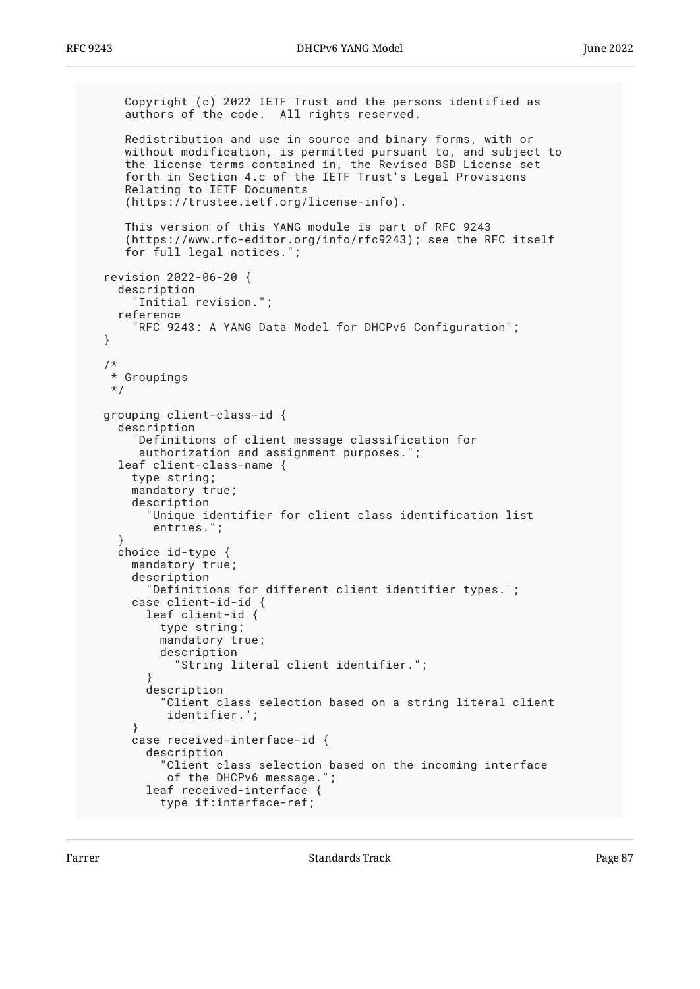```
 Copyright (c) 2022 IETF Trust and the persons identified as
     authors of the code. All rights reserved.
     Redistribution and use in source and binary forms, with or
 without modification, is permitted pursuant to, and subject to
 the license terms contained in, the Revised BSD License set
 forth in Section 4.c of the IETF Trust's Legal Provisions
     Relating to IETF Documents
     (https://trustee.ietf.org/license-info).
     This version of this YANG module is part of RFC 9243
     (https://www.rfc-editor.org/info/rfc9243); see the RFC itself
     for full legal notices.";
  revision 2022-06-20 {
    description
       "Initial revision.";
    reference
       "RFC 9243: A YANG Data Model for DHCPv6 Configuration";
  }
  /*
   * Groupings
   */
  grouping client-class-id {
    description
       "Definitions of client message classification for
       authorization and assignment purposes.";
    leaf client-class-name {
      type string;
      mandatory true;
      description
         "Unique identifier for client class identification list
         entries.";
 }
    choice id-type {
     mandatory true;
      description
         "Definitions for different client identifier types.";
       case client-id-id {
         leaf client-id {
           type string;
           mandatory true;
           description
             "String literal client identifier.";
 }
         description
           "Client class selection based on a string literal client
            identifier.";
 }
      case received-interface-id {
         description
           "Client class selection based on the incoming interface
            of the DHCPv6 message.";
         leaf received-interface {
           type if:interface-ref;
```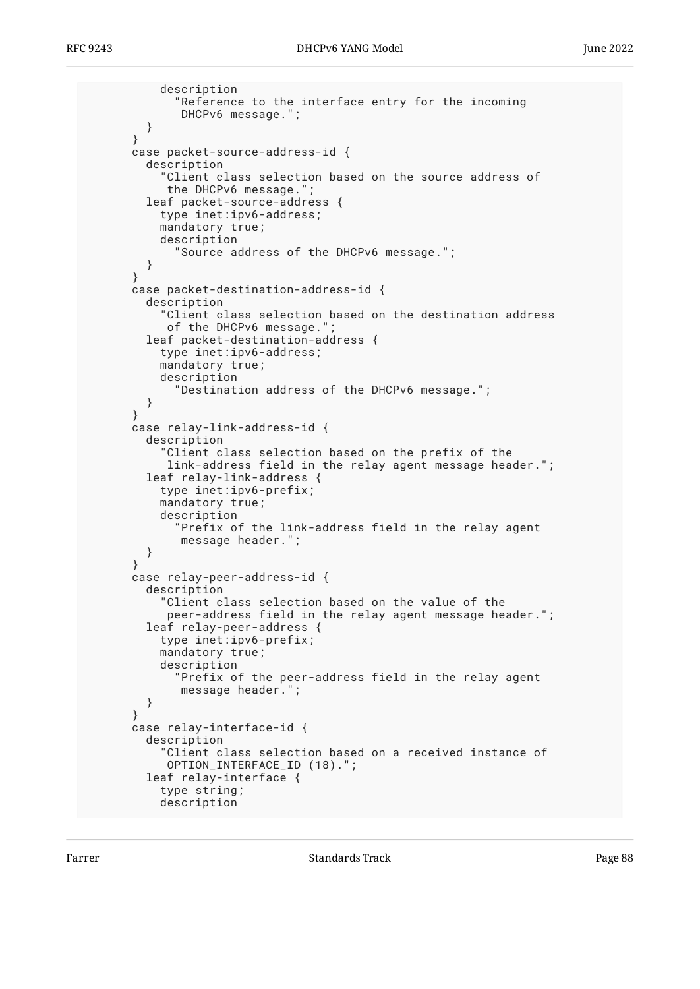```
 description
              "Reference to the interface entry for the incoming
              DHCPv6 message.";
         }
       }
       case packet-source-address-id {
         description
            "Client class selection based on the source address of
            the DHCPv6 message.";
         leaf packet-source-address {
           type inet:ipv6-address;
           mandatory true;
           description
             "Source address of the DHCPv6 message.";
      \begin{matrix} \end{matrix} }
       case packet-destination-address-id {
         description
           "Client class selection based on the destination address
           of the DHCPv6 message."
         leaf packet-destination-address {
           type inet:ipv6-address;
           mandatory true;
           description
              "Destination address of the DHCPv6 message.";
 }
 }
       case relay-link-address-id {
         description
           "Client class selection based on the prefix of the
            link-address field in the relay agent message header.";
         leaf relay-link-address {
           type inet:ipv6-prefix;
           mandatory true;
           description
              "Prefix of the link-address field in the relay agent
              message header.";
         }
       }
       case relay-peer-address-id {
         description
           "Client class selection based on the value of the
            peer-address field in the relay agent message header.";
         leaf relay-peer-address {
           type inet:ipv6-prefix;
           mandatory true;
           description
             "Prefix of the peer-address field in the relay agent
             message header.";
         }
       }
       case relay-interface-id {
         description
           "Client class selection based on a received instance of
            OPTION_INTERFACE_ID (18).";
         leaf relay-interface {
           type string;
           description
```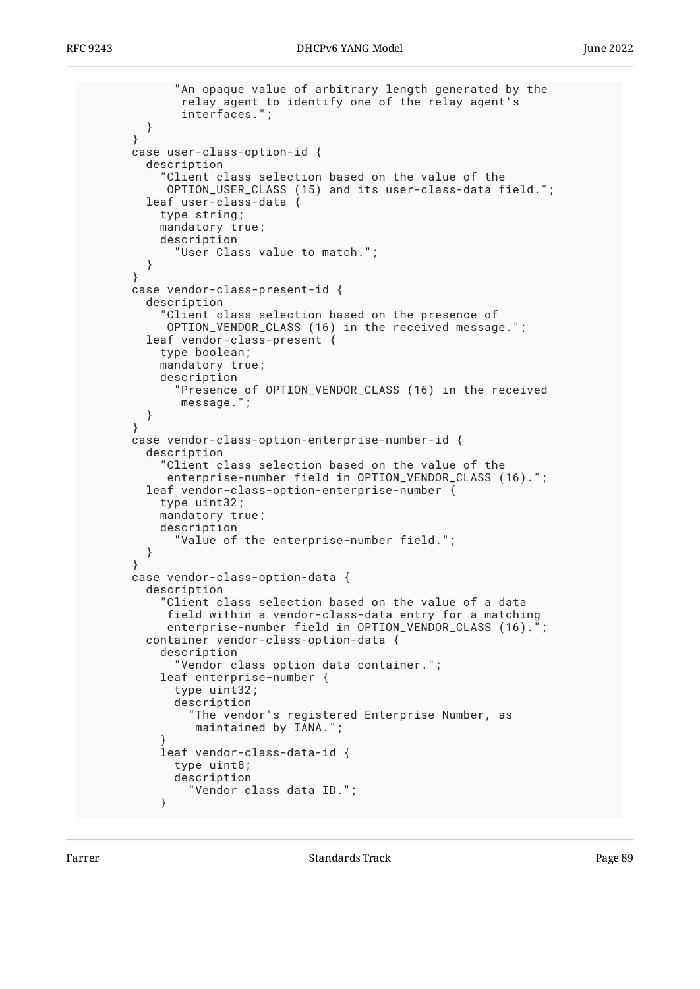```
 "An opaque value of arbitrary length generated by the
              relay agent to identify one of the relay agent's
              interfaces.";
         }
       }
       case user-class-option-id {
         description
            "Client class selection based on the value of the
            OPTION_USER_CLASS (15) and its user-class-data field.";
         leaf user-class-data {
           type string;
           mandatory true;
           description
             "User Class value to match.";
      \begin{matrix} \end{matrix} }
       case vendor-class-present-id {
         description
           "Client class selection based on the presence of
            OPTION_VENDOR_CLASS (16) in the received message.";
         leaf vendor-class-present {
           type boolean;
           mandatory true;
           description
              "Presence of OPTION_VENDOR_CLASS (16) in the received
              message.";
      \begin{matrix} \end{matrix} }
       case vendor-class-option-enterprise-number-id {
         description
           "Client class selection based on the value of the
            enterprise-number field in OPTION_VENDOR_CLASS (16).";
         leaf vendor-class-option-enterprise-number {
           type uint32;
           mandatory true;
           description
              "Value of the enterprise-number field.";
 }
       }
       case vendor-class-option-data {
         description
           "Client class selection based on the value of a data
            field within a vendor-class-data entry for a matching
           enterprise-number field in OPTION_VENDOR_CLASS (16).";
         container vendor-class-option-data {
           description
              "Vendor class option data container.";
           leaf enterprise-number {
             type uint32;
             description
                "The vendor's registered Enterprise Number, as
                maintained by IANA.";
 }
           leaf vendor-class-data-id {
             type uint8;
             description
                "Vendor class data ID.";
 }
```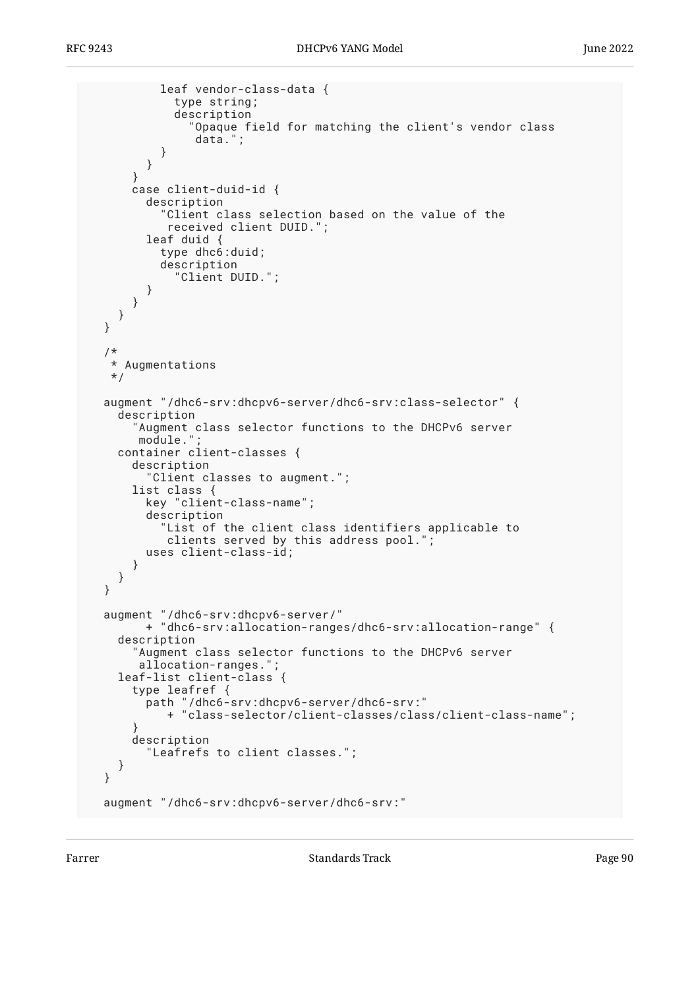```
 leaf vendor-class-data {
             type string;
             description
                "Opaque field for matching the client's vendor class
                data.";
           }
         }
       }
       case client-duid-id {
         description
           "Client class selection based on the value of the
            received client DUID.";
         leaf duid {
           type dhc6:duid;
           description
              "Client DUID.";
         }
       }
     }
  }
  /*
   * Augmentations
   */
  augment "/dhc6-srv:dhcpv6-server/dhc6-srv:class-selector" {
     description
       "Augment class selector functions to the DHCPv6 server
       module."
    container client-classes {
       description
         "Client classes to augment.";
       list class {
         key "client-class-name";
         description
            "List of the client class identifiers applicable to
           clients served by this address pool."
         uses client-class-id;
       }
    }
  }
 augment "/dhc6-srv:dhcpv6-server/"
 + "dhc6-srv:allocation-ranges/dhc6-srv:allocation-range" {
    description
       "Augment class selector functions to the DHCPv6 server
        allocation-ranges.";
    leaf-list client-class {
       type leafref {
         path "/dhc6-srv:dhcpv6-server/dhc6-srv:"
            + "class-selector/client-classes/class/client-class-name";
 }
       description
         "Leafrefs to client classes.";
    }
  }
  augment "/dhc6-srv:dhcpv6-server/dhc6-srv:"
```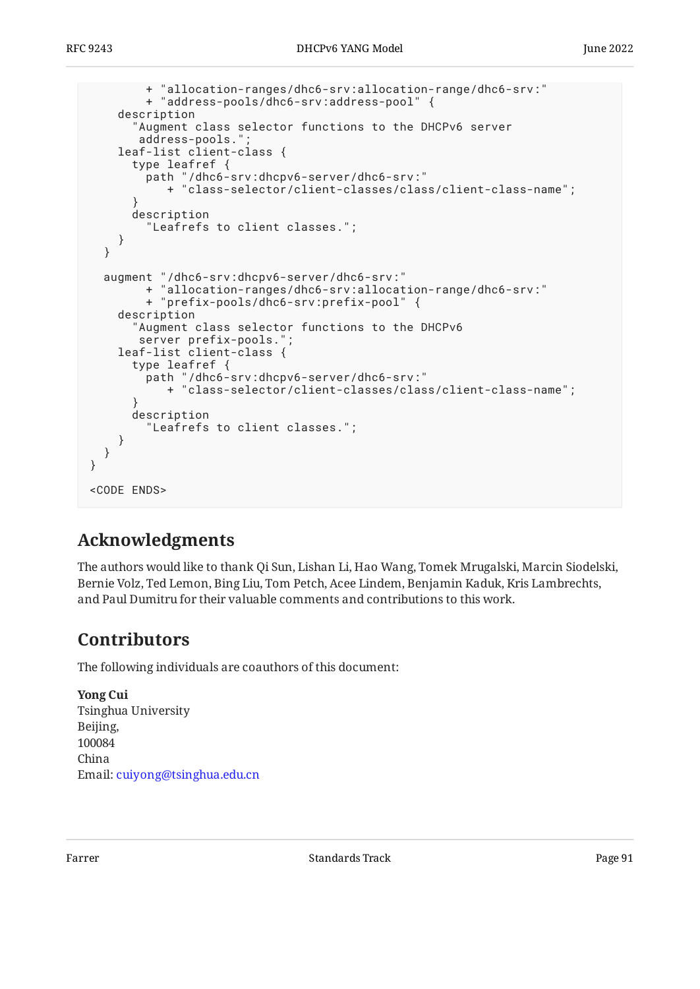```
 + "allocation-ranges/dhc6-srv:allocation-range/dhc6-srv:"
         + "address-pools/dhc6-srv:address-pool" {
     description
       "Augment class selector functions to the DHCPv6 server
       address-pools.'
     leaf-list client-class {
       type leafref {
         path "/dhc6-srv:dhcpv6-server/dhc6-srv:"
            + "class-selector/client-classes/class/client-class-name";
 }
       description
         "Leafrefs to client classes.";
     }
   }
 augment "/dhc6-srv:dhcpv6-server/dhc6-srv:"
 + "allocation-ranges/dhc6-srv:allocation-range/dhc6-srv:"
         + "prefix-pools/dhc6-srv:prefix-pool" {
     description
        "Augment class selector functions to the DHCPv6
        server prefix-pools.";
     leaf-list client-class {
       type leafref {
         path "/dhc6-srv:dhcpv6-server/dhc6-srv:"
            + "class-selector/client-classes/class/client-class-name";
 }
       description
         "Leafrefs to client classes.";
     }
   }
}
<CODE ENDS>
```
# <span id="page-90-0"></span>**[Acknowledgments](#page-90-0)**

The authors would like to thank Qi Sun, Lishan Li, Hao Wang, Tomek Mrugalski, Marcin Siodelski, Bernie Volz, Ted Lemon, Bing Liu, Tom Petch, Acee Lindem, Benjamin Kaduk, Kris Lambrechts, and Paul Dumitru for their valuable comments and contributions to this work.

### <span id="page-90-1"></span>**[Contributors](#page-90-1)**

The following individuals are coauthors of this document:

**Yong Cui** Tsinghua University Beijing, 100084 China Email: [cuiyong@tsinghua.edu.cn](mailto:cuiyong@tsinghua.edu.cn)